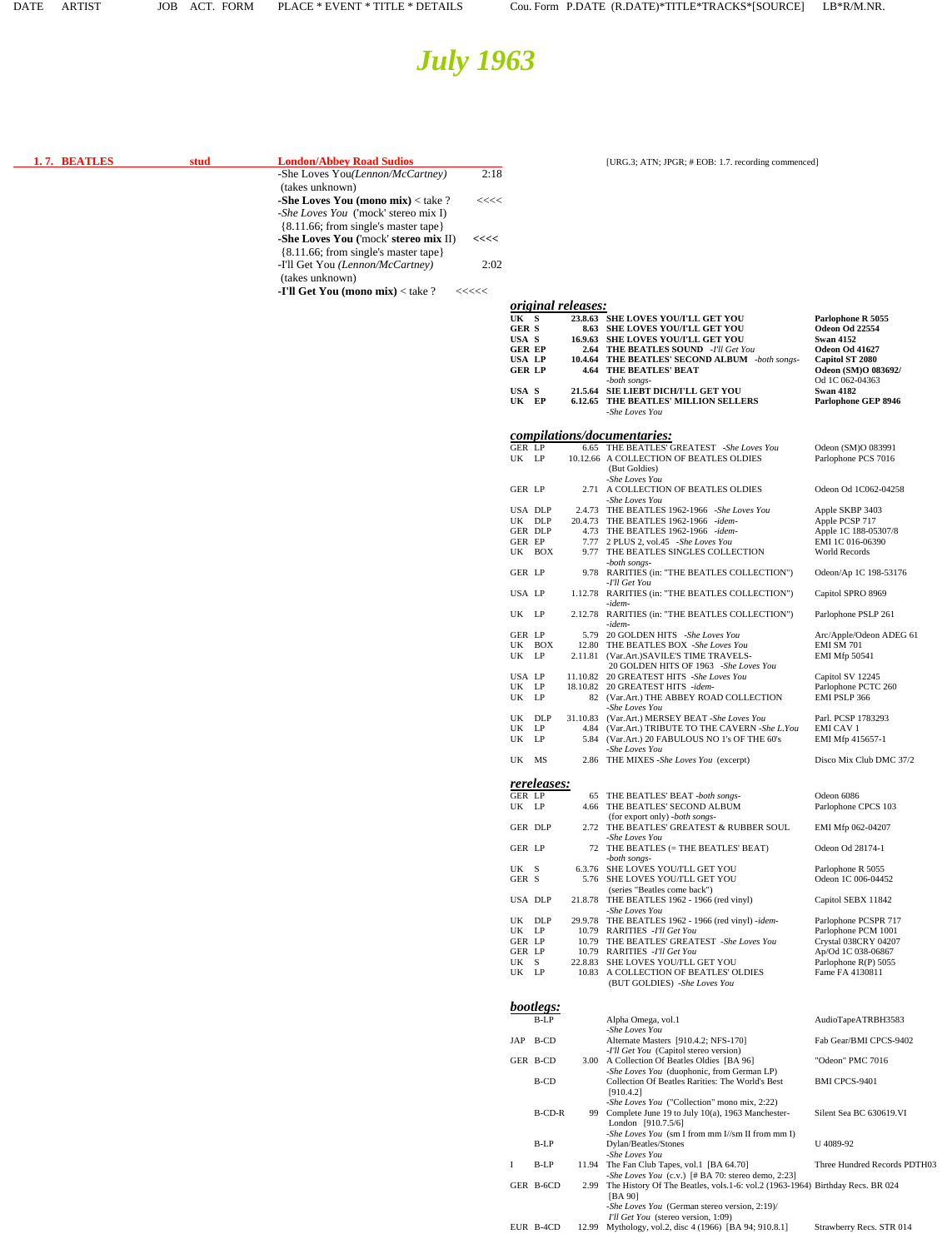EUR B-4CD 12.99 Mythology, vol.2, disc 4 (1966) [BA 94; 910.8.1] Strawberry Recs. STR 014

# *July 1963*

<span id="page-0-0"></span>

| 1.7. BEATLES | stud | <b>London/Abbey Road Sudios</b>                                               |                                                                           |             |                              |      | [URG.3; ATN; JPGR; # EOB: 1.7. recording commenced]                                                                            |                                             |
|--------------|------|-------------------------------------------------------------------------------|---------------------------------------------------------------------------|-------------|------------------------------|------|--------------------------------------------------------------------------------------------------------------------------------|---------------------------------------------|
|              |      | -She Loves You(Lennon/McCartney)<br>(takes unknown)                           |                                                                           | 2:18        |                              |      |                                                                                                                                |                                             |
|              |      | -She Loves You (mono mix) $<$ take ?                                          |                                                                           | <<<<        |                              |      |                                                                                                                                |                                             |
|              |      | -She Loves You ('mock' stereo mix I)                                          |                                                                           |             |                              |      |                                                                                                                                |                                             |
|              |      | {8.11.66; from single's master tape}                                          |                                                                           |             |                              |      |                                                                                                                                |                                             |
|              |      | -She Loves You ('mock' stereo mix II)<br>{8.11.66; from single's master tape} | <<<<                                                                      |             |                              |      |                                                                                                                                |                                             |
|              |      | -I'll Get You (Lennon/McCartney)                                              |                                                                           | 2:02        |                              |      |                                                                                                                                |                                             |
|              |      | (takes unknown)                                                               |                                                                           |             |                              |      |                                                                                                                                |                                             |
|              |      | -I'll Get You (mono mix) < take ?                                             | $\begin{array}{c} \texttt{<<}\texttt{<<}\texttt{<<}\texttt{} \end{array}$ |             |                              |      |                                                                                                                                |                                             |
|              |      |                                                                               |                                                                           | UK S        | <i>original releases:</i>    |      | 23.8.63 SHE LOVES YOU/I'LL GET YOU                                                                                             | Parlophone R 5055                           |
|              |      |                                                                               |                                                                           | <b>GERS</b> |                              |      | <b>8.63 SHE LOVES YOU/I'LL GET YOU</b>                                                                                         | Odeon Od 22554                              |
|              |      |                                                                               |                                                                           | USA S       | <b>GER EP</b>                |      | 16.9.63 SHE LOVES YOU/I'LL GET YOU<br><b>2.64 THE BEATLES SOUND</b> -I'll Get You                                              | <b>Swan 4152</b><br>Odeon Od 41627          |
|              |      |                                                                               |                                                                           |             | USA LP<br><b>GER LP</b>      |      | 10.4.64 THE BEATLES' SECOND ALBUM -both songs-<br><b>4.64 THE BEATLES' BEAT</b>                                                | Capitol ST 2080<br>Odeon (SM)O 083692/      |
|              |      |                                                                               |                                                                           |             |                              |      | -both songs-                                                                                                                   | Od 1C 062-04363                             |
|              |      |                                                                               |                                                                           | USA S       | UK EP                        |      | 21.5.64 SIE LIEBT DICH/I'LL GET YOU<br><b>6.12.65 THE BEATLES' MILLION SELLERS</b>                                             | <b>Swan 4182</b><br>Parlophone GEP 8946     |
|              |      |                                                                               |                                                                           |             |                              |      | -She Loves You                                                                                                                 |                                             |
|              |      |                                                                               |                                                                           |             |                              |      | compilations/documentaries:                                                                                                    |                                             |
|              |      |                                                                               |                                                                           |             | GER LP                       |      | 6.65 THE BEATLES' GREATEST -She Loves You                                                                                      | Odeon (SM)O 083991                          |
|              |      |                                                                               |                                                                           |             | UK LP                        |      | 10.12.66 A COLLECTION OF BEATLES OLDIES<br>(But Goldies)                                                                       | Parlophone PCS 7016                         |
|              |      |                                                                               |                                                                           |             | GER LP                       |      | -She Loves You<br>2.71 A COLLECTION OF BEATLES OLDIES                                                                          |                                             |
|              |      |                                                                               |                                                                           |             |                              |      | -She Loves You                                                                                                                 | Odeon Od 1C062-04258                        |
|              |      |                                                                               |                                                                           |             | USA DLP<br>UK DLP            |      | 2.4.73 THE BEATLES 1962-1966 -She Loves You<br>20.4.73 THE BEATLES 1962-1966 -idem-                                            | Apple SKBP 3403<br>Apple PCSP 717           |
|              |      |                                                                               |                                                                           |             | <b>GER DLP</b>               |      | 4.73 THE BEATLES 1962-1966 -idem-                                                                                              | Apple 1C 188-05307/8                        |
|              |      |                                                                               |                                                                           |             | GER EP<br>UK BOX             |      | 7.77 2 PLUS 2, vol.45 -She Loves You<br>9.77 THE BEATLES SINGLES COLLECTION                                                    | EMI 1C 016-06390<br>World Records           |
|              |      |                                                                               |                                                                           |             | GER LP                       |      | -both songs-<br>9.78 RARITIES (in: "THE BEATLES COLLECTION")                                                                   | Odeon/Ap 1C 198-53176                       |
|              |      |                                                                               |                                                                           |             | USA LP                       |      | -I'll Get You<br>1.12.78 RARITIES (in: "THE BEATLES COLLECTION")                                                               |                                             |
|              |      |                                                                               |                                                                           |             |                              |      | -idem-                                                                                                                         | Capitol SPRO 8969                           |
|              |      |                                                                               |                                                                           |             | UK LP                        |      | 2.12.78 RARITIES (in: "THE BEATLES COLLECTION")<br>-idem-                                                                      | Parlophone PSLP 261                         |
|              |      |                                                                               |                                                                           |             | GER LP<br>UK BOX             |      | 5.79 20 GOLDEN HITS -She Loves You<br>12.80 THE BEATLES BOX -She Loves You                                                     | Arc/Apple/Odeon ADEG 61<br>EMI SM 701       |
|              |      |                                                                               |                                                                           |             | UK LP                        |      | 2.11.81 (Var.Art.)SAVILE'S TIME TRAVELS-                                                                                       | <b>EMI Mfp 50541</b>                        |
|              |      |                                                                               |                                                                           |             | USA LP                       |      | 20 GOLDEN HITS OF 1963 -She Loves You<br>11.10.82 20 GREATEST HITS -She Loves You                                              | Capitol SV 12245                            |
|              |      |                                                                               |                                                                           |             | UK LP<br>UK LP               |      | 18.10.82 20 GREATEST HITS -idem-<br>82 (Var.Art.) THE ABBEY ROAD COLLECTION                                                    | Parlophone PCTC 260<br>EMI PSLP 366         |
|              |      |                                                                               |                                                                           |             |                              |      | -She Loves You                                                                                                                 |                                             |
|              |      |                                                                               |                                                                           |             | UK DLP<br>UK LP              |      | 31.10.83 (Var.Art.) MERSEY BEAT -She Loves You<br>4.84 (Var.Art.) TRIBUTE TO THE CAVERN -She L.You                             | Parl. PCSP 1783293<br><b>EMI CAV 1</b>      |
|              |      |                                                                               |                                                                           |             | UK LP                        |      | 5.84 (Var.Art.) 20 FABULOUS NO 1's OF THE 60's                                                                                 | EMI Mfp 415657-1                            |
|              |      |                                                                               |                                                                           |             | UK MS                        |      | -She Loves You<br>2.86 THE MIXES -She Loves You (excerpt)                                                                      | Disco Mix Club DMC 37/2                     |
|              |      |                                                                               |                                                                           |             |                              |      |                                                                                                                                |                                             |
|              |      |                                                                               |                                                                           |             | <i>rereleases:</i><br>GER LP |      | 65 THE BEATLES' BEAT -both songs-                                                                                              | Odeon 6086                                  |
|              |      |                                                                               |                                                                           |             | UK LP                        |      | 4.66 THE BEATLES' SECOND ALBUM<br>(for export only) -both songs-                                                               | Parlophone CPCS 103                         |
|              |      |                                                                               |                                                                           |             | GER DLP                      |      | 2.72 THE BEATLES' GREATEST & RUBBER SOUL                                                                                       | EMI Mfp 062-04207                           |
|              |      |                                                                               |                                                                           |             | GER LP                       |      | -She Loves You<br>72 THE BEATLES (= THE BEATLES' BEAT)                                                                         | Odeon Od 28174-1                            |
|              |      |                                                                               |                                                                           | UK S        |                              |      | -both songs-<br>6.3.76 SHE LOVES YOU/I'LL GET YOU                                                                              | Parlophone R 5055                           |
|              |      |                                                                               |                                                                           | GER S       |                              |      | 5.76 SHE LOVES YOU/I'LL GET YOU                                                                                                | Odeon 1C 006-04452                          |
|              |      |                                                                               |                                                                           |             | USA DLP                      |      | (series "Beatles come back")<br>21.8.78 THE BEATLES 1962 - 1966 (red vinyl)                                                    | Capitol SEBX 11842                          |
|              |      |                                                                               |                                                                           |             |                              |      | -She Loves You                                                                                                                 |                                             |
|              |      |                                                                               |                                                                           |             | UK DLP<br>UK LP              |      | 29.9.78 THE BEATLES 1962 - 1966 (red vinyl) -idem-<br>10.79 RARITIES - I'll Get You                                            | Parlophone PCSPR 717<br>Parlophone PCM 1001 |
|              |      |                                                                               |                                                                           |             | GER LP<br>GER LP             |      | 10.79 THE BEATLES' GREATEST -She Loves You<br>10.79 RARITIES - I'll Get You                                                    | Crystal 038CRY 04207<br>Ap/Od 1C 038-06867  |
|              |      |                                                                               |                                                                           | UK S        | UK LP                        |      | 22.8.83 SHE LOVES YOU/I'LL GET YOU                                                                                             | Parlophone R(P) 5055                        |
|              |      |                                                                               |                                                                           |             |                              |      | 10.83 A COLLECTION OF BEATLES' OLDIES<br>(BUT GOLDIES) -She Loves You                                                          | Fame FA 4130811                             |
|              |      |                                                                               |                                                                           |             |                              |      |                                                                                                                                |                                             |
|              |      |                                                                               |                                                                           |             | <b>bootlegs:</b><br>$B-LP$   |      | Alpha Omega, vol.1                                                                                                             | AudioTapeATRBH3583                          |
|              |      |                                                                               |                                                                           |             | JAP B-CD                     |      | -She Loves You<br>Alternate Masters [910.4.2; NFS-170]                                                                         | Fab Gear/BMI CPCS-9402                      |
|              |      |                                                                               |                                                                           |             |                              |      | -I'll Get You (Capitol stereo version)                                                                                         |                                             |
|              |      |                                                                               |                                                                           |             | GER B-CD                     |      | 3.00 A Collection Of Beatles Oldies [BA 96]<br>-She Loves You (duophonic, from German LP)                                      | "Odeon" PMC 7016                            |
|              |      |                                                                               |                                                                           |             | B-CD                         |      | Collection Of Beatles Rarities: The World's Best<br>[910.4.2]                                                                  | <b>BMI CPCS-9401</b>                        |
|              |      |                                                                               |                                                                           |             |                              |      | -She Loves You ("Collection" mono mix, 2:22)                                                                                   |                                             |
|              |      |                                                                               |                                                                           |             | <b>B-CD-R</b>                | 99   | Complete June 19 to July 10(a), 1963 Manchester-<br>London $[910.7.5/6]$                                                       | Silent Sea BC 630619.VI                     |
|              |      |                                                                               |                                                                           |             |                              |      | - <i>She Loves You</i> (sm I from mm I//sm II from mm I)                                                                       | U 4089-92                                   |
|              |      |                                                                               |                                                                           |             | B-LP                         |      | Dylan/Beatles/Stones<br>-She Loves You                                                                                         |                                             |
|              |      |                                                                               |                                                                           | L           | B-LP                         |      | 11.94 The Fan Club Tapes, vol.1 [BA 64.70]<br>-She Loves You (c.v.) $\left[\frac{\text{# BA}}{70}\right]$ : stereo demo, 2:23] | Three Hundred Records PDTH03                |
|              |      |                                                                               |                                                                           |             | GER B-6CD                    | 2.99 | The History Of The Beatles, vols.1-6: vol.2 (1963-1964) Birthday Recs. BR 024                                                  |                                             |
|              |      |                                                                               |                                                                           |             |                              |      | [BA 90]<br>-She Loves You (German stereo version, 2:19)/                                                                       |                                             |
|              |      |                                                                               |                                                                           |             |                              |      | I'll Get You (stereo version, 1:09)                                                                                            |                                             |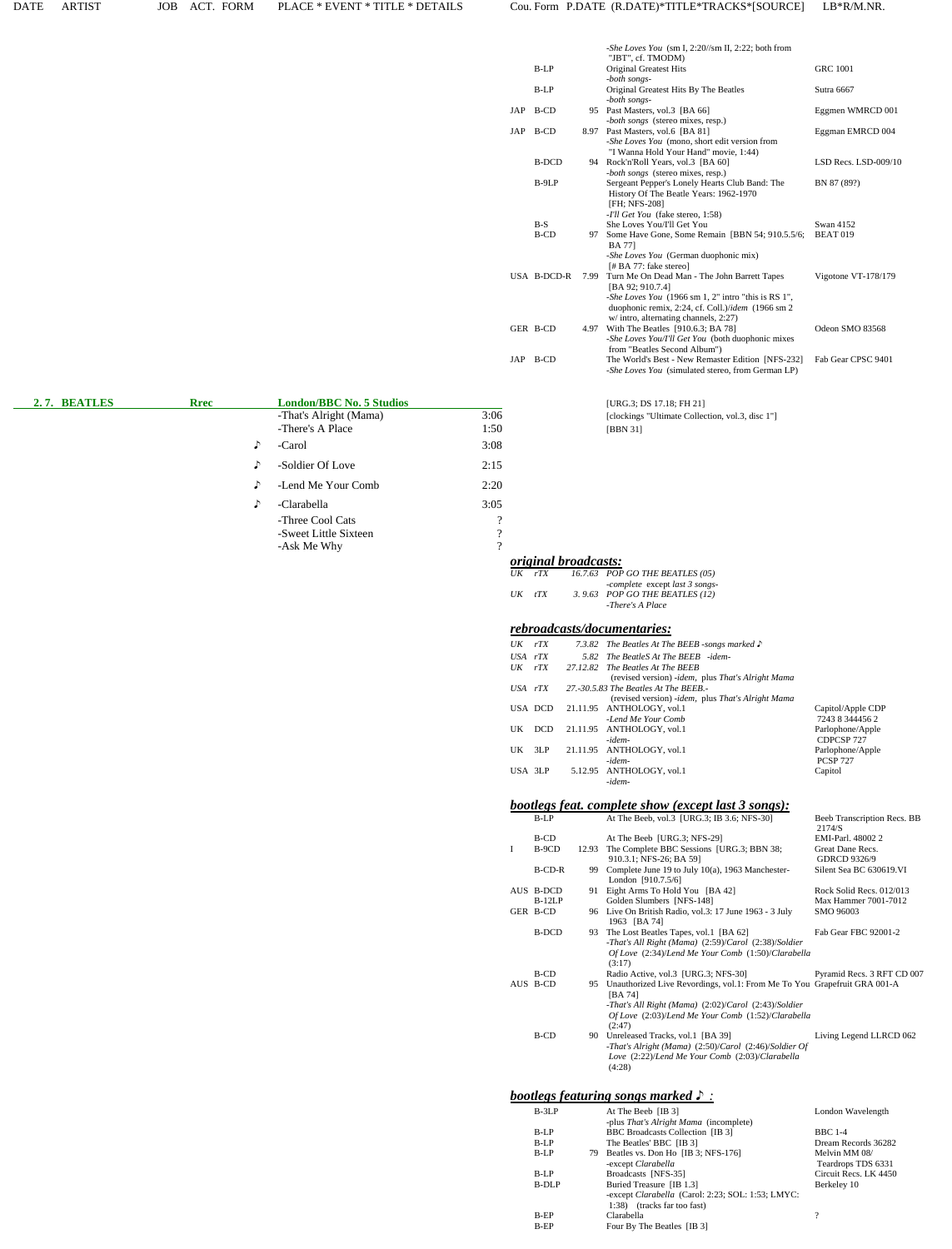|                                                           |                                  |                       |                                   |                             | - <i>She Loves You</i> (sm I, 2:20//sm II, 2:22; both from<br>"JBT", cf. TMODM)                                                                                                                                         |                                                               |
|-----------------------------------------------------------|----------------------------------|-----------------------|-----------------------------------|-----------------------------|-------------------------------------------------------------------------------------------------------------------------------------------------------------------------------------------------------------------------|---------------------------------------------------------------|
|                                                           |                                  |                       | B-LP                              |                             | <b>Original Greatest Hits</b><br>-both songs-                                                                                                                                                                           | <b>GRC 1001</b>                                               |
|                                                           |                                  |                       | B-LP                              |                             | Original Greatest Hits By The Beatles<br>-both songs-                                                                                                                                                                   | Sutra 6667                                                    |
|                                                           |                                  |                       | JAP B-CD                          |                             | 95 Past Masters, vol.3 [BA 66]<br><i>-both songs</i> (stereo mixes, resp.)                                                                                                                                              | Eggmen WMRCD 001                                              |
|                                                           |                                  |                       | JAP B-CD                          |                             | 8.97 Past Masters, vol.6 [BA 81]<br>- <i>She Loves You</i> (mono, short edit version from                                                                                                                               | Eggman EMRCD 004                                              |
|                                                           |                                  |                       | <b>B-DCD</b>                      |                             | "I Wanna Hold Your Hand" movie, 1:44)<br>94 Rock'n'Roll Years, vol.3 [BA 60]<br><i>both songs</i> (stereo mixes, resp.)                                                                                                 | LSD Recs. LSD-009/10                                          |
|                                                           |                                  |                       | B-9LP                             |                             | Sergeant Pepper's Lonely Hearts Club Band: The<br>History Of The Beatle Years: 1962-1970<br>[FH; NFS-208]                                                                                                               | BN 87 (89?)                                                   |
|                                                           |                                  |                       | $B-S$<br>B-CD                     |                             | -I'll Get You (fake stereo, 1:58)<br>She Loves You/I'll Get You<br>97 Some Have Gone, Some Remain [BBN 54; 910.5.5/6;<br><b>BA</b> 77]<br>-She Loves You (German duophonic mix)                                         | Swan 4152<br>BEAT <sub>019</sub>                              |
|                                                           |                                  |                       | USA B-DCD-R                       |                             | [# BA 77: fake stereo]<br>7.99 Turn Me On Dead Man - The John Barrett Tapes<br>[BA 92; 910.7.4]<br>-She Loves You (1966 sm 1, 2" intro "this is RS 1",<br>duophonic remix, 2:24, cf. Coll.)/idem $(1966 \text{ sm } 2)$ | Vigotone VT- $178/179$                                        |
|                                                           |                                  |                       | GER B-CD                          |                             | w/ intro, alternating channels, 2:27)<br>4.97 With The Beatles [910.6.3; BA 78]<br>-She Loves You/I'll Get You (both duophonic mixes                                                                                    | Odeon SMO 83568                                               |
|                                                           |                                  |                       | JAP B-CD                          |                             | from "Beatles Second Album")<br>The World's Best - New Remaster Edition [NFS-232]<br>- <i>She Loves You</i> (simulated stereo, from German LP)                                                                          | Fab Gear CPSC 9401                                            |
|                                                           |                                  |                       |                                   |                             |                                                                                                                                                                                                                         |                                                               |
| <b>London/BBC No. 5 Studios</b><br>-That's Alright (Mama) | 3:06                             |                       |                                   |                             | [URG.3; DS 17.18; FH 21]<br>[clockings "Ultimate Collection, vol.3, disc 1"]                                                                                                                                            |                                                               |
| -There's A Place                                          | 1:50                             |                       |                                   |                             | [BBN 31]                                                                                                                                                                                                                |                                                               |
| -Carol                                                    | 3:08                             |                       |                                   |                             |                                                                                                                                                                                                                         |                                                               |
| -Soldier Of Love                                          | 2:15                             |                       |                                   |                             |                                                                                                                                                                                                                         |                                                               |
| -Lend Me Your Comb                                        | 2:20                             |                       |                                   |                             |                                                                                                                                                                                                                         |                                                               |
| -Clarabella<br>-Three Cool Cats                           | 3:05<br>$\overline{\mathcal{L}}$ |                       |                                   |                             |                                                                                                                                                                                                                         |                                                               |
| -Sweet Little Sixteen<br>-Ask Me Why                      | $\mathcal{D}$<br>$\gamma$        |                       |                                   |                             |                                                                                                                                                                                                                         |                                                               |
|                                                           |                                  |                       |                                   | <i>original broadcasts:</i> |                                                                                                                                                                                                                         |                                                               |
|                                                           |                                  | $UK$ $rTX$            |                                   |                             | 16.7.63 POP GO THE BEATLES (05)<br>-complete except last 3 songs-                                                                                                                                                       |                                                               |
|                                                           |                                  | UK                    | tTX                               |                             | 3.9.63 POP GO THE BEATLES $(12)$<br>-There's A Place                                                                                                                                                                    |                                                               |
|                                                           |                                  |                       |                                   |                             | rebroadcasts/documentaries:                                                                                                                                                                                             |                                                               |
|                                                           |                                  | $UK$ $rTX$            |                                   |                             | 7.3.82 The Beatles At The BEEB -songs marked $\Gamma$                                                                                                                                                                   |                                                               |
|                                                           |                                  | USA rTX<br>$UK$ $rTX$ |                                   | 5.82                        | The BeatleS At The BEEB -idem-<br>27.12.82 The Beatles At The BEEB                                                                                                                                                      |                                                               |
|                                                           |                                  | USA rTX               |                                   |                             | (revised version) -idem, plus That's Alright Mama<br>27.-30.5.83 The Beatles At The BEEB.-                                                                                                                              |                                                               |
|                                                           |                                  |                       | USA DCD                           |                             | (revised version) -idem, plus That's Alright Mama<br>21.11.95 ANTHOLOGY, vol.1                                                                                                                                          | Capitol/Apple CDP                                             |
|                                                           |                                  | UK                    | DCD                               |                             | -Lend Me Your Comb<br>21.11.95 ANTHOLOGY, vol.1                                                                                                                                                                         | 7243 8 344456 2<br>Parlophone/Apple                           |
|                                                           |                                  | UK.                   | 3LP                               |                             | -idem-<br>21.11.95 ANTHOLOGY, vol.1                                                                                                                                                                                     | CDPCSP 727<br>Parlophone/Apple                                |
|                                                           |                                  | USA 3LP               |                                   |                             | -idem-<br>5.12.95 ANTHOLOGY, vol.1                                                                                                                                                                                      | <b>PCSP 727</b><br>Capitol                                    |
|                                                           |                                  |                       |                                   |                             | -idem-                                                                                                                                                                                                                  |                                                               |
|                                                           |                                  |                       | B-LP                              |                             | bootlegs feat. complete show (except last 3 songs):<br>At The Beeb, vol.3 [URG.3; IB 3.6; NFS-30]                                                                                                                       | Beeb Transcription Recs. BB<br>2174/S                         |
|                                                           |                                  | Ι.                    | B-CD<br>B-9CD                     |                             | At The Beeb [URG.3; NFS-29]<br>12.93 The Complete BBC Sessions [URG.3; BBN 38;<br>910.3.1; NFS-26; BA 59]                                                                                                               | EMI-Parl. 48002 2<br>Great Dane Recs.<br>GDRCD 9326/9         |
|                                                           |                                  |                       | B-CD-R                            |                             | 99 Complete June 19 to July 10(a), 1963 Manchester-<br>London [910.7.5/6]                                                                                                                                               | Silent Sea BC 630619.VI                                       |
|                                                           |                                  |                       | AUS B-DCD<br>$B-12LP$<br>GER B-CD |                             | 91 Eight Arms To Hold You [BA 42]<br>Golden Slumbers [NFS-148]<br>96 Live On British Radio, vol.3: 17 June 1963 - 3 July<br>1963 [BA 74]                                                                                | Rock Solid Recs. 012/013<br>Max Hammer 7001-7012<br>SMO 96003 |
|                                                           |                                  |                       | <b>B-DCD</b>                      |                             | 93 The Lost Beatles Tapes, vol.1 [BA 62]<br>-That's All Right (Mama) (2:59)/Carol (2:38)/Soldier<br>Of Love (2:34)/Lend Me Your Comb (1:50)/Clarabella<br>(3:17)                                                        | Fab Gear FBC 92001-2                                          |
|                                                           |                                  |                       | B-CD<br>AUS B-CD                  |                             | Radio Active, vol.3 [URG.3; NFS-30]<br>95 Unauthorized Live Revordings, vol.1: From Me To You Grapefruit GRA 001-A<br>[BA 74]                                                                                           | Pyramid Recs. 3 RFT CD 007                                    |
|                                                           |                                  |                       |                                   |                             | -That's All Right (Mama) (2:02)/Carol (2:43)/Soldier<br>Of Love (2:03)/Lend Me Your Comb (1:52)/Clarabella<br>(2:47)                                                                                                    |                                                               |
|                                                           |                                  |                       | B-CD                              |                             | 90 Unreleased Tracks, vol.1 [BA 39]<br>-That's Alright (Mama) (2:50)/Carol (2:46)/Soldier Of<br>Love (2:22)/Lend Me Your Comb (2:03)/Clarabella<br>(4:28)                                                               | Living Legend LLRCD 062                                       |
|                                                           |                                  |                       |                                   |                             | <b>bootlegs featuring songs marked <math>\triangleright</math>:</b>                                                                                                                                                     |                                                               |
|                                                           |                                  |                       | $B-3LP$                           |                             | At The Beeb [IB 3]                                                                                                                                                                                                      | London Wavelength                                             |
|                                                           |                                  |                       | B-LP<br>$B-LP$                    |                             | -plus That's Alright Mama (incomplete)<br><b>BBC</b> Broadcasts Collection [IB 3]<br>The Beatles' BBC [IB 3]                                                                                                            | <b>BBC</b> 1-4<br>Dream Records 36282                         |
|                                                           |                                  |                       | $B-LP$                            |                             | 79 Beatles vs. Don Ho [IB 3; NFS-176]                                                                                                                                                                                   | Melvin MM 08/                                                 |

 -except *Clarabella* Teardrops TDS 6331 B-LP Broadcasts [NFS-35] Circuit Recs. LK 4450 B-DLP Buried Treasure [IB 1.3] Berkeley 10

 $\, 2$ 

 -except *Clarabella* (Carol: 2:23; SOL: 1:53; LMYC: 1:38) (tracks far too fast)<br>B-EP Clarabella ?

B-EP Four By The Beatles [IB 3]

| 2.7. BEATLES | <b>Rrec</b> | <b>London/BBC No. 5 Studios</b> |          | [URG.3; DS 17.18; FH 21]   |
|--------------|-------------|---------------------------------|----------|----------------------------|
|              |             | -That's Alright (Mama)          | 3:06     | [clockings "Ultimate Colle |
|              |             | -There's A Place                | 1:50     | [BBN 31]                   |
|              |             | $\Gamma$<br>-Carol              | 3:08     |                            |
|              |             | -Soldier Of Love<br>$\Gamma$    | 2:15     |                            |
|              |             | -Lend Me Your Comb<br>$\Gamma$  | 2:20     |                            |
|              |             | -Clarabella<br>$\Gamma$         | 3:05     |                            |
|              |             | -Three Cool Cats                | $\Omega$ |                            |
|              |             | -Sweet Little Sixteen           | റ        |                            |
|              |             | -Ask Me Why                     | $\Omega$ |                            |
|              |             |                                 |          | original broadcasts.       |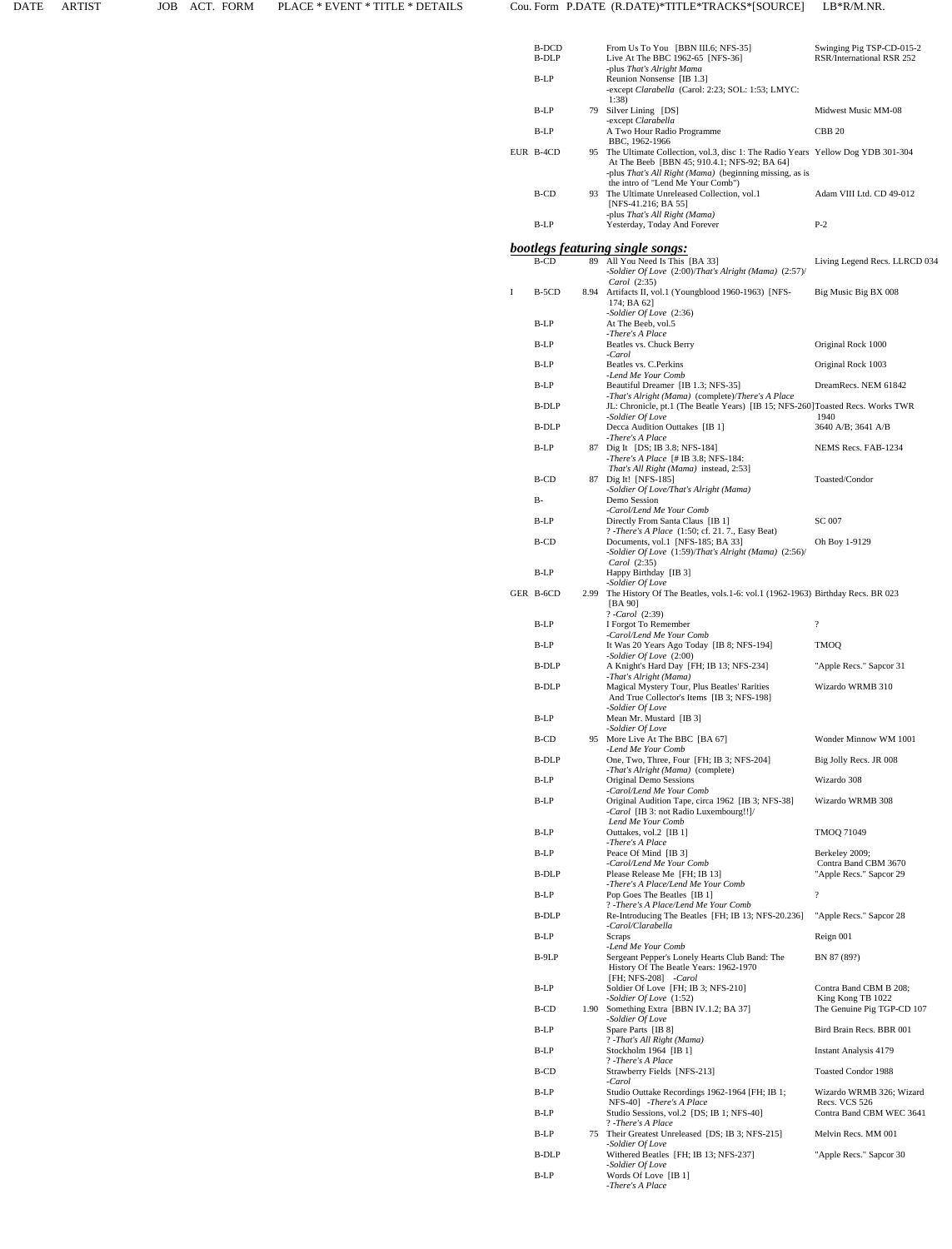|   | B-DCD<br>B-DLP |      | From Us To You [BBN III.6; NFS-35]<br>Live At The BBC 1962-65 [NFS-36]                                                                                                                                                            | Swinging Pig TSP-CD-015-2<br>RSR/International RSR 252                    |
|---|----------------|------|-----------------------------------------------------------------------------------------------------------------------------------------------------------------------------------------------------------------------------------|---------------------------------------------------------------------------|
|   | B-LP           |      | -plus That's Alright Mama<br>Reunion Nonsense [IB 1.3]                                                                                                                                                                            |                                                                           |
|   |                |      | -except Clarabella (Carol: 2:23; SOL: 1:53; LMYC:<br>1:38                                                                                                                                                                         |                                                                           |
|   | B-LP           |      | 79 Silver Lining [DS]<br>-except Clarabella                                                                                                                                                                                       | Midwest Music MM-08                                                       |
|   | B-LP           |      | A Two Hour Radio Programme<br>BBC, 1962-1966                                                                                                                                                                                      | <b>CBB 20</b>                                                             |
|   | EUR B-4CD      |      | 95 The Ultimate Collection, vol.3, disc 1: The Radio Years Yellow Dog YDB 301-304<br>At The Beeb [BBN 45; 910.4.1; NFS-92; BA 64]<br>-plus That's All Right (Mama) (beginning missing, as is<br>the intro of "Lend Me Your Comb") |                                                                           |
|   | B-CD           |      | 93 The Ultimate Unreleased Collection, vol.1<br>[NFS-41.216; BA 55]                                                                                                                                                               | Adam VIII Ltd. CD 49-012                                                  |
|   | B-LP           |      | -plus That's All Right (Mama)<br>Yesterday, Today And Forever                                                                                                                                                                     | $P-2$                                                                     |
|   |                |      | <b>bootlegs featuring single songs:</b>                                                                                                                                                                                           |                                                                           |
|   | <b>B-CD</b>    | 89   | All You Need Is This [BA 33]<br>-Soldier Of Love (2:00)/That's Alright (Mama) (2:57)/<br>Carol (2:35)                                                                                                                             | Living Legend Recs. LLRCD 034                                             |
| I | $B-5CD$        | 8.94 | Artifacts II, vol.1 (Youngblood 1960-1963) [NFS-<br>174; BA 62]                                                                                                                                                                   | Big Music Big BX 008                                                      |
|   | B-LP           |      | -Soldier Of Love (2:36)<br>At The Beeb, vol.5<br>-There's A Place                                                                                                                                                                 |                                                                           |
|   | B-LP           |      | Beatles vs. Chuck Berry<br>-Carol                                                                                                                                                                                                 | Original Rock 1000                                                        |
|   | B-LP           |      | Beatles vs. C. Perkins<br>-Lend Me Your Comb                                                                                                                                                                                      | Original Rock 1003                                                        |
|   | B-LP           |      | Beautiful Dreamer [IB 1.3; NFS-35]<br>-That's Alright (Mama) (complete)/There's A Place                                                                                                                                           | DreamRecs. NEM 61842                                                      |
|   | B-DLP          |      | JL: Chronicle, pt.1 (The Beatle Years) [IB 15; NFS-260]Toasted Recs. Works TWR<br>-Soldier Of Love                                                                                                                                | 1940                                                                      |
|   | B-DLP          |      | Decca Audition Outtakes [IB 1]<br>-There's A Place                                                                                                                                                                                | 3640 A/B; 3641 A/B                                                        |
|   | B-LP           |      | 87 Dig It [DS; IB 3.8; NFS-184]<br>-There's A Place [# IB 3.8; NFS-184:                                                                                                                                                           | NEMS Recs. FAB-1234                                                       |
|   | <b>B-CD</b>    | 87   | That's All Right (Mama) instead, 2:53]<br>Dig It! [NFS-185]                                                                                                                                                                       | Toasted/Condor                                                            |
|   | $B-$           |      | -Soldier Of Love/That's Alright (Mama)<br>Demo Session                                                                                                                                                                            |                                                                           |
|   | B-LP           |      | -Carol/Lend Me Your Comb<br>Directly From Santa Claus [IB 1]                                                                                                                                                                      | SC 007                                                                    |
|   | B-CD           |      | ? - There's A Place (1:50; cf. 21. 7., Easy Beat)<br>Documents, vol.1 [NFS-185; BA 33]<br>-Soldier Of Love $(1:59)/That's Alright (Mama) (2:56)/$                                                                                 | Oh Boy 1-9129                                                             |
|   | $B-LP$         |      | Carol (2:35)<br>Happy Birthday [IB 3]                                                                                                                                                                                             |                                                                           |
|   | GER B-6CD      |      | -Soldier Of Love<br>2.99 The History Of The Beatles, vols.1-6: vol.1 (1962-1963) Birthday Recs. BR 023<br>[BA 90]                                                                                                                 |                                                                           |
|   | B-LP           |      | ?-Carol (2:39)<br>I Forgot To Remember                                                                                                                                                                                            | $\overline{?}$                                                            |
|   | B-LP           |      | -Carol/Lend Me Your Comb<br>It Was 20 Years Ago Today [IB 8; NFS-194]                                                                                                                                                             | TMOQ                                                                      |
|   | B-DLP          |      | -Soldier Of Love (2:00)<br>A Knight's Hard Day [FH; IB 13; NFS-234]                                                                                                                                                               | "Apple Recs." Sapcor 31                                                   |
|   | B-DLP          |      | -That's Alright (Mama)<br>Magical Mystery Tour, Plus Beatles' Rarities<br>And True Collector's Items [IB 3; NFS-198]                                                                                                              | Wizardo WRMB 310                                                          |
|   | B-LP           |      | -Soldier Of Love<br>Mean Mr. Mustard [IB 3]                                                                                                                                                                                       |                                                                           |
|   | B-CD           |      | -Soldier Of Love<br>95 More Live At The BBC [BA 67]                                                                                                                                                                               | Wonder Minnow WM 1001                                                     |
|   | B-DLP          |      | -Lend Me Your Comb<br>One, Two, Three, Four [FH; IB 3; NFS-204]                                                                                                                                                                   | Big Jolly Recs. JR 008                                                    |
|   | B-LP           |      | -That's Alright (Mama) (complete)<br>Original Demo Sessions                                                                                                                                                                       | Wizardo 308                                                               |
|   | B-LP           |      | -Carol/Lend Me Your Comb<br>Original Audition Tape, circa 1962 [IB 3; NFS-38]                                                                                                                                                     | Wizardo WRMB 308                                                          |
|   |                |      | -Carol [IB 3: not Radio Luxembourg!!]/<br>Lend Me Your Comb                                                                                                                                                                       |                                                                           |
|   | B-LP           |      | Outtakes, vol.2 [IB 1]<br>-There's A Place                                                                                                                                                                                        | TMOQ 71049                                                                |
|   | B-LP           |      | Peace Of Mind [IB 3]<br>-Carol/Lend Me Your Comb                                                                                                                                                                                  | Berkeley 2009;<br>Contra Band CBM 3670                                    |
|   | B-DLP          |      | Please Release Me [FH; IB 13]<br>-There's A Place/Lend Me Your Comb                                                                                                                                                               | "Apple Recs." Sapcor 29                                                   |
|   | B-LP           |      | Pop Goes The Beatles [IB 1]<br>? -There's A Place/Lend Me Your Comb                                                                                                                                                               | $\overline{\cdot}$                                                        |
|   | <b>B-DLP</b>   |      | Re-Introducing The Beatles [FH; IB 13; NFS-20.236]<br>-Carol/Clarabella                                                                                                                                                           | "Apple Recs." Sapcor 28                                                   |
|   | B-LP           |      | Scraps<br>-Lend Me Your Comb                                                                                                                                                                                                      | Reign 001                                                                 |
|   | B-9LP          |      | Sergeant Pepper's Lonely Hearts Club Band: The<br>History Of The Beatle Years: 1962-1970<br>[FH: NFS-208] -Carol                                                                                                                  | BN 87 (89?)                                                               |
|   | B-LP<br>B-CD   | 1.90 | Soldier Of Love [FH; IB 3; NFS-210]<br>-Soldier Of Love (1:52)<br>Something Extra [BBN IV.1.2; BA 37]                                                                                                                             | Contra Band CBM B 208;<br>King Kong TB 1022<br>The Genuine Pig TGP-CD 107 |
|   | B-LP           |      | -Soldier Of Love<br>Spare Parts [IB 8]                                                                                                                                                                                            | Bird Brain Recs. BBR 001                                                  |
|   | B-LP           |      | ? - That's All Right (Mama)<br>Stockholm 1964 [IB 1]                                                                                                                                                                              | <b>Instant Analysis 4179</b>                                              |
|   | B-CD           |      | ? - There's A Place<br>Strawberry Fields [NFS-213]                                                                                                                                                                                | <b>Toasted Condor 1988</b>                                                |
|   | B-LP           |      | -Carol<br>Studio Outtake Recordings 1962-1964 [FH; IB 1;                                                                                                                                                                          | Wizardo WRMB 326; Wizard                                                  |
|   | B-LP           |      | NFS-40] -There's A Place<br>Studio Sessions, vol.2 [DS; IB 1; NFS-40]                                                                                                                                                             | Recs. VCS 526<br>Contra Band CBM WEC 3641                                 |
|   | B-LP           | 75   | ? -There's A Place<br>Their Greatest Unreleased [DS; IB 3; NFS-215]                                                                                                                                                               | Melvin Recs. MM 001                                                       |
|   | B-DLP          |      | -Soldier Of Love<br>Withered Beatles [FH; IB 13; NFS-237]                                                                                                                                                                         | "Apple Recs." Sapcor 30                                                   |
|   | B-LP           |      | -Soldier Of Love<br>Words Of Love [IB 1]<br>-There's A Place                                                                                                                                                                      |                                                                           |
|   |                |      |                                                                                                                                                                                                                                   |                                                                           |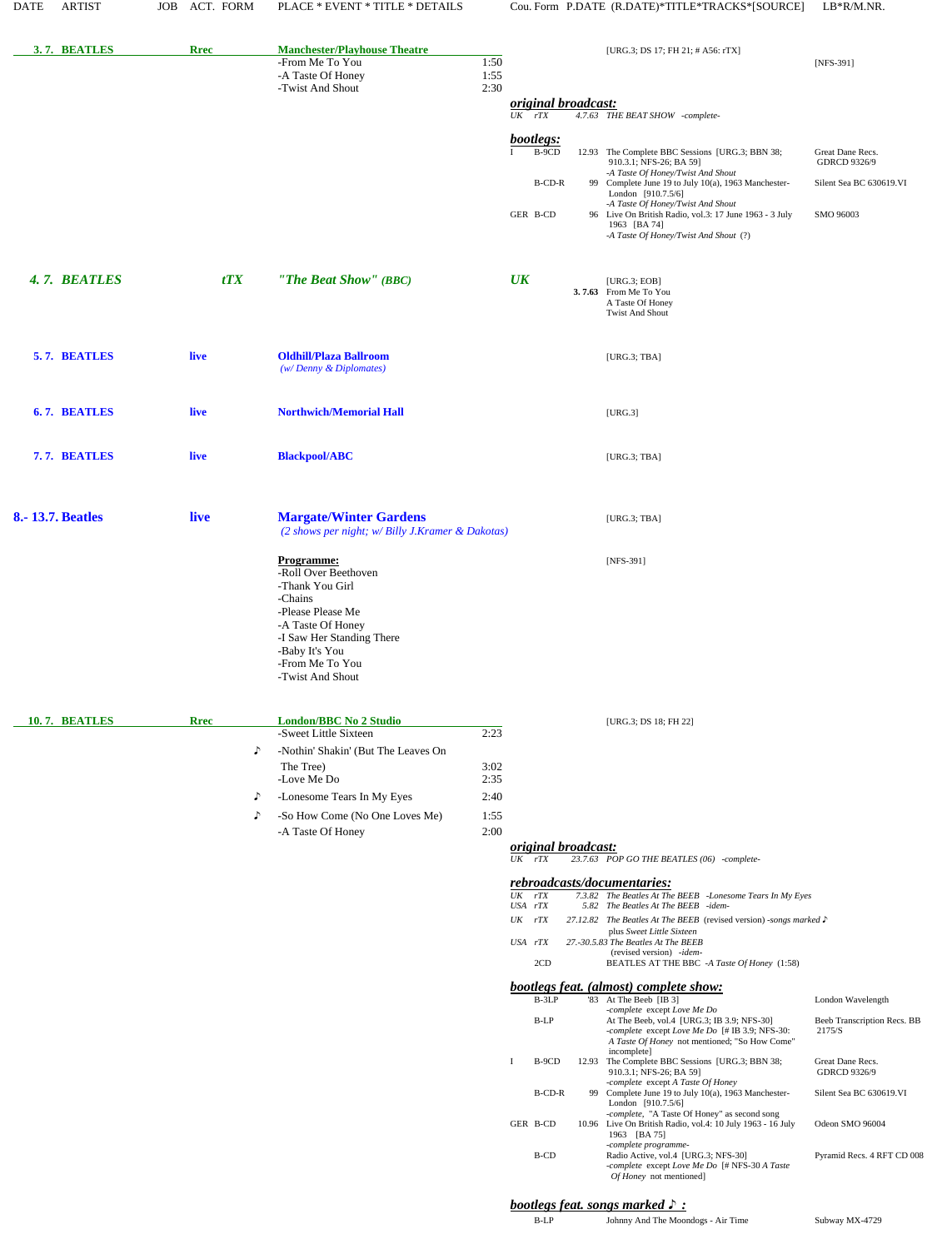| 3.7. BEATLES            | <b>Rrec</b>                            | <b>Manchester/Playhouse Theatre</b><br>-From Me To You<br>-A Taste Of Honey<br>-Twist And Shout                                                                                                                | 1:50<br>1:55                                 |                                                                                                                                           | [URG.3; DS 17; FH 21; # A56: rTX]                                                                                                                                                                                                                                                                                                                                                                                                                                                                                                                                                                                                                                                                                                                                                                                                                                                                                                                                                                                                                                                                                                                         | [NFS-391]                                                                                                                                                                         |
|-------------------------|----------------------------------------|----------------------------------------------------------------------------------------------------------------------------------------------------------------------------------------------------------------|----------------------------------------------|-------------------------------------------------------------------------------------------------------------------------------------------|-----------------------------------------------------------------------------------------------------------------------------------------------------------------------------------------------------------------------------------------------------------------------------------------------------------------------------------------------------------------------------------------------------------------------------------------------------------------------------------------------------------------------------------------------------------------------------------------------------------------------------------------------------------------------------------------------------------------------------------------------------------------------------------------------------------------------------------------------------------------------------------------------------------------------------------------------------------------------------------------------------------------------------------------------------------------------------------------------------------------------------------------------------------|-----------------------------------------------------------------------------------------------------------------------------------------------------------------------------------|
|                         |                                        |                                                                                                                                                                                                                | 2:30                                         | <i>original broadcast:</i><br>$UK$ $rTX$                                                                                                  | 4.7.63 THE BEAT SHOW -complete-                                                                                                                                                                                                                                                                                                                                                                                                                                                                                                                                                                                                                                                                                                                                                                                                                                                                                                                                                                                                                                                                                                                           |                                                                                                                                                                                   |
|                         |                                        |                                                                                                                                                                                                                |                                              | bootlegs:<br>B-9CD<br><b>B-CD-R</b><br>GER B-CD                                                                                           | 12.93 The Complete BBC Sessions [URG.3; BBN 38;<br>910.3.1; NFS-26; BA 591<br>-A Taste Of Honey/Twist And Shout<br>99 Complete June 19 to July 10(a), 1963 Manchester-<br>London [910.7.5/6]<br>-A Taste Of Honey/Twist And Shout<br>96 Live On British Radio, vol.3: 17 June 1963 - 3 July<br>1963 [BA 74]<br>-A Taste Of Honey/Twist And Shout (?)                                                                                                                                                                                                                                                                                                                                                                                                                                                                                                                                                                                                                                                                                                                                                                                                      | Great Dane Recs.<br>GDRCD 9326/9<br>Silent Sea BC 630619.VI<br>SMO 96003                                                                                                          |
| 4.7. BEATLES            | tTX                                    | "The Beat Show" (BBC)                                                                                                                                                                                          |                                              | $\overline{UK}$                                                                                                                           | [ $URG.3$ ; $EOB$ ]<br>3.7.63 From Me To You<br>A Taste Of Honey<br><b>Twist And Shout</b>                                                                                                                                                                                                                                                                                                                                                                                                                                                                                                                                                                                                                                                                                                                                                                                                                                                                                                                                                                                                                                                                |                                                                                                                                                                                   |
| 5.7. BEATLES            | live                                   | <b>Oldhill/Plaza Ballroom</b><br>$(w/Denny \& Diplomates)$                                                                                                                                                     |                                              |                                                                                                                                           | [ $URG.3$ ; $TBA$ ]                                                                                                                                                                                                                                                                                                                                                                                                                                                                                                                                                                                                                                                                                                                                                                                                                                                                                                                                                                                                                                                                                                                                       |                                                                                                                                                                                   |
| 6.7. BEATLES            | live                                   | <b>Northwich/Memorial Hall</b>                                                                                                                                                                                 |                                              |                                                                                                                                           | [URG.3]                                                                                                                                                                                                                                                                                                                                                                                                                                                                                                                                                                                                                                                                                                                                                                                                                                                                                                                                                                                                                                                                                                                                                   |                                                                                                                                                                                   |
| 7.7. BEATLES            | live                                   | <b>Blackpool/ABC</b>                                                                                                                                                                                           |                                              |                                                                                                                                           | [ $URG.3$ ; $TBA$ ]                                                                                                                                                                                                                                                                                                                                                                                                                                                                                                                                                                                                                                                                                                                                                                                                                                                                                                                                                                                                                                                                                                                                       |                                                                                                                                                                                   |
| <b>8.-13.7. Beatles</b> | live                                   | <b>Margate/Winter Gardens</b><br>(2 shows per night; w/ Billy J.Kramer & Dakotas)                                                                                                                              |                                              |                                                                                                                                           | [URG.3; TBA]                                                                                                                                                                                                                                                                                                                                                                                                                                                                                                                                                                                                                                                                                                                                                                                                                                                                                                                                                                                                                                                                                                                                              |                                                                                                                                                                                   |
|                         |                                        | -Roll Over Beethoven<br>-Thank You Girl<br>-Chains<br>-Please Please Me<br>-A Taste Of Honey<br>-I Saw Her Standing There<br>-Baby It's You<br>-From Me To You<br>-Twist And Shout                             |                                              |                                                                                                                                           |                                                                                                                                                                                                                                                                                                                                                                                                                                                                                                                                                                                                                                                                                                                                                                                                                                                                                                                                                                                                                                                                                                                                                           |                                                                                                                                                                                   |
| 10.7. BEATLES           | <b>Rrec</b><br>♪<br>♪<br>$\mathcal{L}$ | <b>London/BBC No 2 Studio</b><br>-Sweet Little Sixteen<br>-Nothin' Shakin' (But The Leaves On<br>The Tree)<br>-Love Me Do<br>-Lonesome Tears In My Eyes<br>-So How Come (No One Loves Me)<br>-A Taste Of Honey | 2:23<br>3:02<br>2:35<br>2:40<br>1:55<br>2:00 |                                                                                                                                           | [URG.3; DS 18; FH 22]                                                                                                                                                                                                                                                                                                                                                                                                                                                                                                                                                                                                                                                                                                                                                                                                                                                                                                                                                                                                                                                                                                                                     |                                                                                                                                                                                   |
|                         |                                        |                                                                                                                                                                                                                |                                              | <i><u><b>original broadcast:</b></u></i><br>$UK$ $rTX$                                                                                    | 23.7.63 POP GO THE BEATLES (06) -complete-                                                                                                                                                                                                                                                                                                                                                                                                                                                                                                                                                                                                                                                                                                                                                                                                                                                                                                                                                                                                                                                                                                                |                                                                                                                                                                                   |
|                         |                                        |                                                                                                                                                                                                                |                                              | $\overline{UK}$<br>rTX<br>USA rTX<br>UK<br>rTX<br>USA rTX<br>2CD<br>$B-3LP$<br>B-LP<br>B-9CD<br>$\mathbf I$<br>B-CD-R<br>GER B-CD<br>B-CD | rebroadcasts/documentaries:<br>7.3.82 The Beatles At The BEEB -Lonesome Tears In My Eyes<br>5.82 The Beatles At The BEEB -idem-<br>27.12.82 The Beatles At The BEEB (revised version) -songs marked ♪<br>plus Sweet Little Sixteen<br>27.-30.5.83 The Beatles At The BEEB<br>(revised version) -idem-<br>BEATLES AT THE BBC -A Taste Of Honey (1:58)<br><b>bootlegs feat.</b> (almost) complete show:<br>'83 At The Beeb [IB 3]<br>-complete except Love Me Do<br>At The Beeb, vol.4 [URG.3; IB 3.9; NFS-30]<br>-complete except Love Me Do [# IB 3.9; NFS-30:<br>A Taste Of Honey not mentioned; "So How Come"<br>incomplete]<br>12.93 The Complete BBC Sessions [URG.3; BBN 38;<br>910.3.1; NFS-26; BA 59]<br>-complete except A Taste Of Honey<br>99 Complete June 19 to July 10(a), 1963 Manchester-<br>London [910.7.5/6]<br>-complete, "A Taste Of Honey" as second song<br>10.96 Live On British Radio, vol.4: 10 July 1963 - 16 July<br>1963 [BA 75]<br>-complete programme-<br>Radio Active, vol.4 [URG.3; NFS-30]<br>-complete except Love Me Do [# NFS-30 A Taste<br>Of Honey not mentioned]<br>bootlegs feat. songs marked $\triangleright$ : | London Wavelength<br>Beeb Transcription Recs. BB<br>2175/S<br>Great Dane Recs.<br><b>GDRCD 9326/9</b><br>Silent Sea BC 630619.VI<br>Odeon SMO 96004<br>Pyramid Recs. 4 RFT CD 008 |
|                         |                                        |                                                                                                                                                                                                                |                                              | $B-LP$                                                                                                                                    | Johnny And The Moondogs - Air Time                                                                                                                                                                                                                                                                                                                                                                                                                                                                                                                                                                                                                                                                                                                                                                                                                                                                                                                                                                                                                                                                                                                        | Subway MX-4729                                                                                                                                                                    |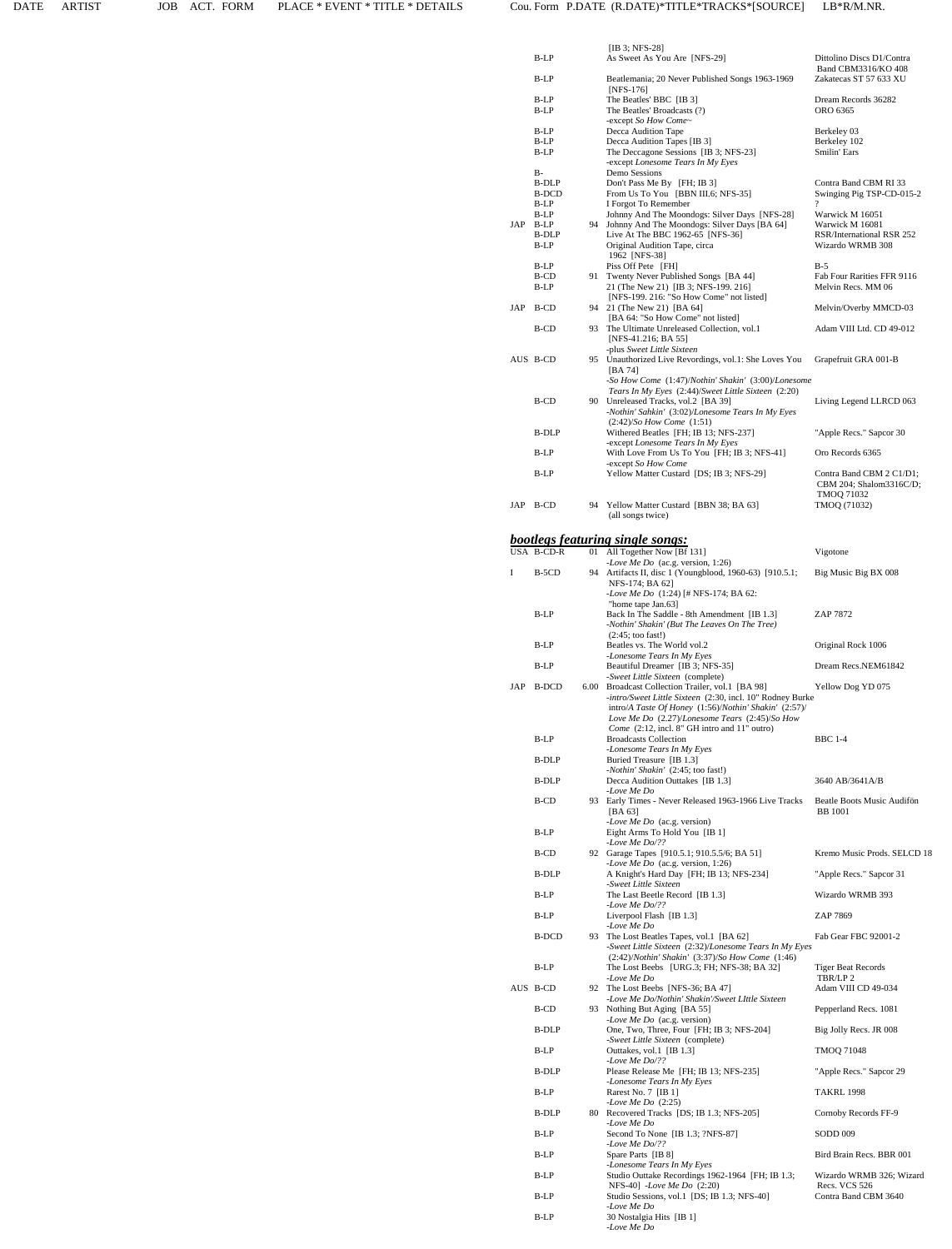|     | B-LP                             |      | [IB 3; NFS-28]<br>As Sweet As You Are [NFS-29]                                                                                                                                                         | Dittolino Discs D1/Contra                                        |
|-----|----------------------------------|------|--------------------------------------------------------------------------------------------------------------------------------------------------------------------------------------------------------|------------------------------------------------------------------|
|     | B-LP                             |      | Beatlemania; 20 Never Published Songs 1963-1969                                                                                                                                                        | Band CBM3316/KO 408<br>Zakatecas ST 57 633 XU                    |
|     | B-LP<br>B-LP                     |      | $[NFS-176]$<br>The Beatles' BBC [IB 3]<br>The Beatles' Broadcasts (?)                                                                                                                                  | Dream Records 36282<br>ORO 6365                                  |
|     | B-LP                             |      | -except So How Come~<br>Decca Audition Tape                                                                                                                                                            | Berkeley 03                                                      |
|     | B-LP<br>B-LP                     |      | Decca Audition Tapes [IB 3]<br>The Deccagone Sessions [IB 3; NFS-23]                                                                                                                                   | Berkeley 102<br>Smilin' Ears                                     |
|     | B-                               |      | -except Lonesome Tears In My Eyes<br>Demo Sessions                                                                                                                                                     |                                                                  |
|     | B-DLP<br><b>B-DCD</b>            |      | Don't Pass Me By [FH; IB 3]<br>From Us To You [BBN III.6; NFS-35]                                                                                                                                      | Contra Band CBM RI 33<br>Swinging Pig TSP-CD-015-2               |
|     | B-LP<br>B-LP                     |      | I Forgot To Remember<br>Johnny And The Moondogs: Silver Days [NFS-28]                                                                                                                                  | ?<br>Warwick M 16051                                             |
|     | JAP B-LP<br><b>B-DLP</b><br>B-LP |      | 94 Johnny And The Moondogs: Silver Days [BA 64]<br>Live At The BBC 1962-65 [NFS-36]<br>Original Audition Tape, circa                                                                                   | Warwick M 16081<br>RSR/International RSR 252<br>Wizardo WRMB 308 |
|     | B-LP                             |      | 1962 [NFS-38]<br>Piss Off Pete [FH]                                                                                                                                                                    | $B-5$                                                            |
|     | B-CD<br>B-LP                     | 91   | Twenty Never Published Songs [BA 44]<br>21 (The New 21) [IB 3; NFS-199. 216]                                                                                                                           | Fab Four Rarities FFR 9116<br>Melvin Recs. MM 06                 |
|     | JAP B-CD                         |      | [NFS-199. 216: "So How Come" not listed]<br>94 21 (The New 21) [BA 64]                                                                                                                                 | Melvin/Overby MMCD-03                                            |
|     | B-CD                             |      | [BA 64: "So How Come" not listed]<br>93 The Ultimate Unreleased Collection, vol.1<br>[NFS-41.216; BA 55]                                                                                               | Adam VIII Ltd. CD 49-012                                         |
|     | AUS B-CD                         |      | -plus Sweet Little Sixteen<br>95 Unauthorized Live Revordings, vol.1: She Loves You<br>[BA 74]                                                                                                         | Grapefruit GRA 001-B                                             |
|     | B-CD                             |      | -So How Come (1:47)/Nothin' Shakin' (3:00)/Lonesome<br>Tears In My Eyes (2:44)/Sweet Little Sixteen (2:20)<br>90 Unreleased Tracks, vol.2 [BA 39]<br>-Nothin' Sahkin' (3:02)/Lonesome Tears In My Eyes | Living Legend LLRCD 063                                          |
|     |                                  |      | $(2:42)/So$ How Come $(1:51)$<br>Withered Beatles [FH; IB 13; NFS-237]                                                                                                                                 |                                                                  |
|     | B-DLP                            |      | -except Lonesome Tears In My Eyes                                                                                                                                                                      | "Apple Recs." Sapcor 30                                          |
|     | B-LP                             |      | With Love From Us To You [FH; IB 3; NFS-41]<br>-except So How Come                                                                                                                                     | Oro Records 6365                                                 |
|     | B-LP                             |      | Yellow Matter Custard [DS; IB 3; NFS-29]                                                                                                                                                               | Contra Band CBM 2 C1/D1;<br>CBM 204; Shalom3316C/D;              |
|     | JAP B-CD                         |      | 94 Yellow Matter Custard [BBN 38; BA 63]                                                                                                                                                               | TMOQ 71032<br>TMOQ (71032)                                       |
|     |                                  |      | (all songs twice)                                                                                                                                                                                      |                                                                  |
|     | USA B-CD-R                       |      | <b>bootlegs featuring single songs:</b><br>01 All Together Now [Bf 131]                                                                                                                                | Vigotone                                                         |
| Ι   | B-5CD                            | 94   | -Love Me Do (ac.g. version, 1:26)<br>Artifacts II, disc 1 (Youngblood, 1960-63) [910.5.1;                                                                                                              | Big Music Big BX 008                                             |
|     |                                  |      | NFS-174; BA 62]<br>-Love Me Do (1:24) [# NFS-174; BA 62:                                                                                                                                               |                                                                  |
|     | B-LP                             |      | "home tape Jan.63]<br>Back In The Saddle - 8th Amendment [IB 1.3]                                                                                                                                      | ZAP 7872                                                         |
|     |                                  |      | -Nothin' Shakin' (But The Leaves On The Tree)<br>$(2:45; \text{ too fast}!)$                                                                                                                           |                                                                  |
|     | B-LP                             |      | Beatles vs. The World vol.2<br>-Lonesome Tears In My Eyes                                                                                                                                              | Original Rock 1006                                               |
|     | B-LP                             |      | Beautiful Dreamer [IB 3; NFS-35]<br>-Sweet Little Sixteen (complete)                                                                                                                                   | Dream Recs.NEM61842                                              |
| JAP | <b>B-DCD</b>                     | 6.00 | Broadcast Collection Trailer, vol.1 [BA 98]<br>-intro/Sweet Little Sixteen (2:30, incl. 10" Rodney Burke                                                                                               | Yellow Dog YD 075                                                |
|     |                                  |      | intro/A Taste Of Honey (1:56)/Nothin' Shakin' (2:57)/<br>Love Me Do (2.27)/Lonesome Tears (2:45)/So How                                                                                                |                                                                  |
|     | B-LP                             |      | Come (2:12, incl. 8" GH intro and 11" outro)<br><b>Broadcasts Collection</b>                                                                                                                           | <b>BBC 1-4</b>                                                   |
|     | B-DLP                            |      | -Lonesome Tears In My Eyes<br>Buried Treasure [IB 1.3]                                                                                                                                                 |                                                                  |
|     | <b>B-DLP</b>                     |      | -Nothin' Shakin' (2:45; too fast!)<br>Decca Audition Outtakes [IB 1.3]                                                                                                                                 | 3640 AB/3641A/B                                                  |
|     | B-CD                             |      | -Love Me Do<br>93 Early Times - Never Released 1963-1966 Live Tracks                                                                                                                                   | Beatle Boots Music Audifön                                       |
|     |                                  |      | [BA 63]<br>-Love Me Do (ac.g. version)                                                                                                                                                                 | <b>BB</b> 1001                                                   |
|     | B-LP                             |      | Eight Arms To Hold You [IB 1]<br>-Love Me $Do$ /??                                                                                                                                                     |                                                                  |
|     | B-CD                             |      | 92 Garage Tapes [910.5.1; 910.5.5/6; BA 51]<br>-Love Me Do (ac.g. version, 1:26)                                                                                                                       | Kremo Music Prods. SELCD 18                                      |
|     | B-DLP                            |      | A Knight's Hard Day [FH; IB 13; NFS-234]<br>-Sweet Little Sixteen                                                                                                                                      | "Apple Recs." Sapcor 31                                          |
|     | B-LP                             |      | The Last Beetle Record [IB 1.3]<br>-Love Me $Do$ /??                                                                                                                                                   | Wizardo WRMB 393                                                 |
|     | B-LP                             |      | Liverpool Flash [IB 1.3]<br>-Love Me Do                                                                                                                                                                | ZAP 7869                                                         |
|     | B-DCD                            | 93.  | The Lost Beatles Tapes, vol.1 [BA 62]<br>-Sweet Little Sixteen (2:32)/Lonesome Tears In My Eyes<br>$(2:42)/Nothin' Shakin'$ $(3:37)/So$ How Come $(1:46)$                                              | Fab Gear FBC 92001-2                                             |
|     | $B-LP$                           |      | The Lost Beebs [URG.3; FH; NFS-38; BA 32]                                                                                                                                                              | <b>Tiger Beat Records</b>                                        |
|     | AUS B-CD                         |      | -Love Me Do<br>92 The Lost Beebs [NFS-36; BA 47]<br>-Love Me Do/Nothin' Shakin'/Sweet LIttle Sixteen                                                                                                   | TBR/LP 2<br>Adam VIII CD 49-034                                  |
|     | B-CD                             |      | 93 Nothing But Aging [BA 55]<br>-Love Me Do (ac.g. version)                                                                                                                                            | Pepperland Recs. 1081                                            |
|     | B-DLP                            |      | One, Two, Three, Four [FH; IB 3; NFS-204]                                                                                                                                                              | Big Jolly Recs. JR 008                                           |
|     | B-LP                             |      | -Sweet Little Sixteen (complete)<br>Outtakes, vol.1 $[IB 1.3]$                                                                                                                                         | TMOQ 71048                                                       |
|     | B-DLP                            |      | -Love Me $Do/??$<br>Please Release Me [FH; IB 13; NFS-235]<br>-Lonesome Tears In My Eyes                                                                                                               | "Apple Recs." Sapcor 29                                          |
|     | B-LP                             |      | Rarest No. 7 [IB 1]                                                                                                                                                                                    | <b>TAKRL 1998</b>                                                |
|     | B-DLP                            |      | -Love Me Do $(2:25)$<br>80 Recovered Tracks [DS; IB 1.3; NFS-205]                                                                                                                                      | Cornoby Records FF-9                                             |
|     | B-LP                             |      | -Love Me Do<br>Second To None [IB 1.3; ?NFS-87]                                                                                                                                                        | <b>SODD 009</b>                                                  |
|     | B-LP                             |      | -Love Me $Do$ /??<br>Spare Parts [IB 8]                                                                                                                                                                | Bird Brain Recs. BBR 001                                         |
|     | B-LP                             |      | -Lonesome Tears In My Eyes<br>Studio Outtake Recordings 1962-1964 [FH; IB 1.3;                                                                                                                         | Wizardo WRMB 326; Wizard                                         |
|     | B-LP                             |      | $NFS-40$ ] -Love Me Do (2:20)<br>Studio Sessions, vol.1 [DS; IB 1.3; NFS-40]                                                                                                                           | Recs. VCS 526<br>Contra Band CBM 3640                            |
|     | B-LP                             |      | -Love Me Do<br>30 Nostalgia Hits [IB 1]<br>-Love Me Do                                                                                                                                                 |                                                                  |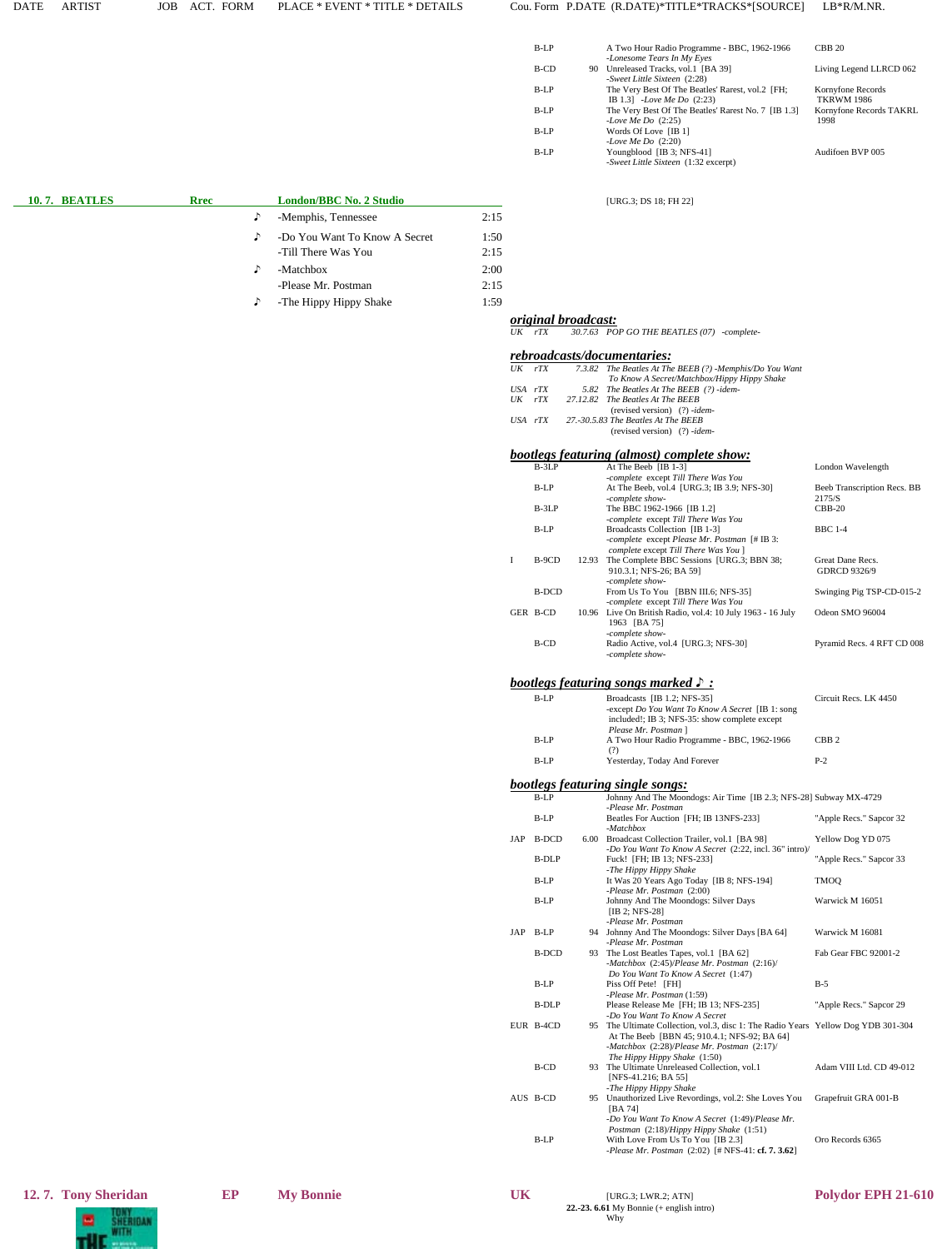### DATE ARTIST JOB ACT. FORM PLACE \* EVENT \* TITLE \* DETAILS Cou. Form P.DATE (R.DATE)\*TITLE\*TRACKS\*[SOURCE] LB\*R/M.NR.

| $B-I.P$ | A Two Hour Radio Programme - BBC, 1962-1966<br>-Lonesome Tears In My Eyes        | <b>CBB 20</b>                          |
|---------|----------------------------------------------------------------------------------|----------------------------------------|
| B-CD    | 90 Unreleased Tracks, vol.1 [BA 39]<br>-Sweet Little Sixteen (2:28)              | Living Legend LLRCD 062                |
| $B-I.P$ | The Very Best Of The Beatles' Rarest, vol.2 [FH;<br>IB 1.3] -Love Me Do $(2:23)$ | Kornyfone Records<br><b>TKRWM 1986</b> |
| $B-I.P$ | The Very Best Of The Beatles' Rarest No. 7 [IB 1.3]<br>-Love Me Do $(2:25)$      | Kornyfone Records TAKRL<br>1998        |
| $B-I.P$ | Words Of Love [IB 1]<br>-Love Me Do $(2:20)$                                     |                                        |
| $B-I.P$ | Youngblood [IB 3; NFS-41]<br>-Sweet Little Sixteen (1:32 excerpt)                | Audifoen BVP 005                       |
|         |                                                                                  |                                        |

 **10. 7. BEATLES Rrec London/BBC No. 2 Studio** [URG.3; DS 18; FH 22]

*UK rTX 30.7.63 POP GO THE BEATLES (07) -complete-*

 *original broadcast:*

| 10.7. BEATLES | <b>Rrec</b> |   | London/BBC No. 2 Studio       |      |
|---------------|-------------|---|-------------------------------|------|
|               |             | ♪ | -Memphis, Tennessee           | 2:15 |
|               |             | ♪ | -Do You Want To Know A Secret | 1:50 |
|               |             |   | -Till There Was You           | 2:15 |
|               |             |   | -Matchbox                     | 2:00 |
|               |             |   | -Please Mr. Postman           | 2:15 |

♪ -The Hippy Hippy Shake 1:59

| UK  | rTX          |          | <u>rebroadcasts/documentaries:</u><br>7.3.82 The Beatles At The BEEB (?) -Memphis/Do You Want                                     |                             |
|-----|--------------|----------|-----------------------------------------------------------------------------------------------------------------------------------|-----------------------------|
|     |              |          | To Know A Secret/Matchbox/Hippy Hippy Shake                                                                                       |                             |
|     | USA rTX      | 5.82     | The Beatles At The BEEB (?) -idem-                                                                                                |                             |
| UK  | rTX          | 27.12.82 | The Beatles At The BEEB<br>(revised version) (?) -idem-                                                                           |                             |
|     | USA rTX      |          | 27.-30.5.83 The Beatles At The BEEB<br>(revised version) $(?)$ -idem-                                                             |                             |
|     | $B-3LP$      |          | <u>bootlegs featuring (almost) complete show:</u><br>At The Beeb [IB 1-3]                                                         | London Wavelength           |
|     |              |          | -complete except Till There Was You                                                                                               |                             |
|     | $B-LP$       |          | At The Beeb, vol.4 [URG.3; IB 3.9; NFS-30]                                                                                        | Beeb Transcription Recs. BB |
|     | B-3LP        |          | -complete show-<br>The BBC 1962-1966 [IB 1.2]                                                                                     | 2175/S<br>$CBB-20$          |
|     |              |          | -complete except Till There Was You                                                                                               |                             |
|     | B-LP         |          | Broadcasts Collection [IB 1-3]                                                                                                    | <b>BBC</b> 1-4              |
|     |              |          | -complete except Please Mr. Postman [# IB 3:<br>complete except Till There Was You ]                                              |                             |
| I   | B-9CD        |          | 12.93 The Complete BBC Sessions [URG.3; BBN 38;                                                                                   | Great Dane Recs.            |
|     |              |          | 910.3.1; NFS-26; BA 59]                                                                                                           | GDRCD 9326/9                |
|     | <b>B-DCD</b> |          | -complete show-<br>From Us To You [BBN III.6; NFS-35]                                                                             | Swinging Pig TSP-CD-015-2   |
|     |              |          | -complete except Till There Was You                                                                                               |                             |
|     | GER B-CD     |          | 10.96 Live On British Radio, vol.4: 10 July 1963 - 16 July<br>1963 [BA 75]                                                        | Odeon SMO 96004             |
|     | B-CD         |          | -complete show-<br>Radio Active, vol.4 [URG.3; NFS-30]                                                                            | Pyramid Recs. 4 RFT CD 008  |
|     |              |          | -complete show-                                                                                                                   |                             |
|     |              |          | <b>bootlegs featuring songs marked <math>\mathcal{S}</math>:</b>                                                                  |                             |
|     | $B-LP$       |          | Broadcasts [IB 1.2; NFS-35]                                                                                                       | Circuit Recs. LK 4450       |
|     |              |          | -except Do You Want To Know A Secret [IB 1: song                                                                                  |                             |
|     |              |          | included!; IB 3; NFS-35: show complete except<br>Please Mr. Postman ]                                                             |                             |
|     | B-LP         |          | A Two Hour Radio Programme - BBC, 1962-1966                                                                                       | CBB <sub>2</sub>            |
|     |              |          | (?)                                                                                                                               |                             |
|     | B-LP         |          | Yesterday, Today And Forever                                                                                                      | $P-2$                       |
|     |              |          |                                                                                                                                   |                             |
|     |              |          | <b>bootlegs featuring single songs:</b>                                                                                           |                             |
|     | $B-LP$       |          | Johnny And The Moondogs: Air Time [IB 2.3; NFS-28] Subway MX-4729                                                                 |                             |
|     |              |          | -Please Mr. Postman                                                                                                               |                             |
|     | B-LP         |          | Beatles For Auction [FH; IB 13NFS-233]<br>-Matchbox                                                                               | "Apple Recs." Sapcor 32     |
| JAP | <b>B-DCD</b> |          | 6.00 Broadcast Collection Trailer, vol.1 [BA 98]                                                                                  | Yellow Dog YD 075           |
|     |              |          | -Do You Want To Know A Secret (2:22, incl. 36" intro)/                                                                            |                             |
|     | B-DLP        |          | Fuck! [FH; IB 13; NFS-233]<br>-The Hippy Hippy Shake                                                                              | "Apple Recs." Sapcor 33     |
|     | B-LP         |          | It Was 20 Years Ago Today [IB 8; NFS-194]                                                                                         | <b>TMOQ</b>                 |
|     |              |          | -Please Mr. Postman (2:00)                                                                                                        |                             |
|     | B-LP         |          | Johnny And The Moondogs: Silver Days<br>$[IB 2; NFS-28]$                                                                          | Warwick M 16051             |
|     |              |          | -Please Mr. Postman                                                                                                               |                             |
| JAP | B-LP         |          | 94 Johnny And The Moondogs: Silver Days [BA 64]                                                                                   | Warwick M 16081             |
|     |              | 93       | -Please Mr. Postman                                                                                                               |                             |
|     | B-DCD        |          | The Lost Beatles Tapes, vol.1 [BA 62]<br>-Matchbox (2:45)/Please Mr. Postman (2:16)/                                              | Fab Gear FBC 92001-2        |
|     |              |          | Do You Want To Know A Secret (1:47)                                                                                               |                             |
|     | B-LP         |          | Piss Off Pete! [FH]                                                                                                               | $B-5$                       |
|     | B-DLP        |          | -Please Mr. Postman (1:59)<br>Please Release Me [FH; IB 13; NFS-235]                                                              | "Apple Recs." Sapcor 29     |
|     |              |          | -Do You Want To Know A Secret                                                                                                     |                             |
|     | EUR B-4CD    |          | 95 The Ultimate Collection, vol.3, disc 1: The Radio Years Yellow Dog YDB 301-304<br>At The Beeb [BBN 45; 910.4.1; NFS-92; BA 64] |                             |
|     |              |          | -Matchbox $(2:28)/Please$ Mr. Postman $(2:17)/$<br>The Hippy Hippy Shake (1:50)                                                   |                             |
|     | B-CD         |          | 93 The Ultimate Unreleased Collection, vol.1                                                                                      | Adam VIII Ltd. CD 49-012    |
|     |              |          | [NFS-41.216; BA 55]                                                                                                               |                             |
|     |              |          | -The Hippy Hippy Shake                                                                                                            |                             |
|     | AUS B-CD     |          | 95 Unauthorized Live Revordings, vol.2: She Loves You<br>[BA 74]                                                                  | Grapefruit GRA 001-B        |
|     |              |          | -Do You Want To Know A Secret (1:49)/Please Mr.                                                                                   |                             |
|     | B-LP         |          | Postman (2:18)/Hippy Hippy Shake (1:51)<br>With Love From Us To You [IB 2.3]                                                      | Oro Records 6365            |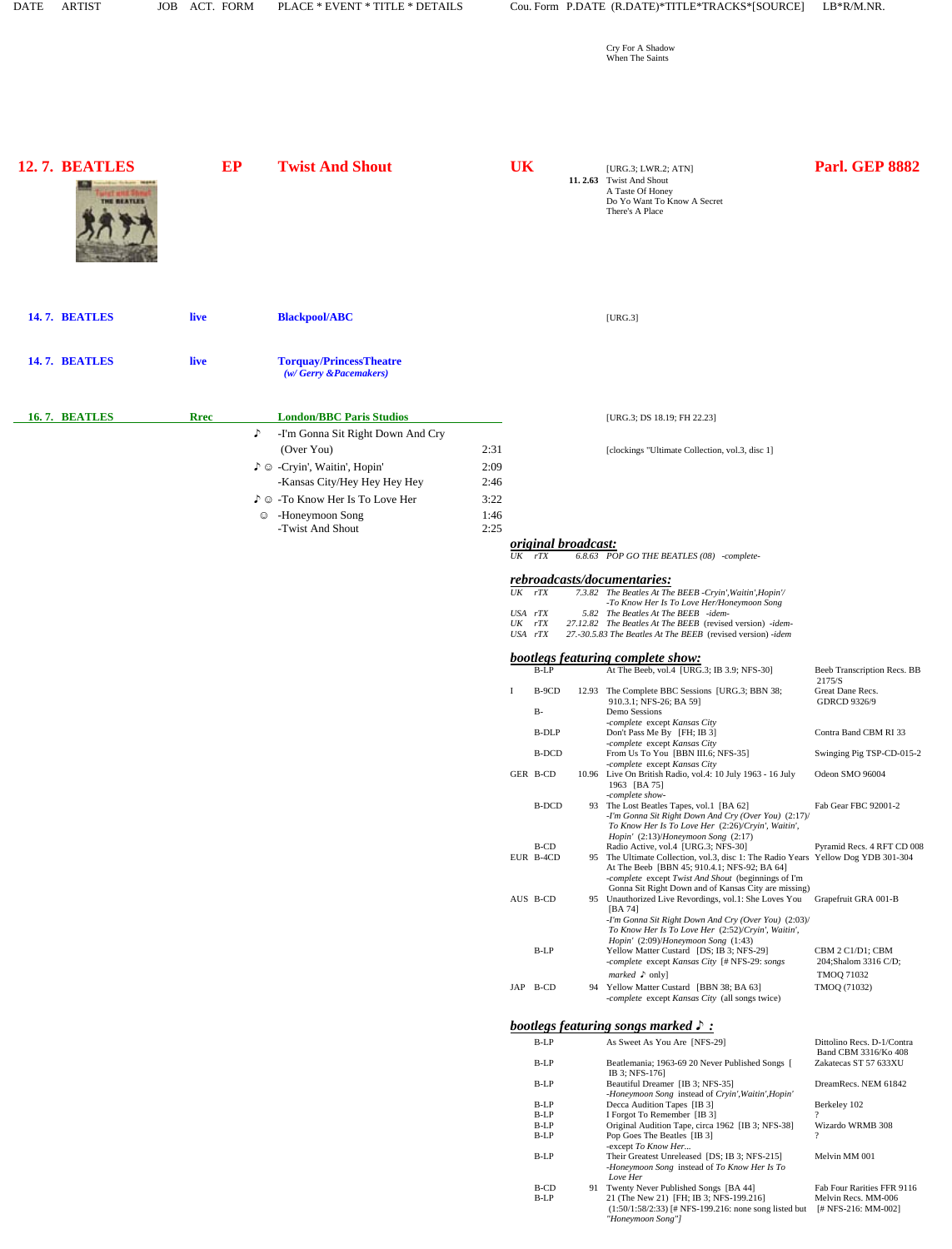| <b>DATE</b> | <b>ARTIST</b>                | <b>JOB</b> |             | ACT. FORM       | PLACE * EVENT * TITLE * DETAILS                                                                                                                                                                          |                                      |                                                   |                                    |                            | Cou. Form P.DATE (R.DATE)*TITLE*TRACKS*[SOURCE]                                                                                                                                                                                                                                                                                                       | LB*R/M.NR.                                                                                   |
|-------------|------------------------------|------------|-------------|-----------------|----------------------------------------------------------------------------------------------------------------------------------------------------------------------------------------------------------|--------------------------------------|---------------------------------------------------|------------------------------------|----------------------------|-------------------------------------------------------------------------------------------------------------------------------------------------------------------------------------------------------------------------------------------------------------------------------------------------------------------------------------------------------|----------------------------------------------------------------------------------------------|
|             |                              |            |             |                 |                                                                                                                                                                                                          |                                      |                                                   |                                    |                            | Cry For A Shadow<br>When The Saints                                                                                                                                                                                                                                                                                                                   |                                                                                              |
|             | 12.7. BEATLES<br>THE REATLES |            |             | EP              | <b>Twist And Shout</b>                                                                                                                                                                                   |                                      | <b>UK</b>                                         |                                    |                            | [URG.3; LWR.2; ATN]<br>11. 2.63 Twist And Shout<br>A Taste Of Honey<br>Do Yo Want To Know A Secret<br>There's A Place                                                                                                                                                                                                                                 | <b>Parl. GEP 8882</b>                                                                        |
|             | <b>14.7. BEATLES</b>         |            | live        |                 | <b>Blackpool/ABC</b>                                                                                                                                                                                     |                                      |                                                   |                                    |                            | [URG.3]                                                                                                                                                                                                                                                                                                                                               |                                                                                              |
|             | <b>14.7. BEATLES</b>         |            | live        |                 | <b>Torquay/PrincessTheatre</b><br>(w/Gerry &Pacemakers)                                                                                                                                                  |                                      |                                                   |                                    |                            |                                                                                                                                                                                                                                                                                                                                                       |                                                                                              |
|             | 16.7. BEATLES                |            | <b>Rrec</b> | ♪<br>$_{\odot}$ | <b>London/BBC Paris Studios</b><br>-I'm Gonna Sit Right Down And Cry<br>(Over You)<br>♪ © -Cryin', Waitin', Hopin'<br>-Kansas City/Hey Hey Hey Hey<br>♪ © -To Know Her Is To Love Her<br>-Honeymoon Song | 2:31<br>2:09<br>2:46<br>3:22<br>1:46 |                                                   |                                    |                            | [URG.3; DS 18.19; FH 22.23]<br>[clockings "Ultimate Collection, vol.3, disc 1]                                                                                                                                                                                                                                                                        |                                                                                              |
|             |                              |            |             |                 | -Twist And Shout                                                                                                                                                                                         | 2:25                                 | $UK$ $rTX$<br>$UK$ $rTX$<br>USA rTX<br>$UK$ $rTX$ | USA rTX                            | <i>original broadcast:</i> | 6.8.63 POP GO THE BEATLES (08) -complete-<br>rebroadcasts/documentaries:<br>7.3.82 The Beatles At The BEEB -Cryin', Waitin', Hopin'/<br>-To Know Her Is To Love Her/Honeymoon Song<br>5.82 The Beatles At The BEEB -idem-<br>27.12.82 The Beatles At The BEEB (revised version) -idem-<br>27.-30.5.83 The Beatles At The BEEB (revised version) -idem |                                                                                              |
|             |                              |            |             |                 |                                                                                                                                                                                                          |                                      | L                                                 | B-LP<br>B-9CD                      |                            | <b>bootlegs featuring complete show:</b><br>At The Beeb, vol.4 [URG.3; IB 3.9; NFS-30]<br>12.93 The Complete BBC Sessions [URG.3; BBN 38;                                                                                                                                                                                                             | Beeb Transcription Recs. BB<br>2175/S<br>Great Dane Recs.                                    |
|             |                              |            |             |                 |                                                                                                                                                                                                          |                                      |                                                   | $B-$<br>B-DLP<br>B-DCD<br>GER B-CD |                            | 910.3.1; NFS-26; BA 59]<br>Demo Sessions<br>-complete except Kansas City<br>Don't Pass Me By [FH; IB 3]<br>-complete except Kansas City<br>From Us To You [BBN III.6; NFS-35]<br>-complete except Kansas City<br>10.96 Live On British Radio, vol.4: 10 July 1963 - 16 July                                                                           | <b>GDRCD 9326/9</b><br>Contra Band CBM RI 33<br>Swinging Pig TSP-CD-015-2<br>Odeon SMO 96004 |
|             |                              |            |             |                 |                                                                                                                                                                                                          |                                      |                                                   | <b>B-DCD</b>                       |                            | 1963 [BA 75]<br>-complete show-<br>93 The Lost Beatles Tapes, vol.1 [BA 62]<br>-I'm Gonna Sit Right Down And Cry (Over You) (2:17)/<br>To Know Her Is To Love Her (2:26)/Cryin', Waitin',                                                                                                                                                             | Fab Gear FBC 92001-2                                                                         |
|             |                              |            |             |                 |                                                                                                                                                                                                          |                                      |                                                   | B-CD<br>EUR B-4CD                  | 95                         | Hopin' (2:13)/Honeymoon Song (2:17)<br>Radio Active, vol.4 [URG.3; NFS-30]<br>The Ultimate Collection, vol.3, disc 1: The Radio Years Yellow Dog YDB 301-304<br>At The Beeb [BBN 45; 910.4.1; NFS-92; BA 64]<br>-complete except Twist And Shout (beginnings of I'm<br>Gonna Sit Right Down and of Kansas City are missing)                           | Pyramid Recs. 4 RFT CD 008                                                                   |
|             |                              |            |             |                 |                                                                                                                                                                                                          |                                      |                                                   | AUS B-CD<br>$B-LP$                 | 95                         | Unauthorized Live Revordings, vol.1: She Loves You Grapefruit GRA 001-B<br>[BA 74]<br>-I'm Gonna Sit Right Down And Cry (Over You) (2:03)/<br>To Know Her Is To Love Her (2:52)/Cryin', Waitin',<br>Hopin' (2:09)/Honeymoon Song (1:43)<br>Yellow Matter Custard [DS; IB 3; NFS-29]                                                                   | CBM 2 C1/D1; CBM                                                                             |
|             |                              |            |             |                 |                                                                                                                                                                                                          |                                      |                                                   | JAP B-CD                           | 94                         | -complete except Kansas City [# NFS-29: songs<br><i>marked</i> $\triangleright$ only]<br>Yellow Matter Custard [BBN 38; BA 63]<br>-complete except Kansas City (all songs twice)                                                                                                                                                                      | 204;Shalom 3316 C/D;<br><b>TMOQ 71032</b><br>TMOQ (71032)                                    |
|             |                              |            |             |                 |                                                                                                                                                                                                          |                                      |                                                   | $B-LP$                             |                            | bootlegs featuring songs marked $\mathcal{S}$ :<br>As Sweet As You Are [NFS-29]                                                                                                                                                                                                                                                                       | Dittolino Recs. D-1/Contra<br>Band CBM 3316/Ko 408                                           |
|             |                              |            |             |                 |                                                                                                                                                                                                          |                                      |                                                   | $B-LP$                             |                            | Beatlemania; 1963-69 20 Never Published Songs [<br>IB 3; NFS-176]                                                                                                                                                                                                                                                                                     | Zakatecas ST 57 633XU                                                                        |
|             |                              |            |             |                 |                                                                                                                                                                                                          |                                      |                                                   | B-LP                               |                            | Beautiful Dreamer [IB 3; NFS-35]<br>-Honeymoon Song instead of Cryin', Waitin', Hopin'                                                                                                                                                                                                                                                                | DreamRecs. NEM 61842                                                                         |
|             |                              |            |             |                 |                                                                                                                                                                                                          |                                      |                                                   | $B-LP$<br>$B-LP$                   |                            | Decca Audition Tapes [IB 3]<br>I Forgot To Remember [IB 3]                                                                                                                                                                                                                                                                                            | Berkeley 102                                                                                 |
|             |                              |            |             |                 |                                                                                                                                                                                                          |                                      |                                                   | $B-LP$<br>$B-LP$                   |                            | Original Audition Tape, circa 1962 [IB 3; NFS-38]<br>Pop Goes The Beatles [IB 3]                                                                                                                                                                                                                                                                      | Wizardo WRMB 308                                                                             |
|             |                              |            |             |                 |                                                                                                                                                                                                          |                                      |                                                   | $B-LP$                             |                            | -except To Know Her<br>Their Greatest Unreleased [DS; IB 3; NFS-215]<br>-Honeymoon Song instead of To Know Her Is To<br>Love Her                                                                                                                                                                                                                      | Melvin MM 001                                                                                |
|             |                              |            |             |                 |                                                                                                                                                                                                          |                                      |                                                   | B-CD                               |                            | 91 Twenty Never Published Songs [BA 44]                                                                                                                                                                                                                                                                                                               | Fab Four Rarities FFR 9116                                                                   |

B-LP 21 (The New 21) [FH; IB 3; NFS-199.216] Melvin Recs. MM-006 (1:50/1:58/2:33) [# NFS-199.216: none song listed but [# NFS-216: MM-002] *"Honeymoon Song"]*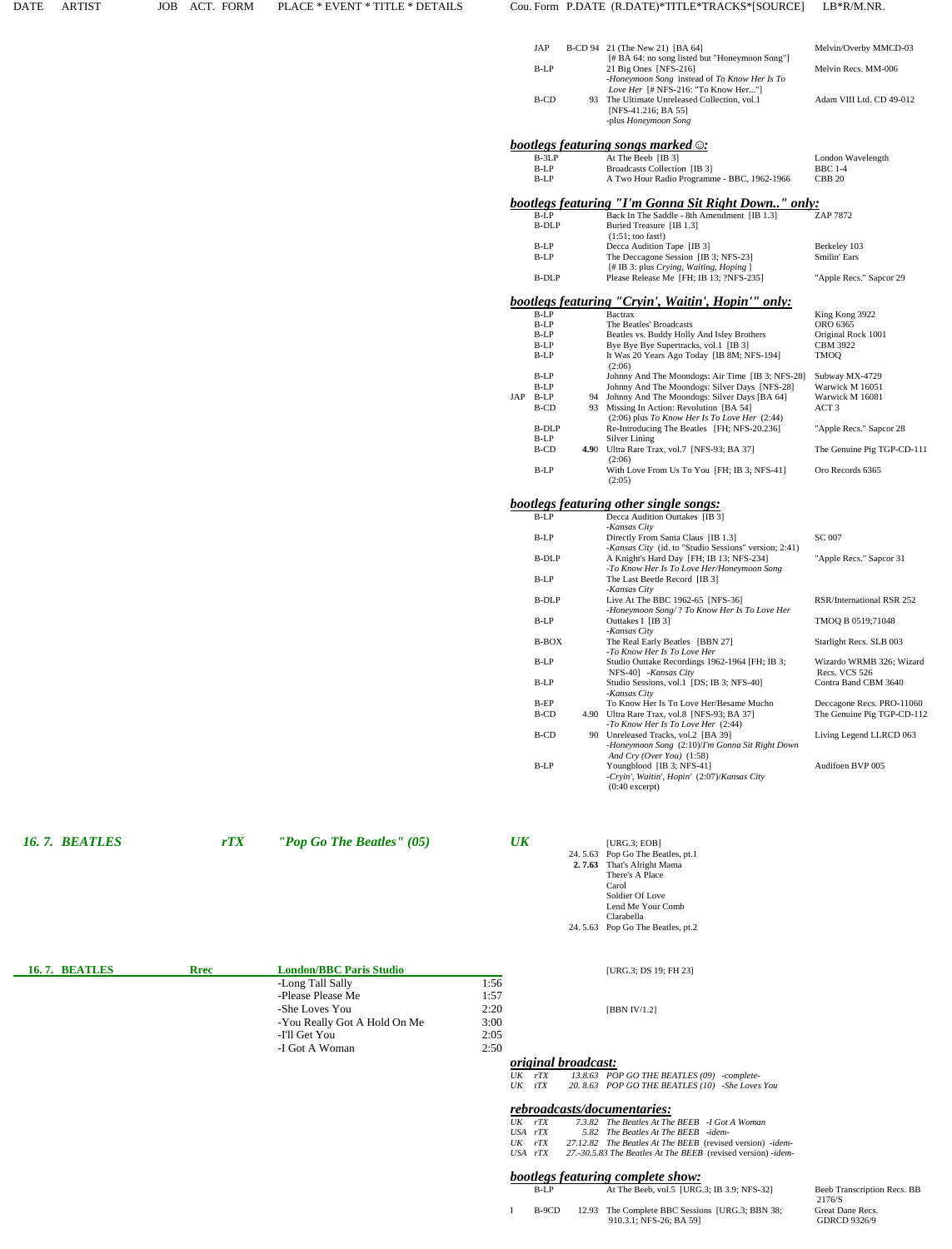| JAP     | B-CD 94 21 (The New 21) [BA 64]                                                                                         | Melvin/Overby MMCD-03    |
|---------|-------------------------------------------------------------------------------------------------------------------------|--------------------------|
| $B-I.P$ | [# BA 64: no song listed but "Honeymoon Song"]<br>21 Big Ones [NFS-216]<br>-Honeymoon Song instead of To Know Her Is To | Melvin Recs. MM-006      |
| B-CD    | <i>Love Her</i> [# NFS-216: "To Know Her"]<br>93 The Ultimate Unreleased Collection, vol.1                              | Adam VIII Ltd. CD 49-012 |
|         | [NFS-41.216; BA 55]<br>-plus Honeymoon Song                                                                             |                          |
|         | hootlegs featuring songs marked $\odot$ .                                                                               |                          |

|     |              |      | $\frac{1}{2}$ $\frac{1}{2}$ $\frac{1}{2}$ $\frac{1}{2}$ $\frac{1}{2}$ $\frac{1}{2}$ $\frac{1}{2}$ $\frac{1}{2}$ $\frac{1}{2}$ $\frac{1}{2}$ $\frac{1}{2}$ $\frac{1}{2}$ |                              |
|-----|--------------|------|-------------------------------------------------------------------------------------------------------------------------------------------------------------------------|------------------------------|
|     | B-3LP        |      | At The Beeb [IB 3]                                                                                                                                                      | London Wavelength            |
|     | B-LP         |      | Broadcasts Collection [IB 3]                                                                                                                                            | <b>BBC 1-4</b>               |
|     | B-LP         |      | A Two Hour Radio Programme - BBC, 1962-1966                                                                                                                             | <b>CBB 20</b>                |
|     |              |      | bootlegs featuring "I'm Gonna Sit Right Down" only:                                                                                                                     |                              |
|     | $B-LP$       |      | Back In The Saddle - 8th Amendment [IB 1.3]                                                                                                                             | ZAP 7872                     |
|     | <b>B-DLP</b> |      | Buried Treasure [IB 1.3]                                                                                                                                                |                              |
|     |              |      |                                                                                                                                                                         |                              |
|     | $B-LP$       |      | $(1:51;$ too fast!)                                                                                                                                                     |                              |
|     |              |      | Decca Audition Tape [IB 3]                                                                                                                                              | Berkeley 103<br>Smilin' Ears |
|     | B-LP         |      | The Deccagone Session [IB 3; NFS-23]                                                                                                                                    |                              |
|     |              |      | [# IB 3: plus Crying, Waiting, Hoping ]                                                                                                                                 |                              |
|     | B-DLP        |      | Please Release Me [FH; IB 13; ?NFS-235]                                                                                                                                 | "Apple Recs." Sapcor 29      |
|     |              |      | bootlegs featuring "Cryin', Waitin', Hopin'" only:                                                                                                                      |                              |
|     | $B-LP$       |      | <b>Bactrax</b>                                                                                                                                                          | King Kong 3922               |
|     | $B-LP$       |      | The Beatles' Broadcasts                                                                                                                                                 | ORO 6365                     |
|     | $B-LP$       |      | Beatles vs. Buddy Holly And Isley Brothers                                                                                                                              | Original Rock 1001           |
|     | B-LP         |      | Bye Bye Bye Supertracks, vol.1 [IB 3]                                                                                                                                   | <b>CBM 3922</b>              |
|     | B-LP         |      | It Was 20 Years Ago Today [IB 8M; NFS-194]                                                                                                                              | <b>TMOO</b>                  |
|     |              |      | (2:06)                                                                                                                                                                  |                              |
|     | B-LP         |      | Johnny And The Moondogs: Air Time [IB 3; NFS-28]                                                                                                                        | Subway MX-4729               |
|     | B-LP         |      | Johnny And The Moondogs: Silver Days [NFS-28]                                                                                                                           | Warwick M 16051              |
| JAP | B-LP         | 94   | Johnny And The Moondogs: Silver Days [BA 64]                                                                                                                            | Warwick M 16081              |
|     | <b>B-CD</b>  |      | 93 Missing In Action: Revolution [BA 54]                                                                                                                                | ACT <sub>3</sub>             |
|     |              |      | $(2:06)$ plus To Know Her Is To Love Her $(2:44)$                                                                                                                       |                              |
|     | <b>B-DLP</b> |      | Re-Introducing The Beatles [FH; NFS-20.236]                                                                                                                             | "Apple Recs." Sapcor 28      |
|     | B-LP         |      | Silver Lining                                                                                                                                                           |                              |
|     | <b>B-CD</b>  | 4.90 | Ultra Rare Trax, vol.7 [NFS-93; BA 37]                                                                                                                                  | The Genuine Pig TGP-CD-111   |
|     |              |      | (2:06)                                                                                                                                                                  |                              |
|     | B-LP         |      | With Love From Us To You [FH; IB 3; NFS-41]                                                                                                                             | Oro Records 6365             |
|     |              |      | (2:05)                                                                                                                                                                  |                              |
|     |              |      |                                                                                                                                                                         |                              |
|     |              |      | <b>bootlegs featuring other single songs:</b>                                                                                                                           |                              |
|     | $B-LP$       |      | Decca Audition Outtakes [IB 3]<br>-Kansas City                                                                                                                          |                              |
|     | B-LP         |      | Directly From Santa Claus [IB 1.3]                                                                                                                                      | SC 007                       |
|     |              |      | -Kansas City (id. to "Studio Sessions" version; 2:41)                                                                                                                   |                              |
|     | <b>B-DLP</b> |      | A Knight's Hard Day [FH; IB 13; NFS-234]                                                                                                                                | "Apple Recs." Sapcor 31      |
|     |              |      | -To Know Her Is To Love Her/Honeymoon Song                                                                                                                              |                              |
|     | $B-LP$       |      | The Last Beetle Record [IB 3]                                                                                                                                           |                              |
|     |              |      | -Kansas City                                                                                                                                                            |                              |
|     |              |      |                                                                                                                                                                         |                              |

B-DLP Live At The BBC 1962-65 [NFS-36] RSR/International RSR 252

B-BOX The Real Early Beatles [BBN 27] Starlight Recs. SLB 003 *-To Know Her Is To Love Her*<br>
B-LP Studio Outtake Recordings 1962-1964 [FH; IB 3; Wizardo WRMB 326; Wizard

B-EP To Know Her Is To Love Her/Besame Mucho Deccagone Recs. PRO-11060<br>B-CD 4.90 Ultra Rare Trax, vol.8 [NFS-93; BA 37] The Genuine Pig TGP-CD-112

Youngblood [IB 3; NFS-41] Audifoen BVP 005

B-CD 90 Unreleased Tracks, vol.2 [BA 39] Living Legend LLRCD 063

*-Honeymoon Song* (2:10)/*I'm Gonna Sit Right Down* 

NFS-40] *-Kansas City* Recs. VCS 526<br>Studio Sessions, vol.1 [DS; IB 3; NFS-40] Contra Band CBM 3640

*-Honeymoon Song/* ? *To Know Her Is To Love Her* B-LP Outtakes I [IB 3] TMOQ B 0519;71048

|  | <i><b>16. 7. BEATLES</b></i> |
|--|------------------------------|

-Please Please Me

-I'll Get You

-I Got A Woman

-Long Tall Sally 1:56

-You Really Got A Hold On Me 3:00

1:57

 $2:05$ 

 $2:50$ 

*rTX "Pop Go The Beatles" (05) UK* [URG.3; EOB] 24. 5.63 Pop Go The Beatles, pt.1  **2. 7.63** That's Alright Mama There's A Place Carol Soldier Of Love Lend Me Your Comb

*And Cry (Over You)* (1:58)<br>B-LP Youngblood [IB 3; NFS-41]

(0:40 excerpt)

*-Kansas City*

B-LP Studio Sessions, vol.1 [DS; IB 3; NFS-40] *-Kansas City*

B-CD 4.90 Ultra Rare Trax, vol.8 [NFS-93; BA 37]

*-To Know Her Is To Love Her* (2:44)

*-Cryin', Waitin', Hopin'* (2:07)/*Kansas City* 

**Clarabella** 24. 5.63 Pop Go The Beatles, pt.2

**16. 7. BEATLES Rrec London/BBC Paris Studio** [URG.3; DS 19; FH 23]

-She Loves You 2:20 [BBN IV/1.2]

 *original broadcast: UK rTX 13.8.63 POP GO THE BEATLES (09) -complete-*20. 8.63 POP GO THE BEATLES (10) -She Loves You

#### *rebroadcasts/documentaries:*

| $UK$ rTX |         | 7.3.82 The Beatles At The BEEB -I Got A Woman                |  |
|----------|---------|--------------------------------------------------------------|--|
|          | USA rTX | 5.82 The Beatles At The BEEB -idem-                          |  |
| $UK$ rTX |         | 27.12.82 The Beatles At The BEEB (revised version) -idem-    |  |
|          | USA rTX | 27.-30.5.83 The Beatles At The BEEB (revised version) -idem- |  |

## **bootlegs featuring complete show:**<br>B-LP At The Beeb, vol.5 [URG

At The Beeb, vol.5 [URG.3; IB 3.9; NFS-32] Beeb Transcription Recs. BB 2176/S

I B-9CD 12.93 The Complete BBC Sessions [URG.3; BBN 38; Great Dane Recs.<br>910.3.1; NFS-26; BA 59] GDRCD 9326/9 910.3.1; NFS-26; BA 59]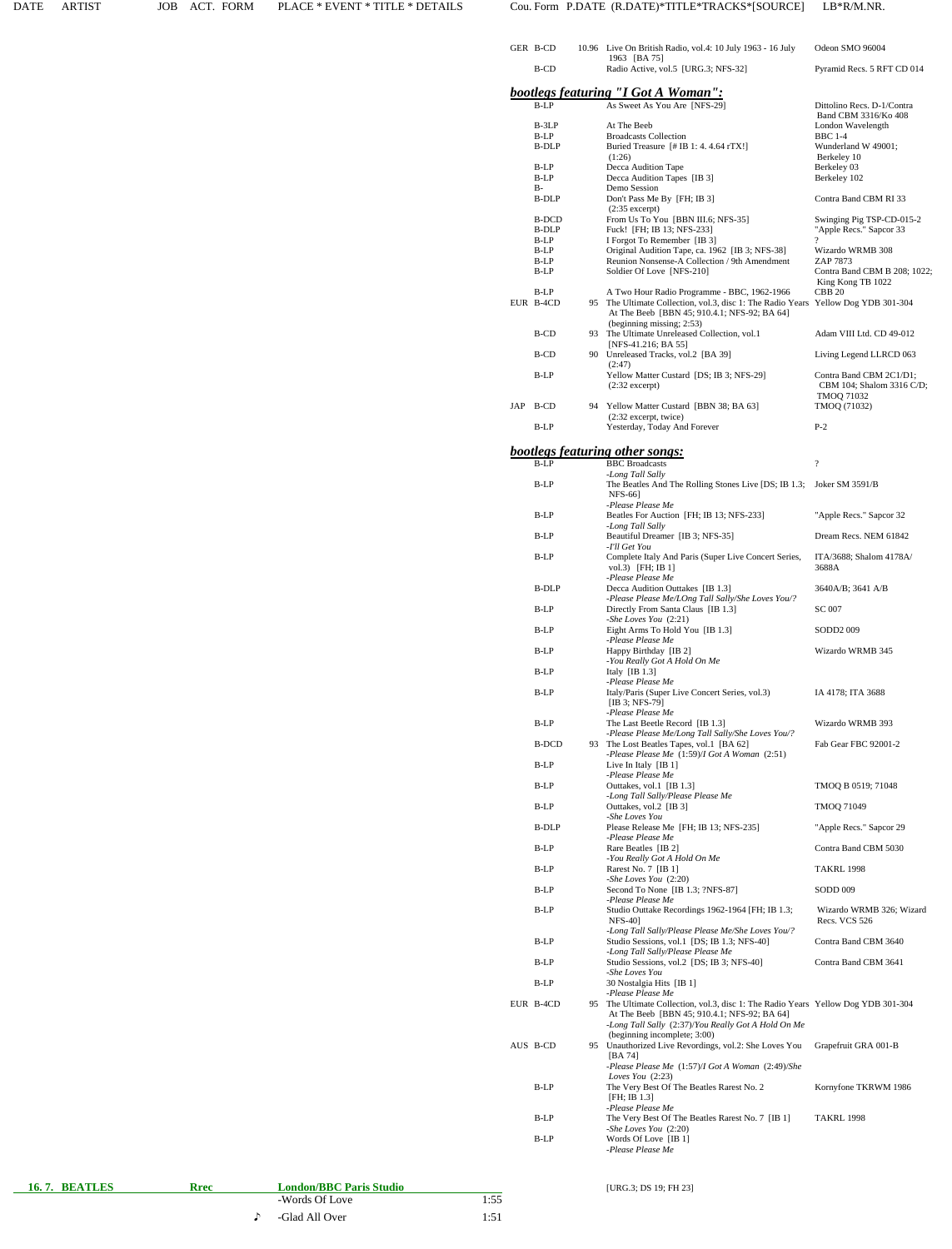| GER B-CD      |    | 10.96 Live On British Radio, vol.4: 10 July 1963 - 16 July                                          | Odeon SMO 96004                                      |
|---------------|----|-----------------------------------------------------------------------------------------------------|------------------------------------------------------|
| B-CD          |    | 1963 [BA 75]<br>Radio Active, vol.5 [URG.3; NFS-32]                                                 | Pyramid Recs. 5 RFT CD 014                           |
|               |    |                                                                                                     |                                                      |
| B-LP          |    | bootlegs featuring "I Got A Woman":<br>As Sweet As You Are [NFS-29]                                 | Dittolino Recs. D-1/Contra                           |
| B-3LP         |    | At The Beeb                                                                                         | Band CBM 3316/Ko 408<br>London Wavelength            |
| B-LP          |    | <b>Broadcasts Collection</b>                                                                        | <b>BBC</b> 1-4                                       |
| B-DLP         |    | Buried Treasure [# IB 1: 4.4.64 rTX!]<br>(1:26)                                                     | Wunderland W 49001;<br>Berkeley 10                   |
| B-LP          |    | Decca Audition Tape                                                                                 | Berkeley 03                                          |
| B-LP<br>B-    |    | Decca Audition Tapes [IB 3]<br>Demo Session                                                         | Berkeley 102                                         |
| B-DLP         |    | Don't Pass Me By [FH; IB 3]<br>$(2:35$ excerpt)                                                     | Contra Band CBM RI 33                                |
| B-DCD         |    | From Us To You [BBN III.6; NFS-35]                                                                  | Swinging Pig TSP-CD-015-2                            |
| B-DLP<br>B-LP |    | Fuck! [FH; IB 13; NFS-233]<br>I Forgot To Remember [IB 3]                                           | "Apple Recs." Sapcor 33                              |
| B-LP          |    | Original Audition Tape, ca. 1962 [IB 3; NFS-38]                                                     | Wizardo WRMB 308                                     |
| B-LP<br>B-LP  |    | Reunion Nonsense-A Collection / 9th Amendment<br>Soldier Of Love [NFS-210]                          | ZAP 7873<br>Contra Band CBM B 208; 1022;             |
| B-LP          |    | A Two Hour Radio Programme - BBC, 1962-1966                                                         | King Kong TB 1022<br>CBB <sub>20</sub>               |
| EUR B-4CD     |    | 95 The Ultimate Collection, vol.3, disc 1: The Radio Years Yellow Dog YDB 301-304                   |                                                      |
|               |    | At The Beeb [BBN 45; 910.4.1; NFS-92; BA 64]<br>(beginning missing; 2:53)                           |                                                      |
| B-CD          |    | 93 The Ultimate Unreleased Collection, vol.1                                                        | Adam VIII Ltd. CD 49-012                             |
| B-CD          |    | [NFS-41.216; BA 55]<br>90 Unreleased Tracks, vol.2 [BA 39]                                          | Living Legend LLRCD 063                              |
|               |    | (2:47)                                                                                              |                                                      |
| B-LP          |    | Yellow Matter Custard [DS; IB 3; NFS-29]<br>$(2:32$ excerpt)                                        | Contra Band CBM 2C1/D1;<br>CBM 104; Shalom 3316 C/D; |
| JAP B-CD      |    | 94 Yellow Matter Custard [BBN 38; BA 63]                                                            | <b>TMOQ 71032</b><br>TMOQ (71032)                    |
|               |    | $(2:32$ excerpt, twice)                                                                             |                                                      |
| B-LP          |    | Yesterday, Today And Forever                                                                        | $P-2$                                                |
|               |    | <b>bootlegs featuring other songs:</b>                                                              |                                                      |
| B-LP          |    | <b>BBC</b> Broadcasts<br>-Long Tall Sally                                                           | $\overline{\cdot}$                                   |
| B-LP          |    | The Beatles And The Rolling Stones Live [DS; IB 1.3;                                                | Joker SM 3591/B                                      |
|               |    | <b>NFS-661</b><br>-Please Please Me                                                                 |                                                      |
| B-LP          |    | Beatles For Auction [FH; IB 13; NFS-233]<br>-Long Tall Sally                                        | "Apple Recs." Sapcor 32                              |
| B-LP          |    | Beautiful Dreamer [IB 3; NFS-35]                                                                    | Dream Recs. NEM 61842                                |
| B-LP          |    | -I'll Get You<br>Complete Italy And Paris (Super Live Concert Series,                               | ITA/3688; Shalom 4178A/                              |
|               |    | vol.3) [FH; IB 1]                                                                                   | 3688A                                                |
| B-DLP         |    | -Please Please Me<br>Decca Audition Outtakes [IB 1.3]                                               | 3640A/B; 3641 A/B                                    |
| B-LP          |    | -Please Please Me/LOng Tall Sally/She Loves You/?<br>Directly From Santa Claus [IB 1.3]             | SC 007                                               |
|               |    | -She Loves You (2:21)                                                                               |                                                      |
| $B-LP$        |    | Eight Arms To Hold You [IB 1.3]<br>-Please Please Me                                                | SODD2 009                                            |
| B-LP          |    | Happy Birthday [IB 2]<br>-You Really Got A Hold On Me                                               | Wizardo WRMB 345                                     |
| B-LP          |    | Italy $[IB 1.3]$                                                                                    |                                                      |
| B-LP          |    | -Please Please Me<br>Italy/Paris (Super Live Concert Series, vol.3)                                 | IA 4178; ITA 3688                                    |
|               |    | [IB 3; NFS-79]                                                                                      |                                                      |
| B-LP          |    | -Please Please Me<br>The Last Beetle Record [IB 1.3]                                                | Wizardo WRMB 393                                     |
| B-DCD         |    | -Please Please Me/Long Tall Sally/She Loves You/?<br>93 The Lost Beatles Tapes, vol.1 [BA 62]       | Fab Gear FBC 92001-2                                 |
|               |    | -Please Please Me (1:59)/I Got A Woman (2:51)                                                       |                                                      |
| B-LP          |    | Live In Italy $[IB 1]$<br>-Please Please Me                                                         |                                                      |
| B-LP          |    | Outtakes, vol.1 [IB 1.3]                                                                            | TMOQ B 0519; 71048                                   |
| B-LP          |    | -Long Tall Sally/Please Please Me<br>Outtakes, vol.2 [IB 3]                                         | TMOQ 71049                                           |
| B-DLP         |    | -She Loves You<br>Please Release Me [FH; IB 13; NFS-235]                                            | "Apple Recs." Sapcor 29                              |
|               |    | -Please Please Me                                                                                   |                                                      |
| B-LP          |    | Rare Beatles [IB 2]<br>-You Really Got A Hold On Me                                                 | Contra Band CBM 5030                                 |
| B-LP          |    | Rarest No. 7 [IB 1]                                                                                 | <b>TAKRL 1998</b>                                    |
| B-LP          |    | -She Loves You (2:20)<br>Second To None [IB 1.3; ?NFS-87]                                           | SODD 009                                             |
| B-LP          |    | -Please Please Me<br>Studio Outtake Recordings 1962-1964 [FH; IB 1.3;                               |                                                      |
|               |    | NFS-40]                                                                                             | Wizardo WRMB 326; Wizard<br>Recs. VCS 526            |
| B-LP          |    | -Long Tall Sally/Please Please Me/She Loves You/?<br>Studio Sessions, vol.1 [DS; IB 1.3; NFS-40]    | Contra Band CBM 3640                                 |
|               |    | -Long Tall Sally/Please Please Me                                                                   |                                                      |
| B-LP          |    | Studio Sessions, vol.2 [DS; IB 3; NFS-40]<br>-She Loves You                                         | Contra Band CBM 3641                                 |
| B-LP          |    | 30 Nostalgia Hits [IB 1]<br>-Please Please Me                                                       |                                                      |
| EUR B-4CD     | 95 | The Ultimate Collection, vol.3, disc 1: The Radio Years Yellow Dog YDB 301-304                      |                                                      |
|               |    | At The Beeb [BBN 45; 910.4.1; NFS-92; BA 64]<br>-Long Tall Sally (2:37)/You Really Got A Hold On Me |                                                      |
|               |    | (beginning incomplete; 3:00)                                                                        |                                                      |
| AUS B-CD      | 95 | Unauthorized Live Revordings, vol.2: She Loves You<br>[BA 74]                                       | Grapefruit GRA 001-B                                 |
|               |    | -Please Please Me (1:57)/I Got A Woman (2:49)/She                                                   |                                                      |
| B-LP          |    | Loves You $(2:23)$<br>The Very Best Of The Beatles Rarest No. 2                                     | Kornyfone TKRWM 1986                                 |
|               |    | [FH; IB 1.3]                                                                                        |                                                      |
|               |    |                                                                                                     |                                                      |
| B-LP          |    | -Please Please Me<br>The Very Best Of The Beatles Rarest No. 7 [IB 1]                               | <b>TAKRL 1998</b>                                    |
| B-LP          |    | -She Loves You (2:20)<br>Words Of Love [IB 1]                                                       |                                                      |

| 16.7. BEATLES |
|---------------|

**16. 7. BEATLES Rrec London/BBC Paris Studio CONVERGENT (URG.3; DS 19; FH 23)** -Words Of Love 1:55 ♪-Glad All Over 1:51

 $1:55$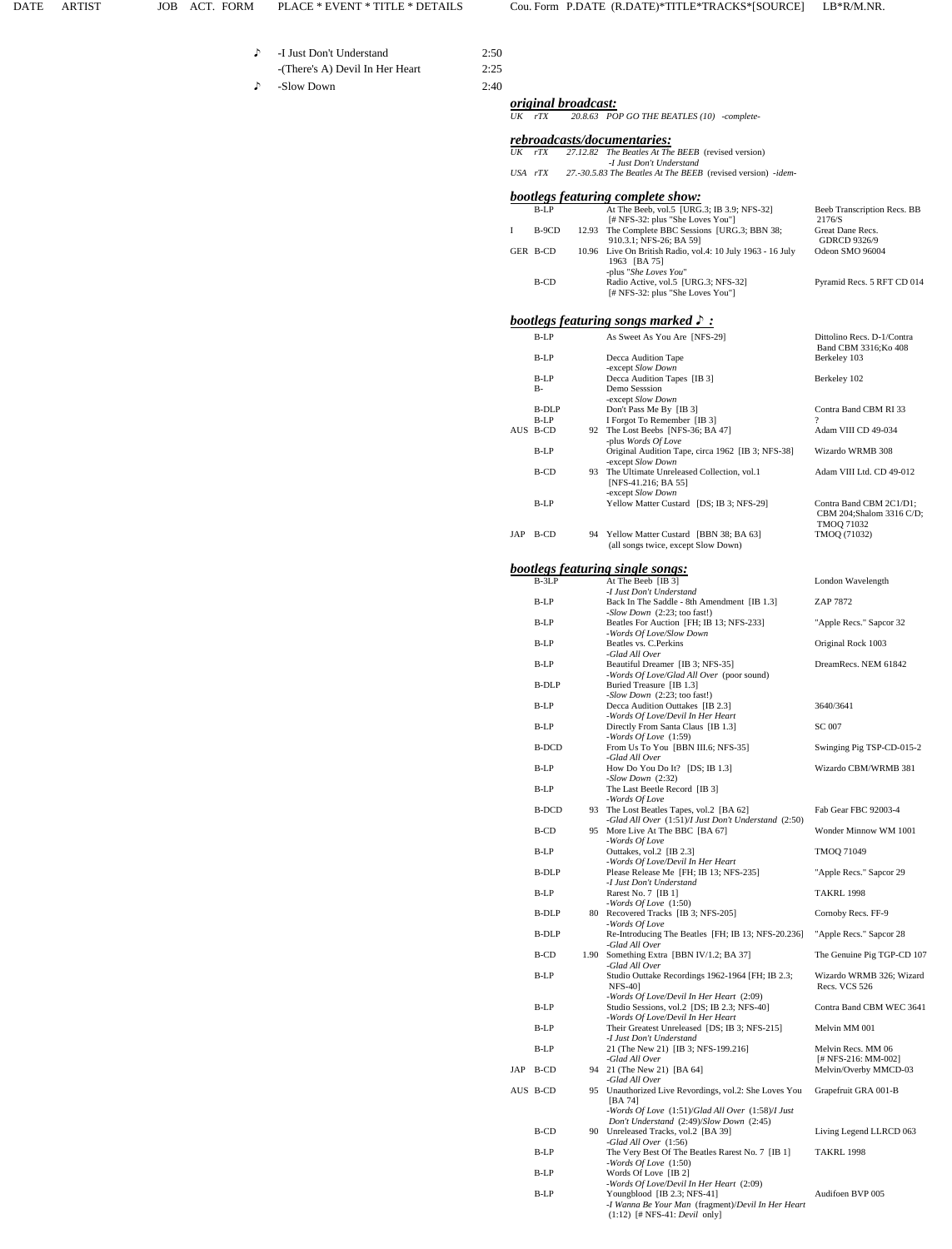- -I Just Don't Understand 2:50 -(There's A) Devil In Her Heart 2:25
- ♪-Slow Down 2:40

♪

 *original broadcast: UK rTX 20.8.63 POP GO THE BEATLES (10) -complete-*

 *rebroadcasts/documentaries: UK rTX 27.12.82 The Beatles At The BEEB* (revised version)

| UΛ | 11 <sub>A</sub> |       | $27.12.02$ The Dealies At The DEED (Tevised version)<br>-I Just Don't Understand                    |                                                     |
|----|-----------------|-------|-----------------------------------------------------------------------------------------------------|-----------------------------------------------------|
|    | USA rTX         |       | 27.-30.5.83 The Beatles At The BEEB (revised version) -idem-                                        |                                                     |
|    |                 |       | bootlegs featuring complete show:                                                                   |                                                     |
|    | $B-LP$          |       | At The Beeb, vol.5 [URG.3; IB 3.9; NFS-32]<br>$[$ # NFS-32: plus "She Loves You"]                   | Beeb Transcription Recs. BB<br>2176/S               |
| I  | B-9CD           | 12.93 | The Complete BBC Sessions [URG.3; BBN 38;<br>910.3.1; NFS-26; BA 59]                                | Great Dane Recs.<br><b>GDRCD 9326/9</b>             |
|    | GER B-CD        |       | 10.96 Live On British Radio, vol.4: 10 July 1963 - 16 July<br>1963 [BA 75]<br>-plus "She Loves You" | Odeon SMO 96004                                     |
|    | B-CD            |       | Radio Active, vol.5 [URG.3; NFS-32]<br>[# NFS-32: plus "She Loves You"]                             | Pyramid Recs. 5 RFT CD 014                          |
|    |                 |       | <b>bootlegs featuring songs marked <math>\triangleright</math>:</b>                                 |                                                     |
|    | $B-LP$          |       | As Sweet As You Are [NFS-29]                                                                        | Dittolino Recs. D-1/Contra<br>Band CBM 3316; Ko 408 |
|    | $B-I.P$         |       | Decca Audition Tape<br>-except Slow Down                                                            | Berkeley 103                                        |
|    | $B-I.P$         |       | Decca Audition Tapes [IB 3]                                                                         | Berkeley 102                                        |
|    | $B -$           |       | Demo Sesssion<br>-except Slow Down                                                                  |                                                     |
|    | <b>B-DLP</b>    |       | Don't Pass Me By [IB 3]                                                                             | Contra Band CBM RI 33                               |
|    | ס זים           |       | $IError$ $T0$ Domambor $ID1$                                                                        | $\Omega$                                            |

|     | B-LP         |      | Decca Audition Tapes [IB 3]                                                                      | Berkeley 102                                                             |
|-----|--------------|------|--------------------------------------------------------------------------------------------------|--------------------------------------------------------------------------|
|     | B-           |      | Demo Sesssion<br>-except Slow Down                                                               |                                                                          |
|     | <b>B-DLP</b> |      | Don't Pass Me By [IB 3]                                                                          | Contra Band CBM RI 33                                                    |
|     | B-LP         |      | I Forgot To Remember [IB 3]                                                                      | 2                                                                        |
|     | AUS B-CD     |      | 92 The Lost Beebs [NFS-36; BA 47]<br>-plus Words Of Love                                         | Adam VIII CD 49-034                                                      |
|     | B-LP         |      | Original Audition Tape, circa 1962 [IB 3; NFS-38]<br>-except Slow Down                           | Wizardo WRMB 308                                                         |
|     | B-CD         |      | 93 The Ultimate Unreleased Collection, vol.1<br>[NFS-41.216; BA 55]<br>-except Slow Down         | Adam VIII Ltd. CD 49-012                                                 |
|     | B-LP         |      | Yellow Matter Custard [DS; IB 3; NFS-29]                                                         | Contra Band CBM 2C1/D1;<br>CBM 204;Shalom 3316 C/D;<br><b>TMOQ 71032</b> |
|     | JAP B-CD     |      | 94 Yellow Matter Custard [BBN 38; BA 63]<br>(all songs twice, except Slow Down)                  | TMOQ (71032)                                                             |
|     |              |      | <b>bootlegs featuring single songs:</b>                                                          |                                                                          |
|     | $B-3LP$      |      | At The Beeb [IB 3]                                                                               | London Wavelength                                                        |
|     | $B-LP$       |      | -I Just Don't Understand<br>Back In The Saddle - 8th Amendment [IB 1.3]                          | ZAP 7872                                                                 |
|     |              |      | -Slow Down (2:23; too fast!)                                                                     |                                                                          |
|     | B-LP         |      | Beatles For Auction [FH; IB 13; NFS-233]<br>-Words Of Love/Slow Down                             | "Apple Recs." Sapcor 32                                                  |
|     | B-LP         |      | Beatles vs. C. Perkins<br>-Glad All Over                                                         | Original Rock 1003                                                       |
|     | $B-LP$       |      | Beautiful Dreamer [IB 3; NFS-35]<br>-Words Of Love/Glad All Over (poor sound)                    | DreamRecs. NEM 61842                                                     |
|     | B-DLP        |      | Buried Treasure [IB 1.3]<br>-Slow Down (2:23; too fast!)                                         |                                                                          |
|     | B-LP         |      | Decca Audition Outtakes [IB 2.3]<br>-Words Of Love/Devil In Her Heart                            | 3640/3641                                                                |
|     | B-LP         |      | Directly From Santa Claus [IB 1.3]<br>-Words Of Love $(1:59)$                                    | <b>SC 007</b>                                                            |
|     | B-DCD        |      | From Us To You [BBN III.6; NFS-35]<br>-Glad All Over                                             | Swinging Pig TSP-CD-015-2                                                |
|     | B-LP         |      | How Do You Do It? [DS; IB 1.3]<br>$-Slow Down (2:32)$                                            | Wizardo CBM/WRMB 381                                                     |
|     | B-LP         |      | The Last Beetle Record [IB 3]<br>-Words Of Love                                                  |                                                                          |
|     | <b>B-DCD</b> |      | 93 The Lost Beatles Tapes, vol.2 [BA 62]<br>-Glad All Over (1:51)/I Just Don't Understand (2:50) | Fab Gear FBC 92003-4                                                     |
|     | B-CD         |      | 95 More Live At The BBC [BA 67]<br>-Words Of Love                                                | Wonder Minnow WM 1001                                                    |
|     | B-LP         |      | Outtakes, vol.2 [IB 2.3]<br>-Words Of Love/Devil In Her Heart                                    | TMOQ 71049                                                               |
|     | B-DLP        |      | Please Release Me [FH; IB 13; NFS-235]<br>-I Just Don't Understand                               | "Apple Recs." Sapcor 29                                                  |
|     | B-LP         |      | Rarest No. 7 [IB 1]<br>-Words $Of Love$ $(1:50)$                                                 | <b>TAKRL 1998</b>                                                        |
|     | B-DLP        |      | 80 Recovered Tracks [IB 3; NFS-205]                                                              | Cornoby Recs. FF-9                                                       |
|     | <b>B-DLP</b> |      | -Words Of Love<br>Re-Introducing The Beatles [FH; IB 13; NFS-20.236]<br>-Glad All Over           | "Apple Recs." Sapcor 28                                                  |
|     | B-CD         | 1.90 | Something Extra [BBN IV/1.2; BA 37]<br>-Glad All Over                                            | The Genuine Pig TGP-CD 107                                               |
|     | B-LP         |      | Studio Outtake Recordings 1962-1964 [FH; IB 2.3;<br><b>NFS-40</b> ]                              | Wizardo WRMB 326; Wizard<br>Recs. VCS 526                                |
|     | B-LP         |      | -Words Of Love/Devil In Her Heart (2:09)<br>Studio Sessions, vol.2 [DS; IB 2.3; NFS-40]          | Contra Band CBM WEC 3641                                                 |
|     | B-LP         |      | -Words Of Love/Devil In Her Heart<br>Their Greatest Unreleased [DS; IB 3; NFS-215]               | Melvin MM 001                                                            |
|     | B-LP         |      | -I Just Don't Understand<br>21 (The New 21) [IB 3; NFS-199.216]                                  | Melvin Recs. MM 06                                                       |
| JAP | B-CD         |      | -Glad All Over<br>94 21 (The New 21) [BA 64]                                                     | [# NFS-216: MM-002]<br>Melvin/Overby MMCD-03                             |
|     | AUS B-CD     |      | -Glad All Over<br>95 Unauthorized Live Revordings, vol.2: She Loves You                          | Grapefruit GRA 001-B                                                     |
|     |              |      | [BA 74]<br>-Words Of Love (1:51)/Glad All Over (1:58)/I Just                                     |                                                                          |
|     | B-CD         |      | Don't Understand (2:49)/Slow Down (2:45)<br>90 Unreleased Tracks, vol.2 [BA 39]                  | Living Legend LLRCD 063                                                  |
|     |              |      | -Glad All Over (1:56)                                                                            |                                                                          |
|     | B-LP         |      | The Very Best Of The Beatles Rarest No. 7 [IB 1]<br>-Words Of Love $(1:50)$                      | <b>TAKRL 1998</b>                                                        |
|     | B-LP         |      | Words Of Love [IB 2]<br>-Words Of Love/Devil In Her Heart (2:09)                                 |                                                                          |

 B-LP Youngblood [IB 2.3; NFS-41] Audifoen BVP 005 *-I Wanna Be Your Man* (fragment)/*Devil In Her Heart*  (1:12) [# NFS-41: *Devil* only]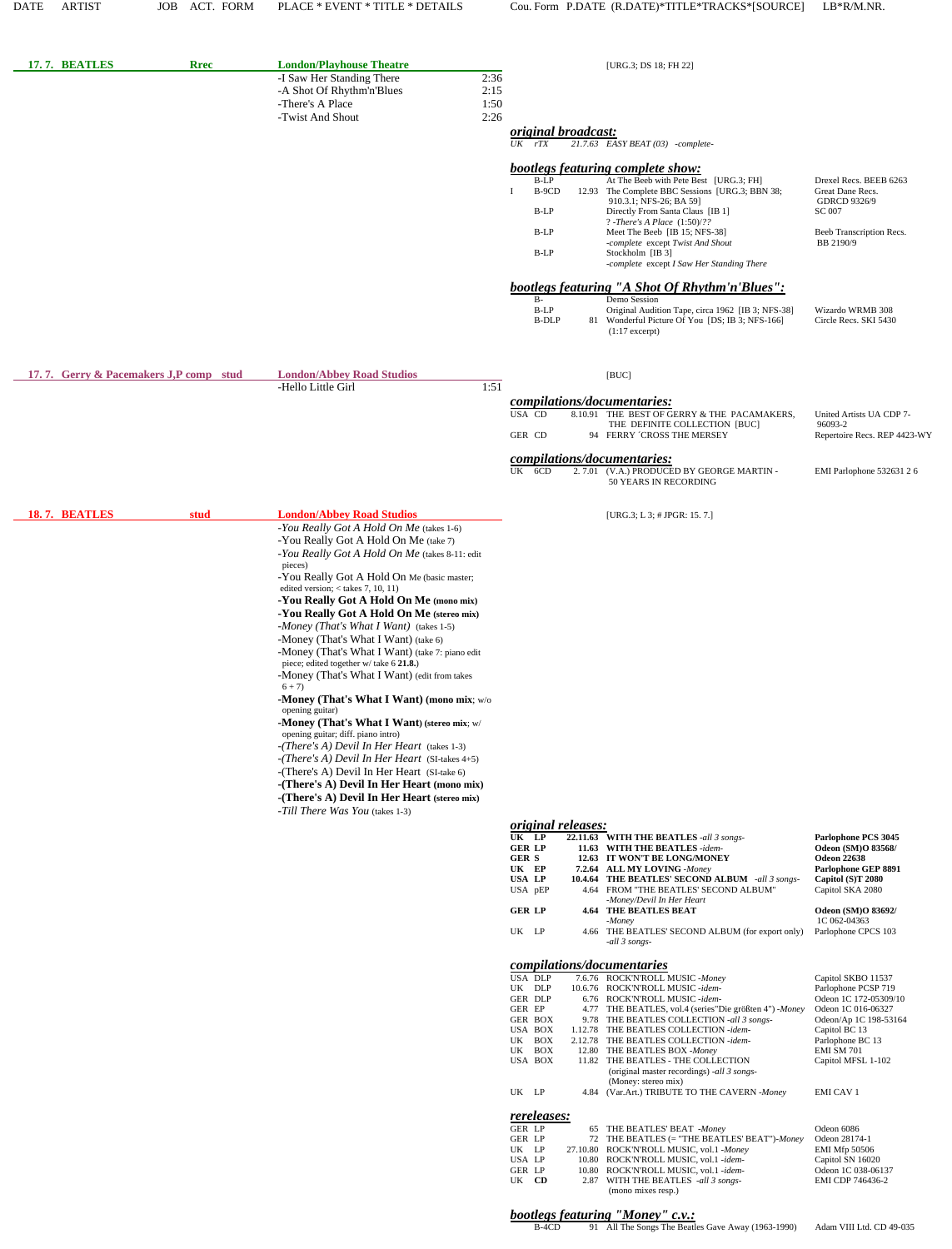| 17.7. BEATLES                          | <b>Rrec</b> | <b>London/Playhouse Theatre</b>                                                                    | [URG.3; DS 18; FH 22]                                                                                                          |                                                  |
|----------------------------------------|-------------|----------------------------------------------------------------------------------------------------|--------------------------------------------------------------------------------------------------------------------------------|--------------------------------------------------|
|                                        |             | -I Saw Her Standing There<br>2:36<br>-A Shot Of Rhythm'n'Blues<br>2:15<br>-There's A Place<br>1:50 |                                                                                                                                |                                                  |
|                                        |             | -Twist And Shout<br>2:26                                                                           | <i>original broadcast:</i>                                                                                                     |                                                  |
|                                        |             |                                                                                                    | $UK$ $rTX$<br>$21.7.63$ EASY BEAT (03) -complete-                                                                              |                                                  |
|                                        |             |                                                                                                    | <b>bootlegs featuring complete show:</b>                                                                                       |                                                  |
|                                        |             |                                                                                                    | $B-LP$<br>At The Beeb with Pete Best [URG.3; FH]<br>B-9CD<br>12.93 The Complete BBC Sessions [URG.3; BBN 38;<br>T              | Drexel Recs. BEEB 6263<br>Great Dane Recs.       |
|                                        |             |                                                                                                    | 910.3.1; NFS-26; BA 59]<br>B-LP<br>Directly From Santa Claus [IB 1]                                                            | <b>GDRCD 9326/9</b><br><b>SC 007</b>             |
|                                        |             |                                                                                                    | ? -There's A Place $(1:50)/$ ??<br>$B-LP$<br>Meet The Beeb [IB 15; NFS-38]                                                     | Beeb Transcription Recs.                         |
|                                        |             |                                                                                                    | -complete except Twist And Shout<br>$B-LP$<br>Stockholm [IB 3]                                                                 | BB 2190/9                                        |
|                                        |             |                                                                                                    | -complete except I Saw Her Standing There                                                                                      |                                                  |
|                                        |             |                                                                                                    | bootlegs featuring "A Shot Of Rhythm'n'Blues":<br>Demo Session<br>$B-$                                                         |                                                  |
|                                        |             |                                                                                                    | $B-LP$<br>Original Audition Tape, circa 1962 [IB 3; NFS-38]<br><b>B-DLP</b><br>81 Wonderful Picture Of You [DS; IB 3; NFS-166] | Wizardo WRMB 308<br>Circle Recs. SKI 5430        |
|                                        |             |                                                                                                    | $(1:17$ excerpt)                                                                                                               |                                                  |
| 17.7. Gerry & Pacemakers J,P comp stud |             | <b>London/Abbey Road Studios</b>                                                                   | [BUC]                                                                                                                          |                                                  |
|                                        |             | 1:51<br>-Hello Little Girl                                                                         | compilations/documentaries:                                                                                                    |                                                  |
|                                        |             |                                                                                                    | USA CD<br>8.10.91 THE BEST OF GERRY & THE PACAMAKERS,<br>THE DEFINITE COLLECTION [BUC]                                         | United Artists UA CDP 7-<br>96093-2              |
|                                        |             |                                                                                                    | GER CD<br>94 FERRY 'CROSS THE MERSEY                                                                                           | Repertoire Recs. REP 4423-WY                     |
|                                        |             |                                                                                                    | compilations/documentaries:<br>UK<br>6CD<br>2.7.01 (V.A.) PRODUCED BY GEORGE MARTIN -<br>50 YEARS IN RECORDING                 | EMI Parlophone 532631 2 6                        |
| 18.7. BEATLES                          | stud        | <b>London/Abbey Road Studios</b>                                                                   | [URG.3; L 3; # JPGR: 15. 7.]                                                                                                   |                                                  |
|                                        |             | -You Really Got A Hold On Me (takes 1-6)                                                           |                                                                                                                                |                                                  |
|                                        |             | -You Really Got A Hold On Me (take 7)<br>-You Really Got A Hold On Me (takes 8-11: edit            |                                                                                                                                |                                                  |
|                                        |             | pieces)<br>-You Really Got A Hold On Me (basic master;                                             |                                                                                                                                |                                                  |
|                                        |             | edited version; $<$ takes 7, 10, 11)                                                               |                                                                                                                                |                                                  |
|                                        |             | -You Really Got A Hold On Me (mono mix)<br>-You Really Got A Hold On Me (stereo mix)               |                                                                                                                                |                                                  |
|                                        |             | -Money (That's What I Want) (takes 1-5)<br>-Money (That's What I Want) (take 6)                    |                                                                                                                                |                                                  |
|                                        |             | -Money (That's What I Want) (take 7: piano edit                                                    |                                                                                                                                |                                                  |
|                                        |             | piece; edited together w/take 6 21.8.)<br>-Money (That's What I Want) (edit from takes             |                                                                                                                                |                                                  |
|                                        |             | $6 + 7$<br>-Money (That's What I Want) (mono mix; w/o                                              |                                                                                                                                |                                                  |
|                                        |             | opening guitar)<br>-Money (That's What I Want) (stereo mix; w/                                     |                                                                                                                                |                                                  |
|                                        |             | opening guitar; diff. piano intro)<br>$-(There's A) Devil In Her Heart$ (takes 1-3)                |                                                                                                                                |                                                  |
|                                        |             | -(There's A) Devil In Her Heart (SI-takes 4+5)                                                     |                                                                                                                                |                                                  |
|                                        |             | -(There's A) Devil In Her Heart (SI-take 6)<br>-(There's A) Devil In Her Heart (mono mix)          |                                                                                                                                |                                                  |
|                                        |             | -(There's A) Devil In Her Heart (stereo mix)                                                       |                                                                                                                                |                                                  |
|                                        |             | -Till There Was You (takes 1-3)                                                                    | <i>original releases:</i>                                                                                                      |                                                  |
|                                        |             |                                                                                                    | UK LP<br>22.11.63 WITH THE BEATLES -all 3 songs-<br><b>GER LP</b><br>11.63 WITH THE BEATLES -idem-                             | Parlophone PCS 3045<br><b>Odeon (SM)O 83568/</b> |
|                                        |             |                                                                                                    | <b>GER S</b><br>12.63 IT WON'T BE LONG/MONEY<br>UK EP<br>7.2.64 ALL MY LOVING -Money                                           | <b>Odeon 22638</b><br>Parlophone GEP 8891        |
|                                        |             |                                                                                                    | USA LP<br><b>10.4.64 THE BEATLES' SECOND ALBUM</b> -all 3 songs-<br>USA pEP<br>4.64 FROM "THE BEATLES' SECOND ALBUM"           | Capitol (S)T 2080<br>Capitol SKA 2080            |
|                                        |             |                                                                                                    | -Money/Devil In Her Heart<br><b>GER LP</b><br><b>4.64 THE BEATLES BEAT</b>                                                     | Odeon (SM)O 83692/                               |
|                                        |             |                                                                                                    | -Money<br>UK LP<br>4.66 THE BEATLES' SECOND ALBUM (for export only)                                                            | 1C 062-04363<br>Parlophone CPCS 103              |
|                                        |             |                                                                                                    | -all 3 songs-                                                                                                                  |                                                  |
|                                        |             |                                                                                                    | compilations/documentaries<br>USA DLP<br>7.6.76 ROCK'N'ROLL MUSIC -Money                                                       | Capitol SKBO 11537                               |
|                                        |             |                                                                                                    | UK DLP<br>10.6.76 ROCK'N'ROLL MUSIC -idem-<br>GER DLP<br>6.76 ROCK'N'ROLL MUSIC -idem-                                         | Parlophone PCSP 719<br>Odeon 1C 172-05309/10     |
|                                        |             |                                                                                                    | GER EP<br>4.77 THE BEATLES, vol.4 (series "Die größten 4") - Money<br>GER BOX<br>9.78 THE BEATLES COLLECTION -all 3 songs-     | Odeon 1C 016-06327<br>Odeon/Ap 1C 198-53164      |
|                                        |             |                                                                                                    | USA BOX<br>1.12.78 THE BEATLES COLLECTION -idem-<br><b>BOX</b><br>UK<br>2.12.78 THE BEATLES COLLECTION -idem-                  | Capitol BC 13<br>Parlophone BC 13                |
|                                        |             |                                                                                                    | UK BOX<br>12.80 THE BEATLES BOX -Money<br>USA BOX<br>11.82 THE BEATLES - THE COLLECTION                                        | <b>EMI SM 701</b><br>Capitol MFSL 1-102          |
|                                        |             |                                                                                                    | (original master recordings) -all 3 songs-<br>(Money: stereo mix)                                                              |                                                  |
|                                        |             |                                                                                                    | UK LP<br>4.84 (Var.Art.) TRIBUTE TO THE CAVERN -Money                                                                          | <b>EMI CAV 1</b>                                 |
|                                        |             |                                                                                                    | rereleases:<br>GER LP<br>65 THE BEATLES' BEAT -Money                                                                           | Odeon 6086                                       |
|                                        |             |                                                                                                    | GER LP<br>72 THE BEATLES (= "THE BEATLES' BEAT")-Money<br>UK LP<br>27.10.80 ROCK'N'ROLL MUSIC, vol.1 -Money                    | Odeon 28174-1<br><b>EMI Mfp 50506</b>            |
|                                        |             |                                                                                                    | USA LP<br>10.80 ROCK'N'ROLL MUSIC, vol.1 -idem-<br>GER LP<br>10.80 ROCK'N'ROLL MUSIC, vol.1 -idem-                             | Capitol SN 16020<br>Odeon 1C 038-06137           |
|                                        |             |                                                                                                    | UK CD<br>2.87 WITH THE BEATLES -all 3 songs-<br>(mono mixes resp.)                                                             | EMI CDP 746436-2                                 |
|                                        |             |                                                                                                    |                                                                                                                                |                                                  |

 *bootlegs featuring "Money" c.v.:*

B-4CD 91 All The Songs The Beatles Gave Away (1963-1990) Adam VIII Ltd. CD 49-035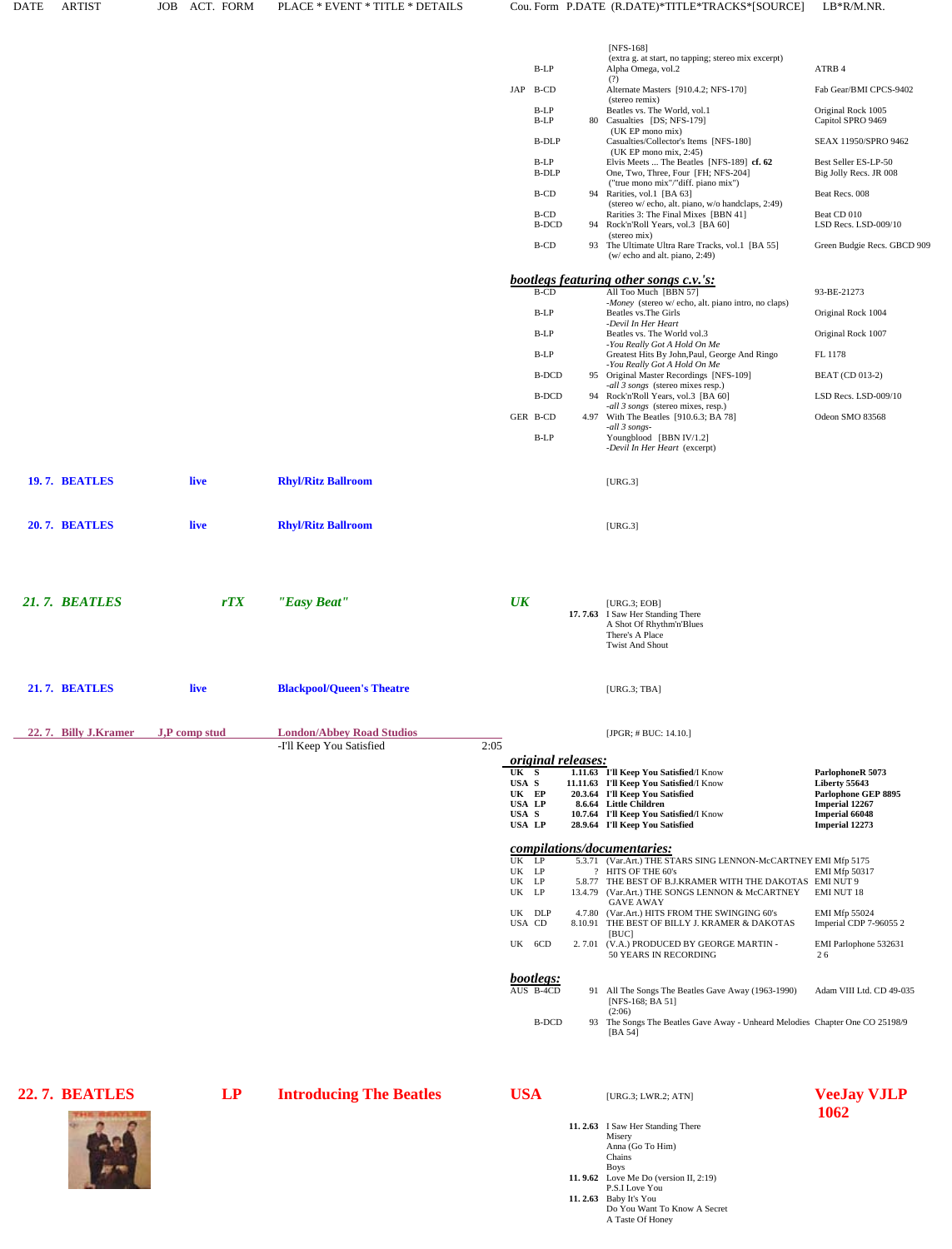|                      |               |                                  |      |                                   |  | [NFS-168]<br>(extra g. at start, no tapping; stereo mix excerpt)                                                                |                                                |
|----------------------|---------------|----------------------------------|------|-----------------------------------|--|---------------------------------------------------------------------------------------------------------------------------------|------------------------------------------------|
|                      |               |                                  |      | B-LP                              |  | Alpha Omega, vol.2<br>(?)                                                                                                       | ATRB 4                                         |
|                      |               |                                  |      | JAP B-CD                          |  | Alternate Masters [910.4.2; NFS-170]<br>(stereo remix)                                                                          | Fab Gear/BMI CPCS-9402                         |
|                      |               |                                  |      | B-LP<br>B-LP                      |  | Beatles vs. The World, vol.1<br>80 Casualties [DS; NFS-179]                                                                     | Original Rock 1005<br>Capitol SPRO 9469        |
|                      |               |                                  |      | <b>B-DLP</b>                      |  | (UK EP mono mix)<br>Casualties/Collector's Items [NFS-180]                                                                      | SEAX 11950/SPRO 9462                           |
|                      |               |                                  |      | B-LP<br><b>B-DLP</b>              |  | $(UK EP$ mono mix, 2:45)<br>Elvis Meets  The Beatles [NFS-189] cf. 62<br>One, Two, Three, Four [FH; NFS-204]                    | Best Seller ES-LP-50<br>Big Jolly Recs. JR 008 |
|                      |               |                                  |      | B-CD                              |  | ("true mono mix"/"diff. piano mix")<br>94 Rarities, vol.1 [BA 63]                                                               | Beat Recs. 008                                 |
|                      |               |                                  |      | B-CD                              |  | (stereo w/ echo, alt. piano, w/o handclaps, 2:49)<br>Rarities 3: The Final Mixes [BBN 41]                                       | Beat CD 010                                    |
|                      |               |                                  |      | <b>B-DCD</b>                      |  | 94 Rock'n'Roll Years, vol.3 [BA 60]<br>(stereo mix)                                                                             | LSD Recs. LSD-009/10                           |
|                      |               |                                  |      | B-CD                              |  | 93 The Ultimate Ultra Rare Tracks, vol.1 [BA 55]<br>$(w/\text{echo}$ and alt. piano, 2:49)                                      | Green Budgie Recs. GBCD 909                    |
|                      |               |                                  |      |                                   |  | bootlegs featuring other songs c.v.'s:                                                                                          |                                                |
|                      |               |                                  |      | $B$ -CD                           |  | All Too Much [BBN 57]<br>-Money (stereo w/ echo, alt. piano intro, no claps)                                                    | 93-BE-21273                                    |
|                      |               |                                  |      | $B-LP$                            |  | Beatles vs. The Girls<br>-Devil In Her Heart                                                                                    | Original Rock 1004                             |
|                      |               |                                  |      | B-LP                              |  | Beatles vs. The World vol.3<br>-You Really Got A Hold On Me                                                                     | Original Rock 1007                             |
|                      |               |                                  |      | B-LP                              |  | Greatest Hits By John, Paul, George And Ringo<br>-You Really Got A Hold On Me                                                   | FL 1178                                        |
|                      |               |                                  |      | <b>B-DCD</b>                      |  | 95 Original Master Recordings [NFS-109]<br>-all 3 songs (stereo mixes resp.)                                                    | <b>BEAT</b> (CD 013-2)                         |
|                      |               |                                  |      | <b>B-DCD</b>                      |  | 94 Rock'n'Roll Years, vol.3 [BA 60]<br>-all 3 songs (stereo mixes, resp.)                                                       | LSD Recs. LSD-009/10                           |
|                      |               |                                  |      | GER B-CD                          |  | 4.97 With The Beatles [910.6.3; BA 78]<br>-all 3 songs-                                                                         | Odeon SMO 83568                                |
|                      |               |                                  |      | B-LP                              |  | Youngblood [BBN IV/1.2]<br>-Devil In Her Heart (excerpt)                                                                        |                                                |
| 19.7. BEATLES        | live          | <b>Rhyl/Ritz Ballroom</b>        |      |                                   |  | [URG.3]                                                                                                                         |                                                |
|                      |               |                                  |      |                                   |  |                                                                                                                                 |                                                |
| 20.7. BEATLES        | live          | <b>Rhyl/Ritz Ballroom</b>        |      |                                   |  | [URG.3]                                                                                                                         |                                                |
|                      |               |                                  |      |                                   |  |                                                                                                                                 |                                                |
|                      |               |                                  |      |                                   |  |                                                                                                                                 |                                                |
| 21.7. BEATLES        | rTX           | "Easy Beat"                      |      | $U\!K$                            |  | [ $URG.3$ ; $EOB$ ]                                                                                                             |                                                |
|                      |               |                                  |      |                                   |  | 17.7.63 I Saw Her Standing There<br>A Shot Of Rhythm'n'Blues                                                                    |                                                |
|                      |               |                                  |      |                                   |  | There's A Place<br><b>Twist And Shout</b>                                                                                       |                                                |
|                      |               |                                  |      |                                   |  |                                                                                                                                 |                                                |
| 21.7. BEATLES        | live          | <b>Blackpool/Queen's Theatre</b> |      |                                   |  | [ $URG.3$ ; $TBA$ ]                                                                                                             |                                                |
| 22.7. Billy J.Kramer | J,P comp stud | <b>London/Abbey Road Studios</b> |      |                                   |  | [JPGR; $\#$ BUC: 14.10.]                                                                                                        |                                                |
|                      |               | -I'll Keep You Satisfied         | 2:05 |                                   |  |                                                                                                                                 |                                                |
|                      |               |                                  |      | <i>original releases:</i><br>UK S |  | 1.11.63 I'll Keep You Satisfied/I Know                                                                                          | ParlophoneR 5073                               |
|                      |               |                                  |      | USA S<br>UK EP                    |  | 11.11.63 I'll Keep You Satisfied/I Know<br>20.3.64 I'll Keep You Satisfied                                                      | Liberty 55643<br>Parlophone GEP 8895           |
|                      |               |                                  |      | <b>USA LP</b><br>USA S            |  | 8.6.64 Little Children<br>10.7.64 I'll Keep You Satisfied/I Know                                                                | <b>Imperial 12267</b><br><b>Imperial 66048</b> |
|                      |               |                                  |      | <b>USA LP</b>                     |  | 28.9.64 I'll Keep You Satisfied                                                                                                 | <b>Imperial 12273</b>                          |
|                      |               |                                  |      |                                   |  | compilations/documentaries:                                                                                                     |                                                |
|                      |               |                                  |      | UK LP<br>UK LP                    |  | 5.3.71 (Var.Art.) THE STARS SING LENNON-McCARTNEY EMI Mfp 5175<br>? HITS OF THE 60's                                            | <b>EMI Mfp 50317</b>                           |
|                      |               |                                  |      | UK LP<br>UK LP                    |  | 5.8.77 THE BEST OF B.J.KRAMER WITH THE DAKOTAS EMI NUT 9<br>13.4.79 (Var.Art.) THE SONGS LENNON & McCARTNEY<br><b>GAVE AWAY</b> | <b>EMI NUT 18</b>                              |
|                      |               |                                  |      | UK DLP<br>USA CD                  |  | 4.7.80 (Var.Art.) HITS FROM THE SWINGING 60's<br>8.10.91 THE BEST OF BILLY J. KRAMER & DAKOTAS                                  | EMI Mfp 55024<br>Imperial CDP 7-96055 2        |
|                      |               |                                  |      | UK 6CD                            |  | [BUC]<br>2.7.01 (V.A.) PRODUCED BY GEORGE MARTIN -<br>50 YEARS IN RECORDING                                                     | EMI Parlophone 532631<br>26                    |
|                      |               |                                  |      | bootlegs:                         |  |                                                                                                                                 |                                                |
|                      |               |                                  |      | AUS B-4CD                         |  | 91 All The Songs The Beatles Gave Away (1963-1990)                                                                              | Adam VIII Ltd. CD 49-035                       |
|                      |               |                                  |      |                                   |  | [NFS-168; BA 51]<br>(2:06)                                                                                                      |                                                |
|                      |               |                                  |      | <b>B-DCD</b>                      |  | 93 The Songs The Beatles Gave Away - Unheard Melodies Chapter One CO 25198/9<br>[BA 54]                                         |                                                |
|                      |               |                                  |      |                                   |  |                                                                                                                                 |                                                |
| 22.7. BEATLES        | LP            | <b>Introducing The Beatles</b>   |      | <b>USA</b>                        |  | [URG.3; LWR.2; ATN]                                                                                                             | <b>VeeJay VJLP</b>                             |
| 学生生物学 的复数人名          |               |                                  |      |                                   |  |                                                                                                                                 | 1062                                           |

**11. 2.63** I Saw Her Standing There

A Taste Of Honey

Misery

Boys

Anna (Go To Him) Chains

**11. 9.62** Love Me Do (version II, 2:19)<br>P.S.I Love You<br>**11. 2.63** Baby It's You Do You Want To Know A Secret

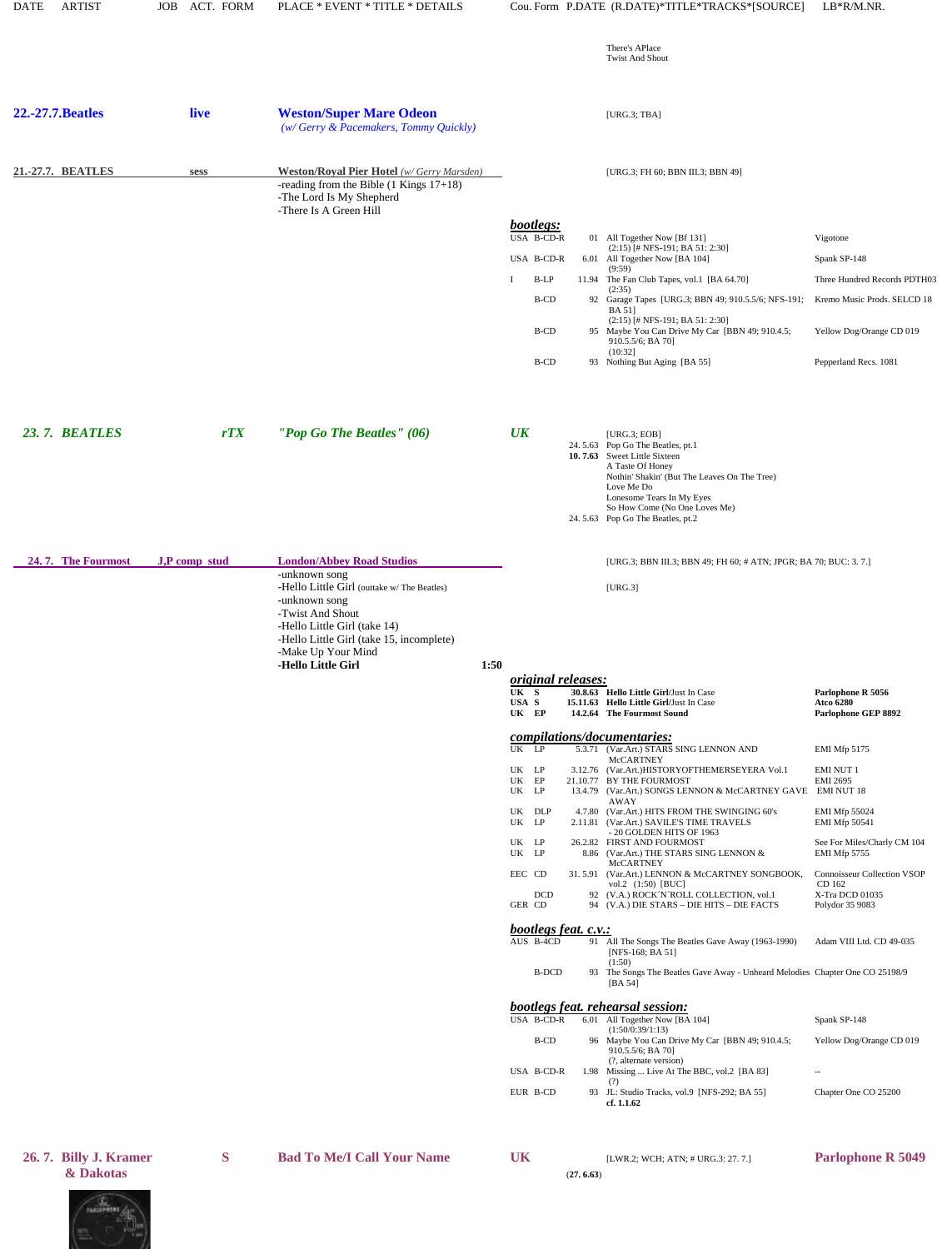| <b>DATE</b> | <b>ARTIST</b>                      | ACT. FORM<br><b>JOB</b> | PLACE * EVENT * TITLE * DETAILS                                                                                                                                                                                                        |                                                                                          |           | Cou. Form P.DATE (R.DATE)*TITLE*TRACKS*[SOURCE]                                                                                                                                                                                                                                                                                                                                                       | LB*R/M.NR.                                                                                                                                   |
|-------------|------------------------------------|-------------------------|----------------------------------------------------------------------------------------------------------------------------------------------------------------------------------------------------------------------------------------|------------------------------------------------------------------------------------------|-----------|-------------------------------------------------------------------------------------------------------------------------------------------------------------------------------------------------------------------------------------------------------------------------------------------------------------------------------------------------------------------------------------------------------|----------------------------------------------------------------------------------------------------------------------------------------------|
|             |                                    |                         |                                                                                                                                                                                                                                        |                                                                                          |           | There's APlace<br><b>Twist And Shout</b>                                                                                                                                                                                                                                                                                                                                                              |                                                                                                                                              |
|             | <b>22.-27.7. Beatles</b>           | live                    | <b>Weston/Super Mare Odeon</b><br>(w/Gerry & Pacemakers, Tommy Quickly)                                                                                                                                                                |                                                                                          |           | [ $URG.3$ ; $TBA$ ]                                                                                                                                                                                                                                                                                                                                                                                   |                                                                                                                                              |
|             | 21.-27.7. BEATLES                  | sess                    | <b>Weston/Royal Pier Hotel</b> (w/Gerry Marsden)<br>-reading from the Bible $(1$ Kings $17+18)$<br>-The Lord Is My Shepherd                                                                                                            |                                                                                          |           | [URG.3; FH 60; BBN III.3; BBN 49]                                                                                                                                                                                                                                                                                                                                                                     |                                                                                                                                              |
|             |                                    |                         | -There Is A Green Hill                                                                                                                                                                                                                 | bootlegs:<br>USA B-CD-R<br>USA B-CD-R<br>B-LP<br>I<br><b>B-CD</b><br><b>B-CD</b><br>B-CD |           | 01 All Together Now [Bf 131]<br>$(2:15)$ [# NFS-191; BA 51: 2:30]<br>6.01 All Together Now [BA 104]<br>(9:59)<br>11.94 The Fan Club Tapes, vol.1 [BA 64.70]<br>(2:35)<br>92 Garage Tapes [URG.3; BBN 49; 910.5.5/6; NFS-191;<br><b>BA 51]</b><br>$(2:15)$ [# NFS-191; BA 51: 2:30]<br>95 Maybe You Can Drive My Car [BBN 49; 910.4.5;<br>910.5.5/6; BA 70]<br>(10:32]<br>93 Nothing But Aging [BA 55] | Vigotone<br>Spank SP-148<br>Three Hundred Records PDTH03<br>Kremo Music Prods. SELCD 18<br>Yellow Dog/Orange CD 019<br>Pepperland Recs. 1081 |
|             | <b>23.7. BEATLES</b>               | rTX                     | "Pop Go The Beatles" $(06)$                                                                                                                                                                                                            | $U\mathbf{K}$                                                                            |           | [ $URG.3$ ; $EOB$ ]<br>24.5.63 Pop Go The Beatles, pt.1<br>10.7.63 Sweet Little Sixteen<br>A Taste Of Honey<br>Nothin' Shakin' (But The Leaves On The Tree)<br>Love Me Do<br>Lonesome Tears In My Eyes<br>So How Come (No One Loves Me)<br>24.5.63 Pop Go The Beatles, pt.2                                                                                                                           |                                                                                                                                              |
|             | 24.7. The Fourmost                 | J,P comp stud           | <b>London/Abbey Road Studios</b><br>-unknown song<br>-Hello Little Girl (outtake w/The Beatles)<br>-unknown song<br>-Twist And Shout<br>-Hello Little Girl (take 14)<br>-Hello Little Girl (take 15, incomplete)<br>-Make Up Your Mind |                                                                                          |           | [URG.3; BBN III.3; BBN 49; FH 60; # ATN; JPGR; BA 70; BUC: 3. 7.]<br>[URG.3]                                                                                                                                                                                                                                                                                                                          |                                                                                                                                              |
|             |                                    |                         | -Hello Little Girl<br>1:50                                                                                                                                                                                                             | <i>original releases:</i><br>UK S<br>USA S<br>UK EP                                      |           | 30.8.63 Hello Little Girl/Just In Case<br>15.11.63 Hello Little Girl/Just In Case<br>14.2.64 The Fourmost Sound                                                                                                                                                                                                                                                                                       | Parlophone R 5056<br><b>Atco 6280</b><br>Parlophone GEP 8892                                                                                 |
|             |                                    |                         |                                                                                                                                                                                                                                        | $UK$ $LP$                                                                                |           | compilations/documentaries:<br>5.3.71 (Var.Art.) STARS SING LENNON AND<br>McCARTNEY                                                                                                                                                                                                                                                                                                                   | EMI Mfp 5175                                                                                                                                 |
|             |                                    |                         |                                                                                                                                                                                                                                        | UK LP<br>$\ensuremath{\mathsf{UK}}\xspace$ – $\ensuremath{\mathsf{EP}}\xspace$<br>UK LP  |           | 3.12.76 (Var.Art.)HISTORYOFTHEMERSEYERA Vol.1<br>21.10.77 BY THE FOURMOST<br>13.4.79 (Var.Art.) SONGS LENNON & McCARTNEY GAVE EMI NUT 18<br>AWAY                                                                                                                                                                                                                                                      | <b>EMI NUT 1</b><br><b>EMI 2695</b>                                                                                                          |
|             |                                    |                         |                                                                                                                                                                                                                                        | UK DLP<br>UK LP<br>UK LP                                                                 |           | 4.7.80 (Var.Art.) HITS FROM THE SWINGING 60's<br>2.11.81 (Var.Art.) SAVILE'S TIME TRAVELS<br>- 20 GOLDEN HITS OF 1963<br>26.2.82 FIRST AND FOURMOST                                                                                                                                                                                                                                                   | EMI Mfp 55024<br><b>EMI Mfp 50541</b><br>See For Miles/Charly CM 104                                                                         |
|             |                                    |                         |                                                                                                                                                                                                                                        | UK LP<br>EEC CD<br><b>DCD</b><br>GER CD                                                  |           | 8.86 (Var.Art.) THE STARS SING LENNON &<br>McCARTNEY<br>31.5.91 (Var.Art.) LENNON & McCARTNEY SONGBOOK,<br>vol.2 (1:50) [BUC]<br>92 (V.A.) ROCK 'N 'ROLL COLLECTION, vol.1<br>94 (V.A.) DIE STARS - DIE HITS - DIE FACTS                                                                                                                                                                              | EMI Mfp 5755<br><b>Connoisseur Collection VSOP</b><br>CD 162<br>X-Tra DCD 01035<br>Polydor 35 9083                                           |
|             |                                    |                         |                                                                                                                                                                                                                                        | bootlegs feat. c.v.:<br>AUS B-4CD                                                        |           | 91 All The Songs The Beatles Gave Away (1963-1990)                                                                                                                                                                                                                                                                                                                                                    | Adam VIII Ltd. CD 49-035                                                                                                                     |
|             |                                    |                         |                                                                                                                                                                                                                                        | <b>B-DCD</b>                                                                             |           | [NFS-168; BA 51]<br>(1:50)<br>93 The Songs The Beatles Gave Away - Unheard Melodies Chapter One CO 25198/9<br>[BA 54]                                                                                                                                                                                                                                                                                 |                                                                                                                                              |
|             |                                    |                         |                                                                                                                                                                                                                                        | USA B-CD-R                                                                               |           | <b>bootlegs feat. rehearsal session:</b><br>6.01 All Together Now [BA 104]                                                                                                                                                                                                                                                                                                                            | Spank SP-148                                                                                                                                 |
|             |                                    |                         |                                                                                                                                                                                                                                        | B-CD                                                                                     |           | (1:50/0:39/1:13)<br>96 Maybe You Can Drive My Car [BBN 49; 910.4.5;<br>910.5.5/6; BA 70]                                                                                                                                                                                                                                                                                                              | Yellow Dog/Orange CD 019                                                                                                                     |
|             |                                    |                         |                                                                                                                                                                                                                                        | USA B-CD-R                                                                               |           | (?, alternate version)<br>1.98 Missing  Live At The BBC, vol.2 [BA 83]<br>(?)                                                                                                                                                                                                                                                                                                                         | $\sim$                                                                                                                                       |
|             |                                    |                         |                                                                                                                                                                                                                                        | EUR B-CD                                                                                 |           | 93 JL: Studio Tracks, vol.9 [NFS-292; BA 55]<br>cf. 1.1.62                                                                                                                                                                                                                                                                                                                                            | Chapter One CO 25200                                                                                                                         |
|             | 26.7. Billy J. Kramer<br>& Dakotas | S                       | <b>Bad To Me/I Call Your Name</b>                                                                                                                                                                                                      | <b>UK</b>                                                                                | (27.6.63) | [LWR.2; WCH; ATN; # URG.3: 27. 7.]                                                                                                                                                                                                                                                                                                                                                                    | <b>Parlophone R 5049</b>                                                                                                                     |

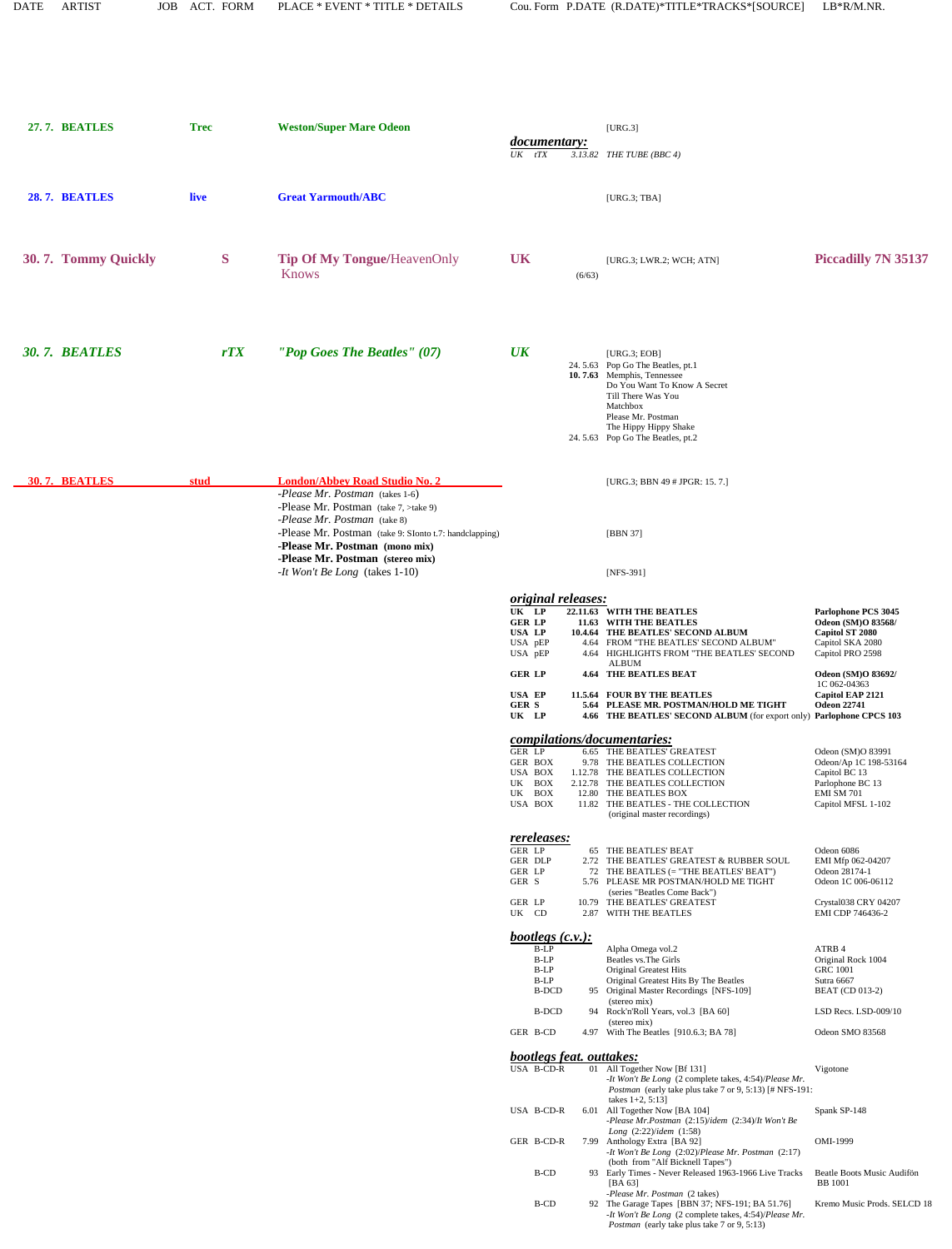| 27.7. BEATLES         | <b>Trec</b> | <b>Weston/Super Mare Odeon</b>                                                                                                                                                                                                                                                                                            | <i>documentary:</i>                                                                                                                     | [URG.3]                                                                                                                                                                                                                                                                                                                                                                        |                                                                                                                                                                                      |
|-----------------------|-------------|---------------------------------------------------------------------------------------------------------------------------------------------------------------------------------------------------------------------------------------------------------------------------------------------------------------------------|-----------------------------------------------------------------------------------------------------------------------------------------|--------------------------------------------------------------------------------------------------------------------------------------------------------------------------------------------------------------------------------------------------------------------------------------------------------------------------------------------------------------------------------|--------------------------------------------------------------------------------------------------------------------------------------------------------------------------------------|
|                       |             |                                                                                                                                                                                                                                                                                                                           | $UK$ $tTX$                                                                                                                              | $3.13.82$ THE TUBE (BBC 4)                                                                                                                                                                                                                                                                                                                                                     |                                                                                                                                                                                      |
| 28.7. BEATLES         | live        | <b>Great Yarmouth/ABC</b>                                                                                                                                                                                                                                                                                                 |                                                                                                                                         | [ $URG.3$ ; $TBA$ ]                                                                                                                                                                                                                                                                                                                                                            |                                                                                                                                                                                      |
| 30.7. Tommy Quickly   | S           | <b>Tip Of My Tongue/HeavenOnly</b><br><b>Knows</b>                                                                                                                                                                                                                                                                        | <b>UK</b><br>(6/63)                                                                                                                     | [URG.3; LWR.2; WCH; ATN]                                                                                                                                                                                                                                                                                                                                                       | <b>Piccadilly 7N 35137</b>                                                                                                                                                           |
| <b>30. 7. BEATLES</b> | rTX         | "Pop Goes The Beatles" $(07)$                                                                                                                                                                                                                                                                                             | $\overline{UK}$                                                                                                                         | [ $URG.3$ ; $EOB$ ]<br>24.5.63 Pop Go The Beatles, pt.1<br>10.7.63 Memphis, Tennessee<br>Do You Want To Know A Secret<br>Till There Was You<br>Matchbox<br>Please Mr. Postman<br>The Hippy Hippy Shake<br>24.5.63 Pop Go The Beatles, pt.2                                                                                                                                     |                                                                                                                                                                                      |
| <b>30.7. BEATLES</b>  | stud        | <b>London/Abbey Road Studio No. 2</b><br>-Please Mr. Postman (takes 1-6)<br>-Please Mr. Postman $(take 7, \geq take 9)$<br>-Please Mr. Postman (take 8)<br>-Please Mr. Postman (take 9: SIonto t.7: handclapping)<br>-Please Mr. Postman (mono mix)<br>-Please Mr. Postman (stereo mix)<br>-It Won't Be Long (takes 1-10) |                                                                                                                                         | [URG.3; BBN 49 # JPGR: 15.7.]<br>[BBN 37]<br>[NFS-391]                                                                                                                                                                                                                                                                                                                         |                                                                                                                                                                                      |
|                       |             |                                                                                                                                                                                                                                                                                                                           | original releases:<br>UK LP<br><b>GER LP</b><br>USA LP<br>USA pEP<br>USA pEP<br><b>GER LP</b><br><b>USA EP</b><br><b>GER S</b><br>UK LP | 22.11.63 WITH THE BEATLES<br>11.63 WITH THE BEATLES<br>10.4.64 THE BEATLES' SECOND ALBUM<br>4.64 FROM "THE BEATLES' SECOND ALBUM"<br>4.64 HIGHLIGHTS FROM "THE BEATLES' SECOND<br><b>ALBUM</b><br><b>4.64 THE BEATLES BEAT</b><br>11.5.64 FOUR BY THE BEATLES<br>5.64 PLEASE MR. POSTMAN/HOLD ME TIGHT<br>4.66 THE BEATLES' SECOND ALBUM (for export only) Parlophone CPCS 103 | Parlophone PCS 3045<br>Odeon (SM)O 83568/<br>Capitol ST 2080<br>Capitol SKA 2080<br>Capitol PRO 2598<br>Odeon (SM)O 83692/<br>1C 062-04363<br>Capitol EAP 2121<br><b>Odeon 22741</b> |
|                       |             |                                                                                                                                                                                                                                                                                                                           | compilations/documentaries:<br>GER LP<br>GER BOX<br>USA BOX<br>UK BOX<br>UK BOX<br>USA BOX                                              | 6.65 THE BEATLES' GREATEST<br>9.78 THE BEATLES COLLECTION<br>1.12.78 THE BEATLES COLLECTION<br>2.12.78 THE BEATLES COLLECTION<br>12.80 THE BEATLES BOX<br>11.82 THE BEATLES - THE COLLECTION<br>(original master recordings)                                                                                                                                                   | Odeon (SM)O 83991<br>Odeon/Ap 1C 198-53164<br>Capitol BC 13<br>Parlophone BC 13<br>EMI SM 701<br>Capitol MFSL 1-102                                                                  |
|                       |             |                                                                                                                                                                                                                                                                                                                           | <u>rereleases:</u><br>GER LP<br>GER DLP<br>GER LP<br>GER S<br>GER LP<br>UK CD                                                           | 65 THE BEATLES' BEAT<br>2.72 THE BEATLES' GREATEST & RUBBER SOUL<br>72 THE BEATLES (= "THE BEATLES' BEAT")<br>5.76 PLEASE MR POSTMAN/HOLD ME TIGHT<br>(series "Beatles Come Back")<br>10.79 THE BEATLES' GREATEST<br>2.87 WITH THE BEATLES                                                                                                                                     | Odeon 6086<br>EMI Mfp 062-04207<br>Odeon 28174-1<br>Odeon 1C 006-06112<br>Crystal038 CRY 04207<br>EMI CDP 746436-2                                                                   |
|                       |             |                                                                                                                                                                                                                                                                                                                           | $\underline{bootlegs(c.v.)}$<br>$B-LP$<br>B-LP<br>B-LP<br>B-LP<br><b>B-DCD</b><br><b>B-DCD</b>                                          | Alpha Omega vol.2<br>Beatles vs. The Girls<br>Original Greatest Hits<br>Original Greatest Hits By The Beatles<br>95 Original Master Recordings [NFS-109]<br>(stereo mix)<br>94 Rock'n'Roll Years, vol.3 [BA 60]<br>(stereo mix)                                                                                                                                                | ATRB 4<br>Original Rock 1004<br><b>GRC 1001</b><br>Sutra 6667<br><b>BEAT</b> (CD 013-2)<br>LSD Recs. LSD-009/10                                                                      |
|                       |             |                                                                                                                                                                                                                                                                                                                           | GER B-CD<br><i>bootlegs feat. outtakes:</i><br>USA B-CD-R                                                                               | 4.97 With The Beatles [910.6.3; BA 78]<br>01 All Together Now [Bf 131]<br>-It Won't Be Long (2 complete takes, 4:54)/Please Mr.<br><i>Postman</i> (early take plus take 7 or 9, 5:13) [# NFS-191:                                                                                                                                                                              | Odeon SMO 83568<br>Vigotone                                                                                                                                                          |
|                       |             |                                                                                                                                                                                                                                                                                                                           | USA B-CD-R                                                                                                                              | takes $1+2, 5:13$ ]<br>6.01 All Together Now [BA 104]<br>-Please Mr.Postman (2:15)/idem (2:34)/It Won't Be                                                                                                                                                                                                                                                                     | Spank SP-148                                                                                                                                                                         |
|                       |             |                                                                                                                                                                                                                                                                                                                           | GER B-CD-R                                                                                                                              | Long (2:22)/idem (1:58)<br>7.99 Anthology Extra [BA 92]<br>-It Won't Be Long $(2:02)/Please$ Mr. Postman $(2:17)$                                                                                                                                                                                                                                                              | OMI-1999                                                                                                                                                                             |
|                       |             |                                                                                                                                                                                                                                                                                                                           | B-CD                                                                                                                                    | (both from "Alf Bicknell Tapes")<br>93 Early Times - Never Released 1963-1966 Live Tracks<br>[BA $63$ ]<br>-Please Mr. Postman (2 takes)                                                                                                                                                                                                                                       | Beatle Boots Music Audifön<br><b>BB</b> 1001                                                                                                                                         |
|                       |             |                                                                                                                                                                                                                                                                                                                           | B-CD                                                                                                                                    | 92 The Garage Tapes [BBN 37; NFS-191; BA 51.76]<br>-It Won't Be Long (2 complete takes, 4:54)/Please Mr.<br><i>Postman</i> (early take plus take 7 or 9, 5:13)                                                                                                                                                                                                                 | Kremo Music Prods. SELCD 18                                                                                                                                                          |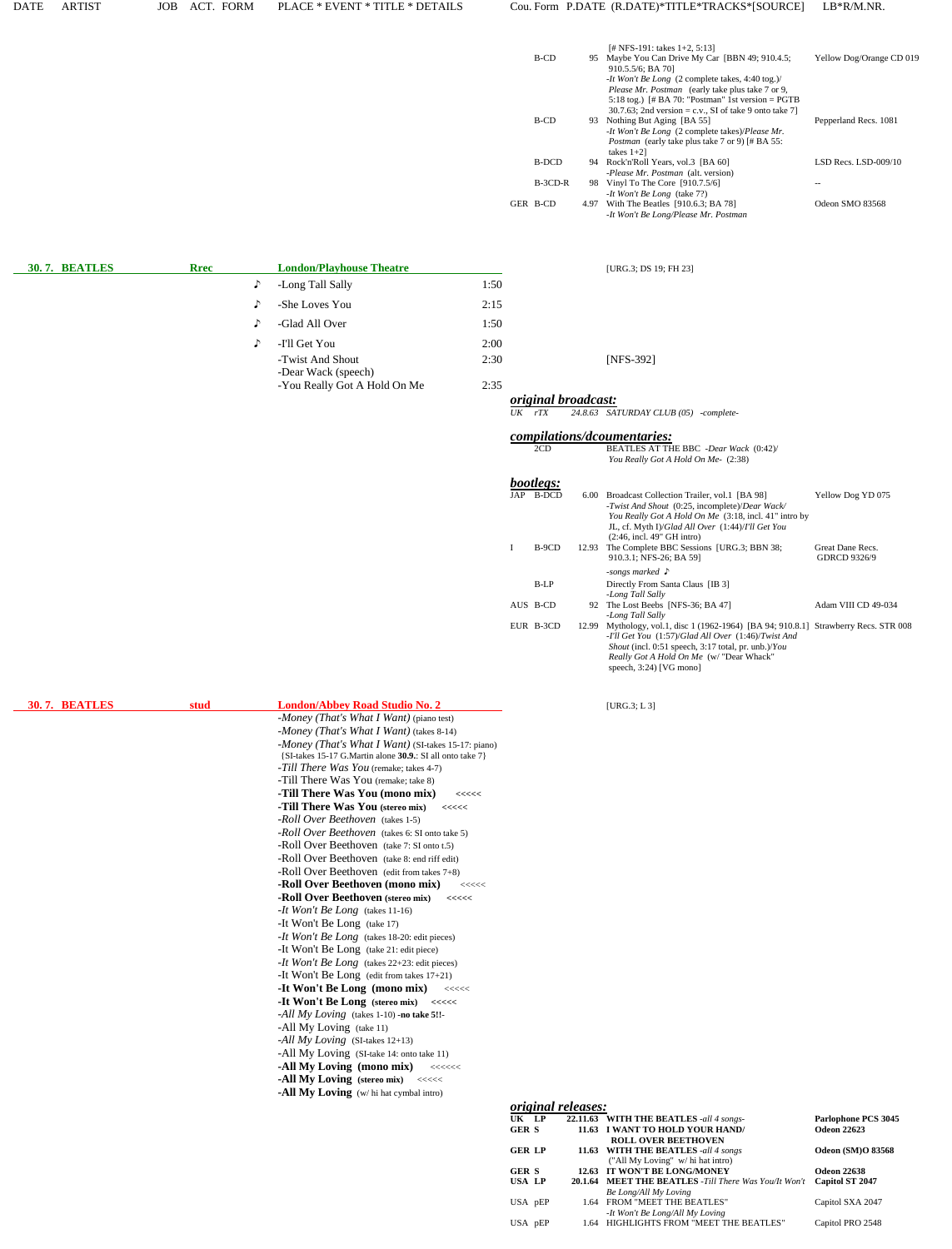### DATE ARTIST JOB ACT. FORM PLACE \* EVENT \* TITLE \* DETAILS Cou. Form P.DATE (R.DATE)\*TITLE\*TRACKS\*[SOURCE] LB\*R/M.NR.

|           | [# NFS-191: takes $1+2$ , 5:13]                         |                          |
|-----------|---------------------------------------------------------|--------------------------|
| B-CD      | 95 Maybe You Can Drive My Car [BBN 49; 910.4.5;         | Yellow Dog/Orange CD 019 |
|           | 910.5.5/6; BA 70]                                       |                          |
|           | -It Won't Be Long (2 complete takes, 4:40 tog.)/        |                          |
|           | <i>Please Mr. Postman</i> (early take plus take 7 or 9, |                          |
|           | 5:18 tog.) [# BA 70: "Postman" 1st version = $PGTB$     |                          |
|           | 30.7.63; 2nd version = c.v., SI of take 9 onto take 7]  |                          |
| B-CD      | 93 Nothing But Aging [BA 55]                            | Pepperland Recs. 1081    |
|           | -It Won't Be Long (2 complete takes)/Please Mr.         |                          |
|           | <i>Postman</i> (early take plus take 7 or 9) [# BA 55:  |                          |
|           | takes $1+2$ ]                                           |                          |
| B-DCD     | 94 Rock'n'Roll Years, vol.3 [BA 60]                     | LSD Recs. LSD-009/10     |
|           | -Please Mr. Postman (alt. version)                      |                          |
| $B-3CD-R$ | 98 Vinyl To The Core [910.7.5/6]                        |                          |
|           | -It Won't Be Long (take 7?)                             |                          |
| GER B-CD  | 4.97 With The Beatles [910.6.3; BA 78]                  | Odeon SMO 83568          |
|           | -It Won't Be Long/Please Mr. Postman                    |                          |
|           |                                                         |                          |

| <b>30.7. BEATLES</b> | <b>Rrec</b> |            | <b>London/Playhouse Theatre</b>         |      | [URG.3; DS $1$             |
|----------------------|-------------|------------|-----------------------------------------|------|----------------------------|
|                      |             | $\sqrt{ }$ | -Long Tall Sally                        | 1:50 |                            |
|                      |             | $\Gamma$   | -She Loves You                          | 2:15 |                            |
|                      |             | $\Gamma$   | -Glad All Over                          | 1:50 |                            |
|                      |             | $\Gamma$   | -I'll Get You                           | 2:00 |                            |
|                      |             |            | -Twist And Shout<br>-Dear Wack (speech) | 2:30 | [NFS-392]                  |
|                      |             |            | -You Really Got A Hold On Me            | 2:35 | <i>original broadcast:</i> |

| 5           |           |
|-------------|-----------|
| 0           |           |
| Ю           |           |
| $\rm ^{30}$ | [NFS-392] |

**[URG.3; DS 19; FH 23]** 

 *original broadcast: UK rTX 24.8.63 SATURDAY CLUB (05) -complete-*

 *compilations/dcoumentaries:*

|      | 2CD              |       | BEATLES AT THE BBC -Dear Wack (0:42)/<br>You Really Got A Hold On Me- (2:38)                                                                                                                                                                                                          |                                         |
|------|------------------|-------|---------------------------------------------------------------------------------------------------------------------------------------------------------------------------------------------------------------------------------------------------------------------------------------|-----------------------------------------|
|      | <i>bootlegs:</i> |       |                                                                                                                                                                                                                                                                                       |                                         |
| JAP. | B-DCD            | 6.00  | Broadcast Collection Trailer, vol.1 [BA 98]<br>-Twist And Shout (0:25, incomplete)/Dear Wack/<br>You Really Got A Hold On Me (3:18, incl. 41" intro by                                                                                                                                | Yellow Dog YD 075                       |
|      |                  |       | JL, cf. Myth I)/Glad All Over (1:44)/I'll Get You<br>$(2:46, incl. 49" \text{ GHz}$ intro)                                                                                                                                                                                            |                                         |
|      | B-9CD            | 12.93 | The Complete BBC Sessions [URG.3; BBN 38;<br>910.3.1; NFS-26; BA 591                                                                                                                                                                                                                  | Great Dane Recs.<br><b>GDRCD 9326/9</b> |
|      |                  |       | -songs marked $\Gamma$                                                                                                                                                                                                                                                                |                                         |
|      | $B-LP$           |       | Directly From Santa Claus [IB 3]<br>-Long Tall Sally                                                                                                                                                                                                                                  |                                         |
|      | AUS B-CD         |       | 92 The Lost Beebs [NFS-36; BA 47]<br>-Long Tall Sally                                                                                                                                                                                                                                 | Adam VIII CD 49-034                     |
|      | EUR B-3CD        | 12.99 | Mythology, vol.1, disc 1 (1962-1964) [BA 94; 910.8.1] Strawberry Recs. STR 008<br>-I'll Get You (1:57)/Glad All Over (1:46)/Twist And<br><i>Shout</i> (incl. 0:51 speech, 3:17 total, pr. unb.)/ <i>You</i><br>Really Got A Hold On Me (w/ "Dear Whack"<br>speech, $3:24$ ) [VG mono] |                                         |

| 30.7. BEATLES | stud | <b>London/Abbey Road Studio No. 2</b>                                                                               | [URG.3; $L$ 3]                  |
|---------------|------|---------------------------------------------------------------------------------------------------------------------|---------------------------------|
|               |      | -Money (That's What I Want) (piano test)                                                                            |                                 |
|               |      | -Money (That's What I Want) (takes 8-14)                                                                            |                                 |
|               |      | -Money (That's What I Want) (SI-takes 15-17: piano)                                                                 |                                 |
|               |      | {SI-takes 15-17 G. Martin alone 30.9.: SI all onto take 7}                                                          |                                 |
|               |      | -Till There Was You (remake; takes 4-7)                                                                             |                                 |
|               |      | -Till There Was You (remake; take 8)                                                                                |                                 |
|               |      | -Till There Was You (mono mix)<br><<<<                                                                              |                                 |
|               |      | -Till There Was You (stereo mix)<br><<<<                                                                            |                                 |
|               |      | -Roll Over Beethoven (takes 1-5)                                                                                    |                                 |
|               |      | -Roll Over Beethoven (takes 6: SI onto take 5)                                                                      |                                 |
|               |      | -Roll Over Beethoven (take 7: SI onto t.5)                                                                          |                                 |
|               |      | -Roll Over Beethoven (take 8: end riff edit)                                                                        |                                 |
|               |      | -Roll Over Beethoven (edit from takes $7+8$ )                                                                       |                                 |
|               |      | -Roll Over Beethoven (mono mix)<br><<<<                                                                             |                                 |
|               |      | -Roll Over Beethoven (stereo mix)<br><<<<                                                                           |                                 |
|               |      | -It Won't Be Long (takes 11-16)                                                                                     |                                 |
|               |      | -It Won't Be Long (take 17)                                                                                         |                                 |
|               |      | -It Won't Be Long (takes 18-20: edit pieces)                                                                        |                                 |
|               |      | -It Won't Be Long (take 21: edit piece)                                                                             |                                 |
|               |      | -It Won't Be Long (takes 22+23: edit pieces)                                                                        |                                 |
|               |      | -It Won't Be Long (edit from takes $17+21$ )                                                                        |                                 |
|               |      | -It Won't Be Long (mono mix)<br>$\begin{array}{c} \texttt{<<}\texttt{<<}\texttt{<}\texttt{<}\texttt{>} \end{array}$ |                                 |
|               |      | -It Won't Be Long (stereo mix)<br><<<<                                                                              |                                 |
|               |      | -All My Loving (takes 1-10) -no take 5!!-                                                                           |                                 |
|               |      | -All My Loving (take 11)                                                                                            |                                 |
|               |      | -All My Loving (SI-takes $12+13$ )                                                                                  |                                 |
|               |      | -All My Loving (SI-take 14: onto take 11)                                                                           |                                 |
|               |      | -All My Loving (mono mix)<br>$\begin{array}{c} \texttt{<<}\texttt{<<}\texttt{<<}\texttt{<}\texttt{>} \end{array}$   |                                 |
|               |      | -All My Loving (stereo mix) <<<<<                                                                                   |                                 |
|               |      | -All My Loving (w/hi hat cymbal intro)                                                                              |                                 |
|               |      |                                                                                                                     | <i>original releases:</i>       |
|               |      |                                                                                                                     | UK LP<br>22.11.63 WITH THE      |
|               |      |                                                                                                                     | <b>GER S</b><br>11.63 I WANT TO |

| <i>original releases:</i> |         |                                                      |                          |  |  |  |  |
|---------------------------|---------|------------------------------------------------------|--------------------------|--|--|--|--|
| UK LP                     |         | 22.11.63 WITH THE BEATLES -all 4 songs-              | Parlophone PCS 3045      |  |  |  |  |
| <b>GERS</b>               |         | 11.63 I WANT TO HOLD YOUR HAND/                      | <b>Odeon 22623</b>       |  |  |  |  |
|                           |         | <b>ROLL OVER BEETHOVEN</b>                           |                          |  |  |  |  |
| <b>GER LP</b>             |         | 11.63 WITH THE BEATLES -all 4 songs                  | <b>Odeon (SM)O 83568</b> |  |  |  |  |
|                           |         | ("All My Loving" w/ hi hat intro)                    |                          |  |  |  |  |
| <b>GER S</b>              | 12.63   | IT WON'T BE LONG/MONEY                               | <b>Odeon 22638</b>       |  |  |  |  |
| USA LP                    | 20.1.64 | <b>MEET THE BEATLES</b> -Till There Was You/It Won't | Capitol ST 2047          |  |  |  |  |
|                           |         | Be Long/All My Loving                                |                          |  |  |  |  |
| USA pEP                   | 1.64    | FROM "MEET THE BEATLES"                              | Capitol SXA 2047         |  |  |  |  |
|                           |         | -It Won't Be Long/All My Loving                      |                          |  |  |  |  |
| USA pEP                   | 1.64    | HIGHLIGHTS FROM "MEET THE BEATLES"                   | Capitol PRO 2548         |  |  |  |  |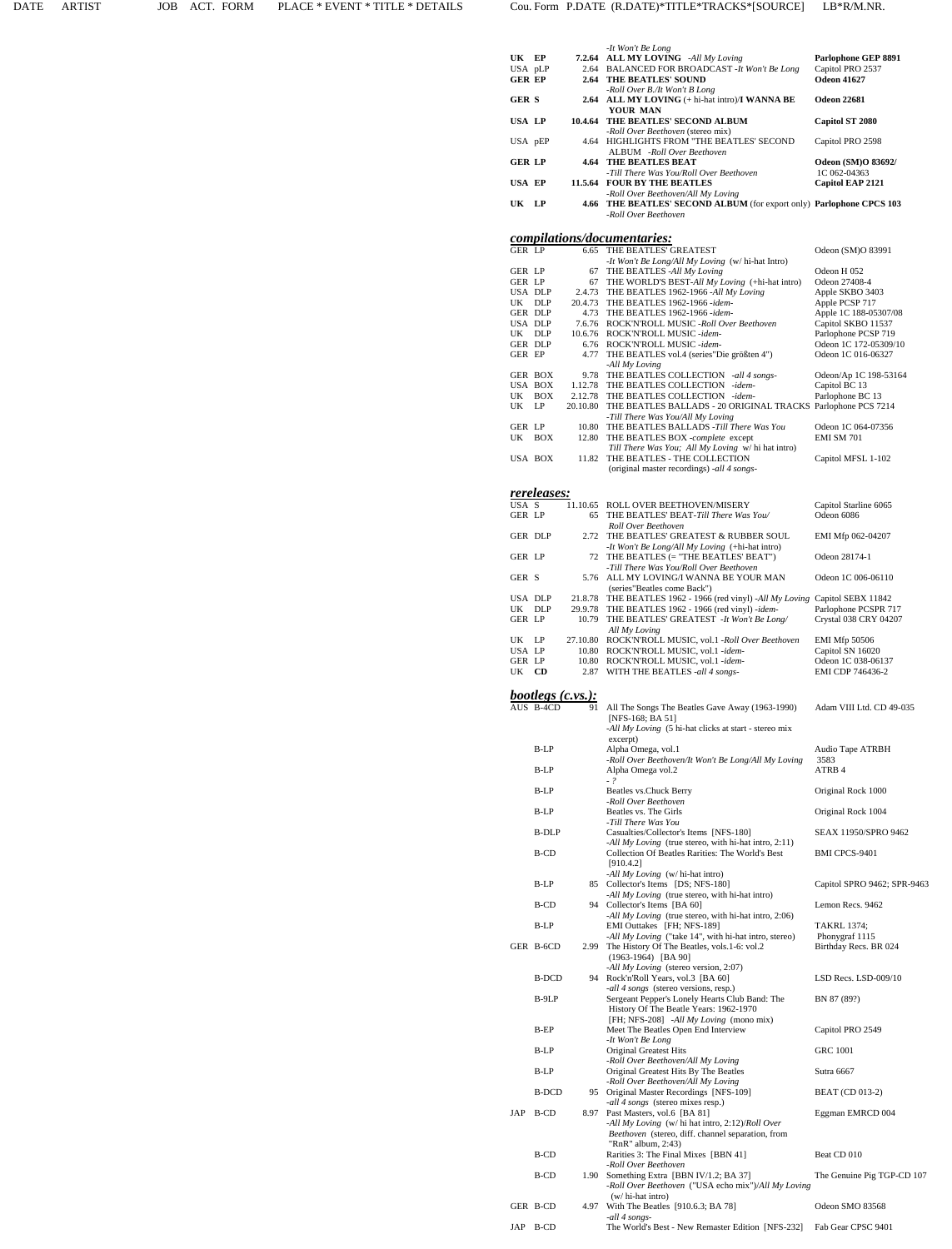|                           |                          |                | -It Won't Be Long                                                                                                           |                                              |
|---------------------------|--------------------------|----------------|-----------------------------------------------------------------------------------------------------------------------------|----------------------------------------------|
| UK EP<br>USA pLP          |                          |                | 7.2.64 ALL MY LOVING -All My Loving<br>2.64 BALANCED FOR BROADCAST - It Won't Be Long                                       | Parlophone GEP 8891<br>Capitol PRO 2537      |
| <b>GER EP</b>             |                          |                | <b>2.64 THE BEATLES' SOUND</b>                                                                                              | <b>Odeon 41627</b>                           |
| <b>GERS</b>               |                          |                | -Roll Over B./It Won't B Long<br>2.64 ALL MY LOVING (+ hi-hat intro)/I WANNA BE<br>YOUR MAN                                 | <b>Odeon 22681</b>                           |
| USA LP                    |                          |                | 10.4.64 THE BEATLES' SECOND ALBUM<br>-Roll Over Beethoven (stereo mix)                                                      | <b>Capitol ST 2080</b>                       |
| USA pEP                   |                          |                | 4.64 HIGHLIGHTS FROM "THE BEATLES' SECOND<br>ALBUM -Roll Over Beethoven                                                     | Capitol PRO 2598                             |
| <b>GER LP</b>             |                          |                | <b>4.64 THE BEATLES BEAT</b><br>-Till There Was You/Roll Over Beethoven                                                     | <b>Odeon (SM)O 83692/</b><br>1C 062-04363    |
| <b>USA EP</b>             |                          |                | 11.5.64 FOUR BY THE BEATLES                                                                                                 | Capitol EAP 2121                             |
| UK.                       | <b>LP</b>                |                | -Roll Over Beethoven/All My Loving<br>4.66 THE BEATLES' SECOND ALBUM (for export only) Parlophone CPCS 103                  |                                              |
|                           |                          |                | -Roll Over Beethoven                                                                                                        |                                              |
| <b>GER LP</b>             |                          |                | <i>compilations/documentaries:</i><br>6.65 THE BEATLES' GREATEST                                                            | Odeon (SM)O 83991                            |
|                           |                          |                | -It Won't Be Long/All My Loving (w/ hi-hat Intro)                                                                           |                                              |
| GER LP<br><b>GER LP</b>   |                          | 67<br>67       | THE BEATLES -All My Loving<br>THE WORLD'S BEST-All My Loving (+hi-hat intro)                                                | Odeon H 052<br>Odeon 27408-4                 |
| USA DLP<br>UK DLP         |                          |                | 2.4.73 THE BEATLES 1962-1966 -All My Loving<br>20.4.73 THE BEATLES 1962-1966 -idem-                                         | Apple SKBO 3403<br>Apple PCSP 717            |
| <b>GER DLP</b><br>USA DLP |                          |                | 4.73 THE BEATLES 1962-1966 -idem-<br>7.6.76 ROCK'N'ROLL MUSIC -Roll Over Beethoven                                          | Apple 1C 188-05307/08<br>Capitol SKBO 11537  |
| UK DLP<br>GER DLP         |                          |                | 10.6.76 ROCK'N'ROLL MUSIC -idem-<br>6.76 ROCK'N'ROLL MUSIC -idem-                                                           | Parlophone PCSP 719<br>Odeon 1C 172-05309/10 |
| GER EP                    |                          | 4.77           | THE BEATLES vol.4 (series "Die größten 4")                                                                                  | Odeon 1C 016-06327                           |
|                           | GER BOX                  |                | -All My Loving<br>9.78 THE BEATLES COLLECTION -all 4 songs-                                                                 | Odeon/Ap 1C 198-53164                        |
|                           | USA BOX<br>UK BOX        |                | 1.12.78 THE BEATLES COLLECTION -idem-<br>2.12.78 THE BEATLES COLLECTION -idem-                                              | Capitol BC 13<br>Parlophone BC 13            |
| UK                        | LP                       | 20.10.80       | THE BEATLES BALLADS - 20 ORIGINAL TRACKS Parlophone PCS 7214<br>-Till There Was You/All My Loving                           |                                              |
| GER LP                    | UK BOX                   | 10.80<br>12.80 | THE BEATLES BALLADS -Till There Was You<br>THE BEATLES BOX -complete except                                                 | Odeon 1C 064-07356<br><b>EMI SM 701</b>      |
|                           | USA BOX                  |                | Till There Was You; All My Loving w/hi hat intro)<br>11.82 THE BEATLES - THE COLLECTION                                     | Capitol MFSL 1-102                           |
|                           |                          |                | (original master recordings) -all 4 songs-                                                                                  |                                              |
|                           | <u>rereleases:</u>       |                |                                                                                                                             |                                              |
| USA S<br><b>GER LP</b>    |                          | 11.10.65<br>65 | ROLL OVER BEETHOVEN/MISERY<br>THE BEATLES' BEAT-Till There Was You/                                                         | Capitol Starline 6065<br>Odeon 6086          |
|                           |                          |                | Roll Over Beethoven                                                                                                         |                                              |
| GER DLP                   |                          |                | 2.72 THE BEATLES' GREATEST & RUBBER SOUL<br>-It Won't Be Long/All My Loving (+hi-hat intro)                                 | EMI Mfp 062-04207                            |
| GER LP                    |                          |                | 72 THE BEATLES (= "THE BEATLES' BEAT")<br>-Till There Was You/Roll Over Beethoven                                           | Odeon 28174-1                                |
| GER S                     |                          |                | 5.76 ALL MY LOVING/I WANNA BE YOUR MAN<br>(series"Beatles come Back")                                                       | Odeon 1C 006-06110                           |
| USA DLP<br>UK DLP         |                          | 29.9.78        | 21.8.78 THE BEATLES 1962 - 1966 (red vinyl) -All My Loving Capitol SEBX 11842<br>THE BEATLES 1962 - 1966 (red vinyl) -idem- | Parlophone PCSPR 717                         |
| <b>GER LP</b>             |                          |                | 10.79 THE BEATLES' GREATEST -It Won't Be Long/                                                                              | Crystal 038 CRY 04207                        |
| UK LP                     |                          | 27.10.80       | All My Loving<br>ROCK'N'ROLL MUSIC, vol.1 -Roll Over Beethoven                                                              | EMI Mfp 50506                                |
|                           |                          |                | ROCK'N'ROLL MUSIC, vol.1 -idem-                                                                                             |                                              |
| GER LP                    | USA LP                   | 10.80          | 10.80 ROCK'N'ROLL MUSIC, vol.1 -idem-                                                                                       | Capitol SN 16020<br>Odeon 1C 038-06137       |
| UK                        | <b>CD</b>                | 2.87           | WITH THE BEATLES -all 4 songs-                                                                                              | EMI CDP 746436-2                             |
|                           | <i>bootlegs (c.vs.):</i> |                |                                                                                                                             |                                              |
|                           | AUS B-4CD                | 91             | All The Songs The Beatles Gave Away (1963-1990)<br>[NFS-168; BA 51]                                                         | Adam VIII Ltd. CD 49-035                     |
|                           |                          |                | -All My Loving (5 hi-hat clicks at start - stereo mix<br>excerpt)                                                           |                                              |
|                           | B-LP                     |                | Alpha Omega, vol.1<br>-Roll Over Beethoven/It Won't Be Long/All My Loving                                                   | Audio Tape ATRBH<br>3583                     |
|                           | B-LP                     |                | Alpha Omega vol.2                                                                                                           | ATRB 4                                       |
|                           | B-LP                     |                | $-?$<br>Beatles vs. Chuck Berry                                                                                             | Original Rock 1000                           |
|                           | B-LP                     |                | -Roll Over Beethoven<br>Beatles vs. The Girls                                                                               | Original Rock 1004                           |
|                           | <b>B-DLP</b>             |                | -Till There Was You<br>Casualties/Collector's Items [NFS-180]                                                               | SEAX 11950/SPRO 9462                         |
|                           | B-CD                     |                | -All My Loving (true stereo, with hi-hat intro, 2:11)<br>Collection Of Beatles Rarities: The World's Best                   | BMI CPCS-9401                                |
|                           |                          |                | [910.4.2]<br>-All My Loving (w/hi-hat intro)                                                                                |                                              |
|                           | B-LP                     |                | 85 Collector's Items [DS; NFS-180]<br>-All My Loving (true stereo, with hi-hat intro)                                       | Capitol SPRO 9462; SPR-9463                  |
|                           | B-CD                     |                | 94 Collector's Items [BA 60]                                                                                                | Lemon Recs. 9462                             |
|                           | $B-LP$                   |                | -All My Loving (true stereo, with hi-hat intro, 2:06)<br>EMI Outtakes [FH; NFS-189]                                         | <b>TAKRL 1374:</b>                           |
|                           | GER B-6CD                |                | -All My Loving ("take 14", with hi-hat intro, stereo)<br>2.99 The History Of The Beatles, vols.1-6: vol.2                   | Phonygraf 1115<br>Birthday Recs. BR 024      |
|                           |                          |                | $(1963-1964)$ [BA 90]<br>-All My Loving (stereo version, 2:07)                                                              |                                              |
|                           | <b>B-DCD</b>             |                | 94 Rock'n'Roll Years, vol.3 [BA 60]<br>-all 4 songs (stereo versions, resp.)                                                | LSD Recs. LSD-009/10                         |
|                           | B-9LP                    |                | Sergeant Pepper's Lonely Hearts Club Band: The<br>History Of The Beatle Years: 1962-1970                                    | BN 87 (89?)                                  |
|                           | B-EP                     |                | [FH; NFS-208] -All My Loving (mono mix)<br>Meet The Beatles Open End Interview                                              | Capitol PRO 2549                             |
|                           | B-LP                     |                | -It Won't Be Long<br>Original Greatest Hits                                                                                 | <b>GRC 1001</b>                              |
|                           | $B-LP$                   |                | -Roll Over Beethoven/All My Loving<br>Original Greatest Hits By The Beatles                                                 | Sutra 6667                                   |
|                           |                          |                | -Roll Over Beethoven/All My Loving                                                                                          |                                              |
|                           | B-DCD                    |                | 95 Original Master Recordings [NFS-109]<br>-all 4 songs (stereo mixes resp.)                                                | <b>BEAT</b> (CD 013-2)                       |
| JAP                       | B-CD                     | 8.97           | Past Masters, vol.6 [BA 81]<br>-All My Loving (w/ hi hat intro, 2:12)/Roll Over                                             | Eggman EMRCD 004                             |
|                           |                          |                | Beethoven (stereo, diff. channel separation, from<br>" $RnR$ " album, 2:43)                                                 |                                              |
|                           | B-CD                     |                | Rarities 3: The Final Mixes [BBN 41]<br>-Roll Over Beethoven                                                                | Beat CD 010                                  |
|                           | B-CD                     | 1.90           | Something Extra [BBN IV/1.2; BA 37]<br>-Roll Over Beethoven ("USA echo mix")/All My Loving                                  | The Genuine Pig TGP-CD 107                   |
|                           | GER B-CD                 | 4.97           | $(w/\text{hi-hat} \text{intro})$<br>With The Beatles [910.6.3; BA 78]                                                       | Odeon SMO 83568                              |